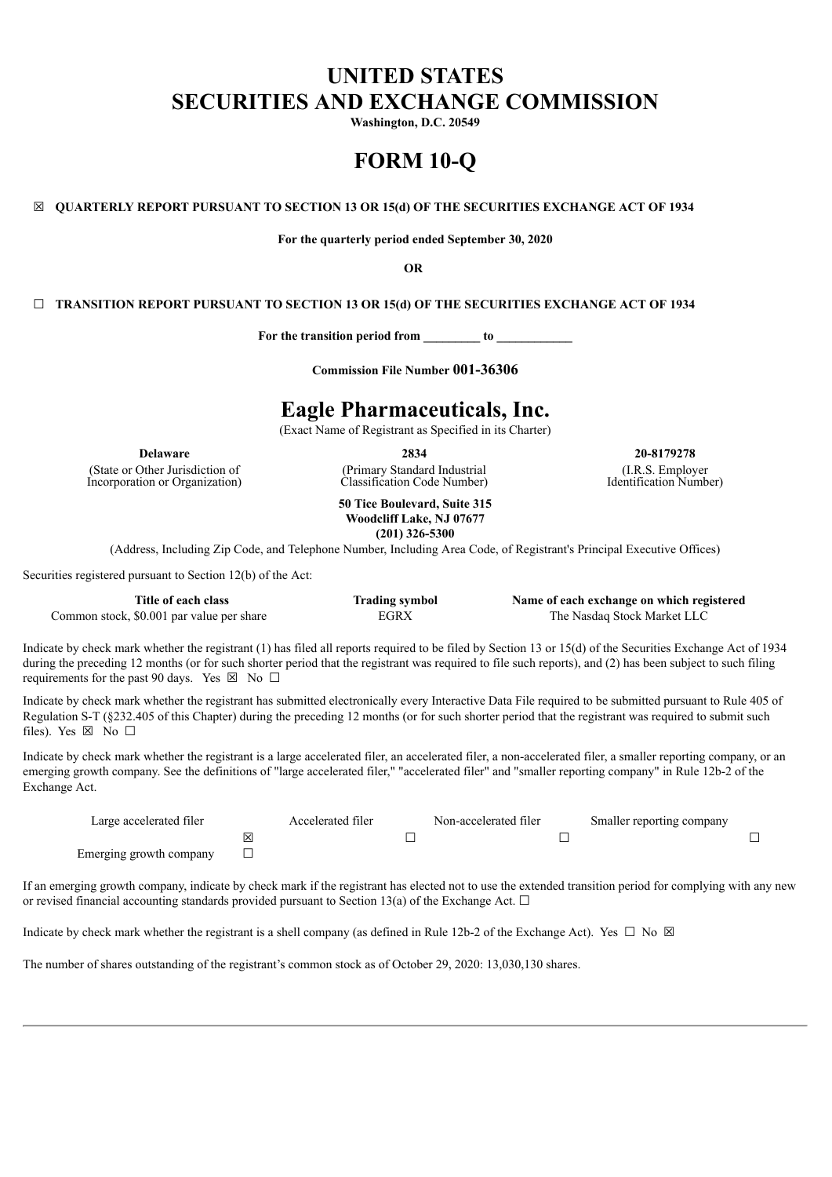# **UNITED STATES SECURITIES AND EXCHANGE COMMISSION**

**Washington, D.C. 20549**

# **FORM 10-Q**

#### ☒ **QUARTERLY REPORT PURSUANT TO SECTION 13 OR 15(d) OF THE SECURITIES EXCHANGE ACT OF 1934**

**For the quarterly period ended September 30, 2020**

**OR**

### ☐ **TRANSITION REPORT PURSUANT TO SECTION 13 OR 15(d) OF THE SECURITIES EXCHANGE ACT OF 1934**

**For the transition period from \_\_\_\_\_\_\_\_\_ to \_\_\_\_\_\_\_\_\_\_\_\_**

**Commission File Number 001-36306**

# **Eagle Pharmaceuticals, Inc.**

(Exact Name of Registrant as Specified in its Charter)

(State or Other Jurisdiction of Incorporation or Organization)

(Primary Standard Industrial Classification Code Number)

**Delaware 2834 20-8179278** (I.R.S. Employer Identification Number)

> **50 Tice Boulevard, Suite 315 Woodcliff Lake, NJ 07677**

> > **(201) 326-5300**

(Address, Including Zip Code, and Telephone Number, Including Area Code, of Registrant's Principal Executive Offices)

Securities registered pursuant to Section 12(b) of the Act:

| Title of each class                       | <b>Trading symbol</b> | Name of each exchange on which registered |
|-------------------------------------------|-----------------------|-------------------------------------------|
| Common stock, \$0.001 par value per share | EGRX                  | The Nasdaq Stock Market LLC               |

Indicate by check mark whether the registrant (1) has filed all reports required to be filed by Section 13 or 15(d) of the Securities Exchange Act of 1934 during the preceding 12 months (or for such shorter period that the registrant was required to file such reports), and (2) has been subject to such filing requirements for the past 90 days. Yes  $\boxtimes$  No  $\Box$ 

Indicate by check mark whether the registrant has submitted electronically every Interactive Data File required to be submitted pursuant to Rule 405 of Regulation S-T (§232.405 of this Chapter) during the preceding 12 months (or for such shorter period that the registrant was required to submit such files). Yes  $\boxtimes$  No  $\square$ 

Indicate by check mark whether the registrant is a large accelerated filer, an accelerated filer, a non-accelerated filer, a smaller reporting company, or an emerging growth company. See the definitions of "large accelerated filer," "accelerated filer" and "smaller reporting company" in Rule 12b-2 of the Exchange Act.

| Large accelerated filer | Accelerated filer | Non-accelerated filer | Smaller reporting company |  |
|-------------------------|-------------------|-----------------------|---------------------------|--|
|                         |                   |                       |                           |  |
| Emerging growth company |                   |                       |                           |  |

If an emerging growth company, indicate by check mark if the registrant has elected not to use the extended transition period for complying with any new or revised financial accounting standards provided pursuant to Section 13(a) of the Exchange Act.  $\Box$ 

Indicate by check mark whether the registrant is a shell company (as defined in Rule 12b-2 of the Exchange Act). Yes  $\Box$  No  $\boxtimes$ 

The number of shares outstanding of the registrant's common stock as of October 29, 2020: 13,030,130 shares.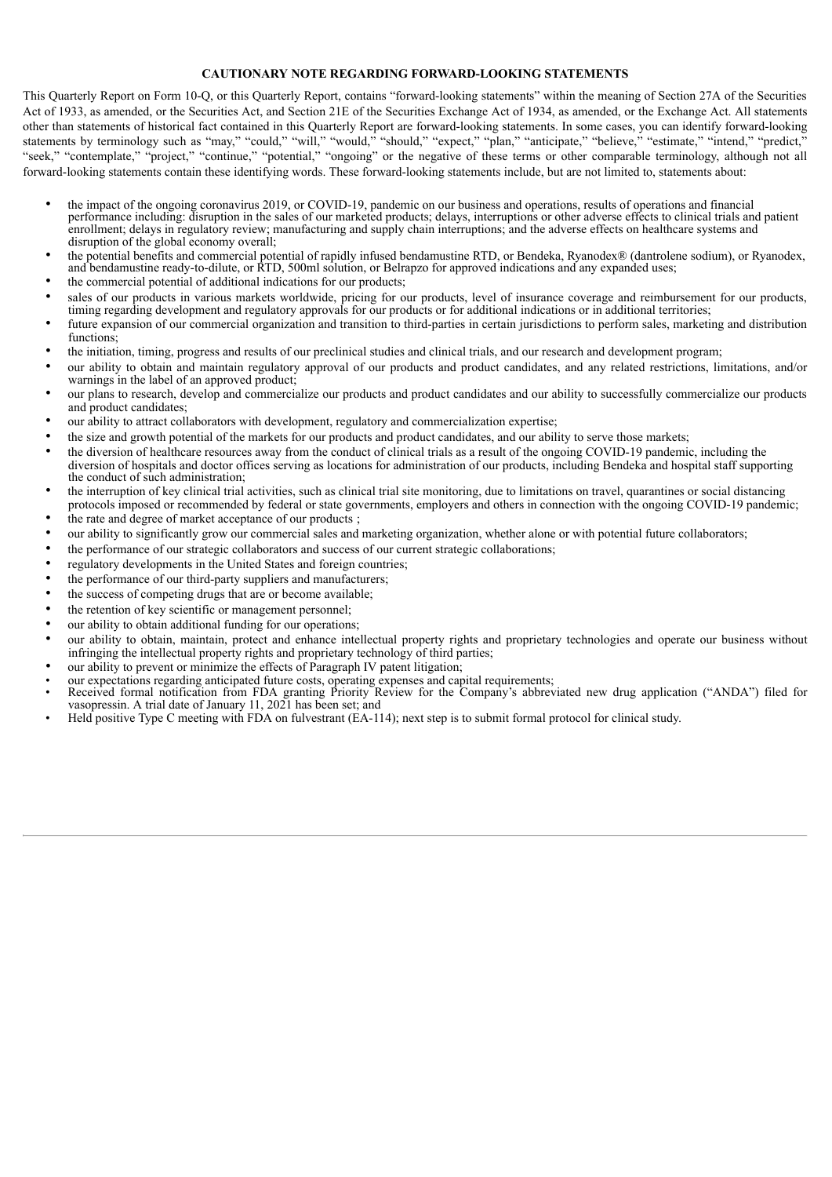### **CAUTIONARY NOTE REGARDING FORWARD-LOOKING STATEMENTS**

This Quarterly Report on Form 10-Q, or this Quarterly Report, contains "forward-looking statements" within the meaning of Section 27A of the Securities Act of 1933, as amended, or the Securities Act, and Section 21E of the Securities Exchange Act of 1934, as amended, or the Exchange Act. All statements other than statements of historical fact contained in this Quarterly Report are forward-looking statements. In some cases, you can identify forward-looking statements by terminology such as "may," "could," "will," "would," "should," "expect," "plan," "anticipate," "believe," "estimate," "intend," "predict," "seek," "contemplate," "project," "continue," "potential," "ongoing" or the negative of these terms or other comparable terminology, although not all forward-looking statements contain these identifying words. These forward-looking statements include, but are not limited to, statements about:

- the impact of the ongoing coronavirus 2019, or COVID-19, pandemic on our business and operations, results of operations and financial performance including: disruption in the sales of our marketed products; delays, interruptions or other adverse effects to clinical trials and patient enrollment; delays in regulatory review; manufacturing and supply chain interruptions; and the adverse effects on healthcare systems and disruption of the global economy overall;
- the potential benefits and commercial potential of rapidly infused bendamustine RTD, or Bendeka, Ryanodex® (dantrolene sodium), or Ryanodex, and bendamustine ready-to-dilute, or RTD, 500ml solution, or Belrapzo for approved indications and any expanded uses;
- the commercial potential of additional indications for our products;
- sales of our products in various markets worldwide, pricing for our products, level of insurance coverage and reimbursement for our products, timing regarding development and regulatory approvals for our products or for additional indications or in additional territories;
- future expansion of our commercial organization and transition to third-parties in certain jurisdictions to perform sales, marketing and distribution functions:
- the initiation, timing, progress and results of our preclinical studies and clinical trials, and our research and development program;
- our ability to obtain and maintain regulatory approval of our products and product candidates, and any related restrictions, limitations, and/or warnings in the label of an approved product;
- our plans to research, develop and commercialize our products and product candidates and our ability to successfully commercialize our products and product candidates;
- our ability to attract collaborators with development, regulatory and commercialization expertise;
- the size and growth potential of the markets for our products and product candidates, and our ability to serve those markets;
- the diversion of healthcare resources away from the conduct of clinical trials as a result of the ongoing COVID-19 pandemic, including the diversion of hospitals and doctor offices serving as locations for administration of our products, including Bendeka and hospital staff supporting the conduct of such administration;
- the interruption of key clinical trial activities, such as clinical trial site monitoring, due to limitations on travel, quarantines or social distancing protocols imposed or recommended by federal or state governments, employers and others in connection with the ongoing COVID-19 pandemic;
- the rate and degree of market acceptance of our products;
- our ability to significantly grow our commercial sales and marketing organization, whether alone or with potential future collaborators;
- the performance of our strategic collaborators and success of our current strategic collaborations;
- regulatory developments in the United States and foreign countries;
- the performance of our third-party suppliers and manufacturers;
- the success of competing drugs that are or become available;
- the retention of key scientific or management personnel;
- our ability to obtain additional funding for our operations;
- our ability to obtain, maintain, protect and enhance intellectual property rights and proprietary technologies and operate our business without infringing the intellectual property rights and proprietary technology of third parties;
- our ability to prevent or minimize the effects of Paragraph IV patent litigation;
- our expectations regarding anticipated future costs, operating expenses and capital requirements;
- Received formal notification from FDA granting Priority Review for the Company's abbreviated new drug application ("ANDA") filed for vasopressin. A trial date of January 11, 2021 has been set; and
- Held positive Type C meeting with FDA on fulvestrant (EA-114); next step is to submit formal protocol for clinical study.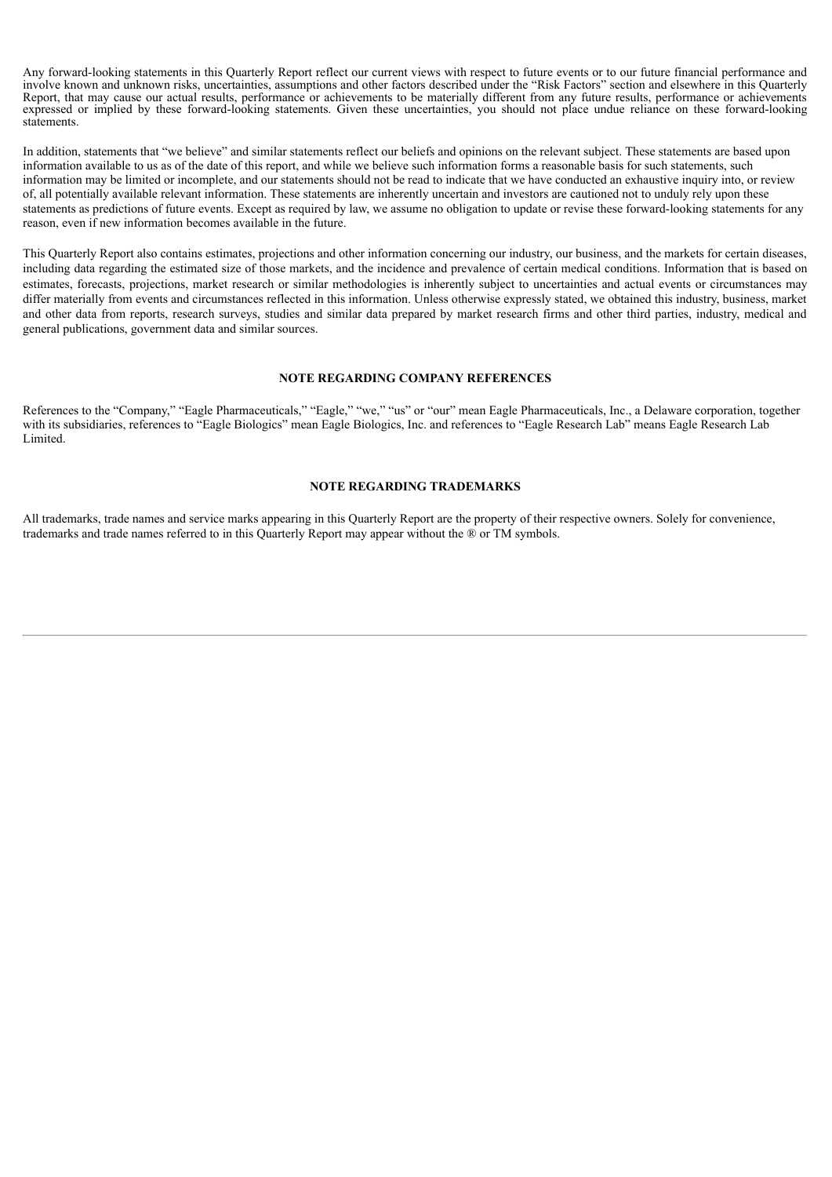Any forward-looking statements in this Quarterly Report reflect our current views with respect to future events or to our future financial performance and involve known and unknown risks, uncertainties, assumptions and other factors described under the "Risk Factors" section and elsewhere in this Quarterly Report, that may cause our actual results, performance or achievements to be materially different from any future results, performance or achievements expressed or implied by these forward-looking statements. Given these uncertainties, you should not place undue reliance on these forward-looking statements.

In addition, statements that "we believe" and similar statements reflect our beliefs and opinions on the relevant subject. These statements are based upon information available to us as of the date of this report, and while we believe such information forms a reasonable basis for such statements, such information may be limited or incomplete, and our statements should not be read to indicate that we have conducted an exhaustive inquiry into, or review of, all potentially available relevant information. These statements are inherently uncertain and investors are cautioned not to unduly rely upon these statements as predictions of future events. Except as required by law, we assume no obligation to update or revise these forward-looking statements for any reason, even if new information becomes available in the future.

This Quarterly Report also contains estimates, projections and other information concerning our industry, our business, and the markets for certain diseases, including data regarding the estimated size of those markets, and the incidence and prevalence of certain medical conditions. Information that is based on estimates, forecasts, projections, market research or similar methodologies is inherently subject to uncertainties and actual events or circumstances may differ materially from events and circumstances reflected in this information. Unless otherwise expressly stated, we obtained this industry, business, market and other data from reports, research surveys, studies and similar data prepared by market research firms and other third parties, industry, medical and general publications, government data and similar sources.

### **NOTE REGARDING COMPANY REFERENCES**

References to the "Company," "Eagle Pharmaceuticals," "Eagle," "we," "us" or "our" mean Eagle Pharmaceuticals, Inc., a Delaware corporation, together with its subsidiaries, references to "Eagle Biologics" mean Eagle Biologics, Inc. and references to "Eagle Research Lab" means Eagle Research Lab Limited.

#### **NOTE REGARDING TRADEMARKS**

All trademarks, trade names and service marks appearing in this Quarterly Report are the property of their respective owners. Solely for convenience, trademarks and trade names referred to in this Quarterly Report may appear without the ® or TM symbols.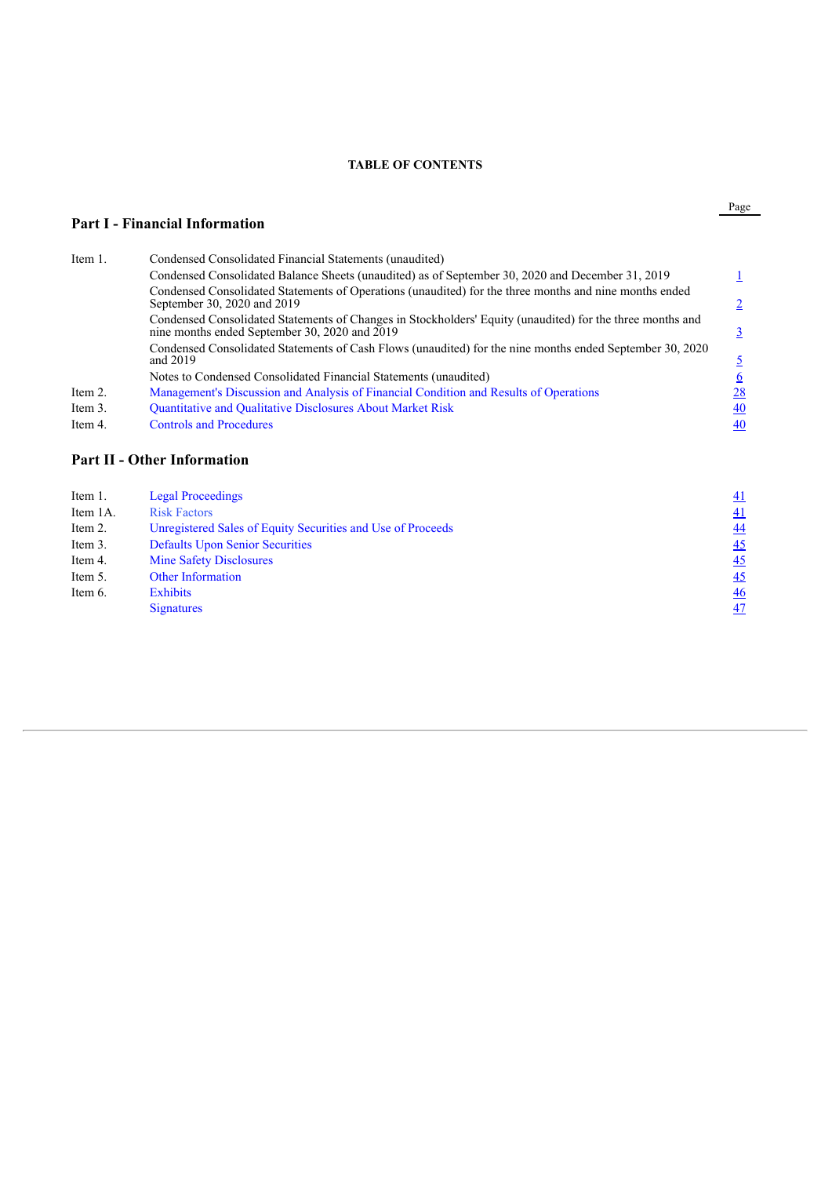## **TABLE OF CONTENTS**

## **Part I - Financial Information**

| 2               |
|-----------------|
| 3               |
|                 |
| $\overline{6}$  |
| <u>28</u>       |
| <u>40</u>       |
| $\overline{40}$ |
|                 |

## **Part II - Other Information**

| Item 1.    | <b>Legal Proceedings</b>                                    | 41              |
|------------|-------------------------------------------------------------|-----------------|
| Item 1A.   | <b>Risk Factors</b>                                         | 41              |
| Item 2.    | Unregistered Sales of Equity Securities and Use of Proceeds | $\overline{44}$ |
| Item 3.    | <b>Defaults Upon Senior Securities</b>                      | 45              |
| Item 4.    | <b>Mine Safety Disclosures</b>                              | 45              |
| Item 5.    | <b>Other Information</b>                                    | 45              |
| Item $6$ . | <b>Exhibits</b>                                             | $\frac{46}{5}$  |
|            | <b>Signatures</b>                                           | 47              |
|            |                                                             |                 |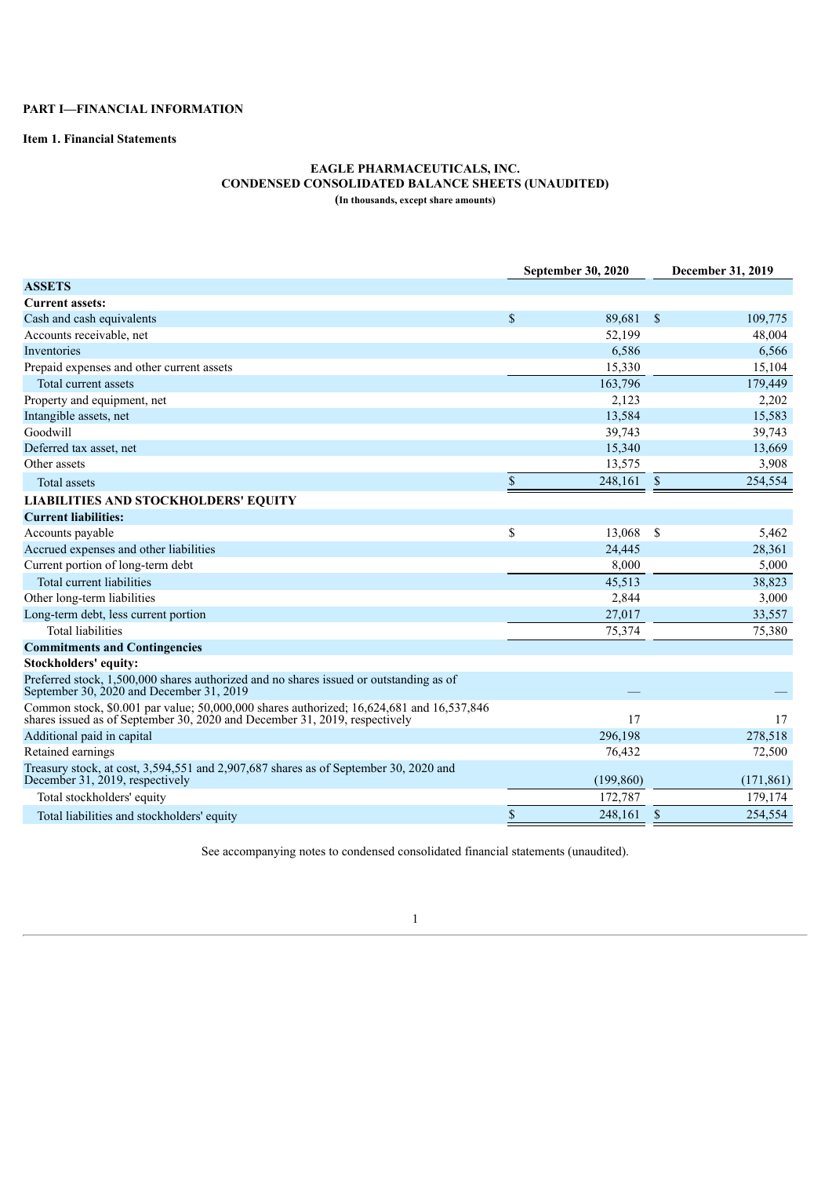## <span id="page-4-0"></span>**PART I—FINANCIAL INFORMATION**

**Item 1. Financial Statements**

## **EAGLE PHARMACEUTICALS, INC. CONDENSED CONSOLIDATED BALANCE SHEETS (UNAUDITED) (In thousands, except share amounts)**

|                                                                                                                                                                        | <b>September 30, 2020</b> |            |               | December 31, 2019 |
|------------------------------------------------------------------------------------------------------------------------------------------------------------------------|---------------------------|------------|---------------|-------------------|
| <b>ASSETS</b>                                                                                                                                                          |                           |            |               |                   |
| <b>Current assets:</b>                                                                                                                                                 |                           |            |               |                   |
| Cash and cash equivalents                                                                                                                                              | $\mathbf S$               | 89,681     | <sup>S</sup>  | 109,775           |
| Accounts receivable, net                                                                                                                                               |                           | 52,199     |               | 48,004            |
| <b>Inventories</b>                                                                                                                                                     |                           | 6,586      |               | 6,566             |
| Prepaid expenses and other current assets                                                                                                                              |                           | 15,330     |               | 15,104            |
| Total current assets                                                                                                                                                   |                           | 163,796    |               | 179,449           |
| Property and equipment, net                                                                                                                                            |                           | 2,123      |               | 2,202             |
| Intangible assets, net                                                                                                                                                 |                           | 13,584     |               | 15,583            |
| Goodwill                                                                                                                                                               |                           | 39,743     |               | 39,743            |
| Deferred tax asset, net                                                                                                                                                |                           | 15,340     |               | 13,669            |
| Other assets                                                                                                                                                           |                           | 13,575     |               | 3,908             |
| <b>Total assets</b>                                                                                                                                                    | \$                        | 248,161    | <sup>\$</sup> | 254,554           |
| <b>LIABILITIES AND STOCKHOLDERS' EQUITY</b>                                                                                                                            |                           |            |               |                   |
| <b>Current liabilities:</b>                                                                                                                                            |                           |            |               |                   |
| Accounts payable                                                                                                                                                       | \$                        | 13,068     | -S            | 5,462             |
| Accrued expenses and other liabilities                                                                                                                                 |                           | 24,445     |               | 28,361            |
| Current portion of long-term debt                                                                                                                                      |                           | 8,000      |               | 5,000             |
| Total current liabilities                                                                                                                                              |                           | 45,513     |               | 38,823            |
| Other long-term liabilities                                                                                                                                            |                           | 2,844      |               | 3,000             |
| Long-term debt, less current portion                                                                                                                                   |                           | 27,017     |               | 33,557            |
| <b>Total liabilities</b>                                                                                                                                               |                           | 75,374     |               | 75,380            |
| <b>Commitments and Contingencies</b>                                                                                                                                   |                           |            |               |                   |
| Stockholders' equity:                                                                                                                                                  |                           |            |               |                   |
| Preferred stock, 1,500,000 shares authorized and no shares issued or outstanding as of<br>September 30, 2020 and December 31, 2019                                     |                           |            |               |                   |
| Common stock, \$0.001 par value; 50,000,000 shares authorized; 16,624,681 and 16,537,846<br>shares issued as of September 30, 2020 and December 31, 2019, respectively |                           | 17         |               | 17                |
| Additional paid in capital                                                                                                                                             |                           | 296,198    |               | 278,518           |
| Retained earnings                                                                                                                                                      |                           | 76,432     |               | 72,500            |
| Treasury stock, at cost, 3,594,551 and 2,907,687 shares as of September 30, 2020 and<br>December 31, 2019, respectively                                                |                           | (199, 860) |               | (171, 861)        |
| Total stockholders' equity                                                                                                                                             |                           | 172,787    |               | 179,174           |
| Total liabilities and stockholders' equity                                                                                                                             | \$                        | 248,161    | \$            | 254,554           |
|                                                                                                                                                                        |                           |            |               |                   |

<span id="page-4-1"></span>See accompanying notes to condensed consolidated financial statements (unaudited).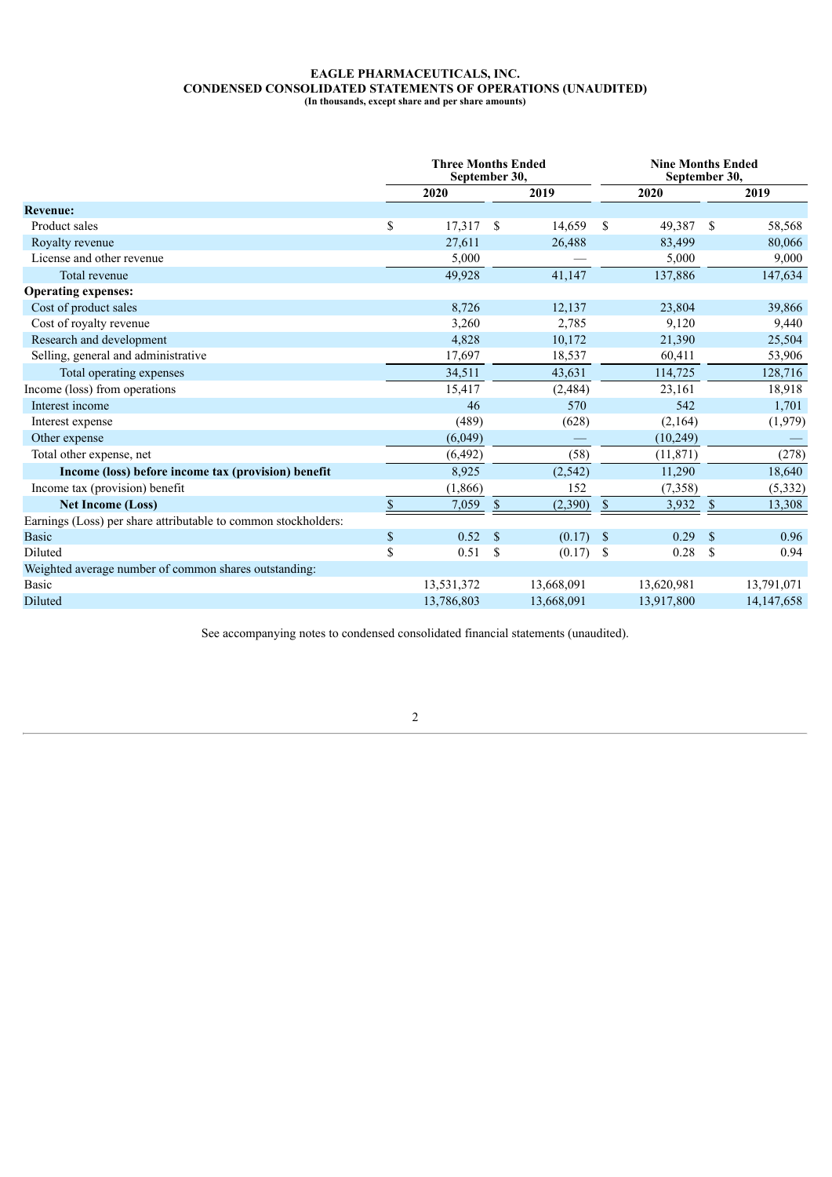#### **EAGLE PHARMACEUTICALS, INC. CONDENSED CONSOLIDATED STATEMENTS OF OPERATIONS (UNAUDITED) (In thousands, except share and per share amounts)**

|                                                                | <b>Three Months Ended</b> | September 30, |            | <b>Nine Months Ended</b><br>September 30, |            |               |              |
|----------------------------------------------------------------|---------------------------|---------------|------------|-------------------------------------------|------------|---------------|--------------|
|                                                                | 2020                      |               | 2019       |                                           | 2020       |               | 2019         |
| <b>Revenue:</b>                                                |                           |               |            |                                           |            |               |              |
| Product sales                                                  | \$<br>17,317              | -S            | 14,659     | <sup>\$</sup>                             | 49,387     | -S            | 58,568       |
| Royalty revenue                                                | 27,611                    |               | 26,488     |                                           | 83,499     |               | 80,066       |
| License and other revenue                                      | 5,000                     |               |            |                                           | 5,000      |               | 9,000        |
| Total revenue                                                  | 49,928                    |               | 41,147     |                                           | 137,886    |               | 147,634      |
| <b>Operating expenses:</b>                                     |                           |               |            |                                           |            |               |              |
| Cost of product sales                                          | 8,726                     |               | 12,137     |                                           | 23,804     |               | 39,866       |
| Cost of royalty revenue                                        | 3,260                     |               | 2,785      |                                           | 9,120      |               | 9,440        |
| Research and development                                       | 4,828                     |               | 10,172     |                                           | 21,390     |               | 25,504       |
| Selling, general and administrative                            | 17,697                    |               | 18,537     |                                           | 60,411     |               | 53,906       |
| Total operating expenses                                       | 34,511                    |               | 43,631     |                                           | 114,725    |               | 128,716      |
| Income (loss) from operations                                  | 15,417                    |               | (2, 484)   |                                           | 23,161     |               | 18,918       |
| Interest income                                                | 46                        |               | 570        |                                           | 542        |               | 1,701        |
| Interest expense                                               | (489)                     |               | (628)      |                                           | (2,164)    |               | (1,979)      |
| Other expense                                                  | (6,049)                   |               |            |                                           | (10, 249)  |               |              |
| Total other expense, net                                       | (6, 492)                  |               | (58)       |                                           | (11, 871)  |               | (278)        |
| Income (loss) before income tax (provision) benefit            | 8,925                     |               | (2, 542)   |                                           | 11,290     |               | 18,640       |
| Income tax (provision) benefit                                 | (1,866)                   |               | 152        |                                           | (7,358)    |               | (5,332)      |
| <b>Net Income (Loss)</b>                                       | \$<br>7,059               | \$            | (2,390)    | \$                                        | 3,932      | <sup>\$</sup> | 13,308       |
| Earnings (Loss) per share attributable to common stockholders: |                           |               |            |                                           |            |               |              |
| <b>Basic</b>                                                   | \$<br>0.52                | $\mathcal{S}$ | (0.17)     | <sup>\$</sup>                             | 0.29       | -S            | 0.96         |
| Diluted                                                        | \$<br>0.51                | \$            | (0.17)     | \$                                        | 0.28       | -S            | 0.94         |
| Weighted average number of common shares outstanding:          |                           |               |            |                                           |            |               |              |
| Basic                                                          | 13,531,372                |               | 13,668,091 |                                           | 13,620,981 |               | 13,791,071   |
| Diluted                                                        | 13,786,803                |               | 13,668,091 |                                           | 13,917,800 |               | 14, 147, 658 |

<span id="page-5-0"></span>See accompanying notes to condensed consolidated financial statements (unaudited).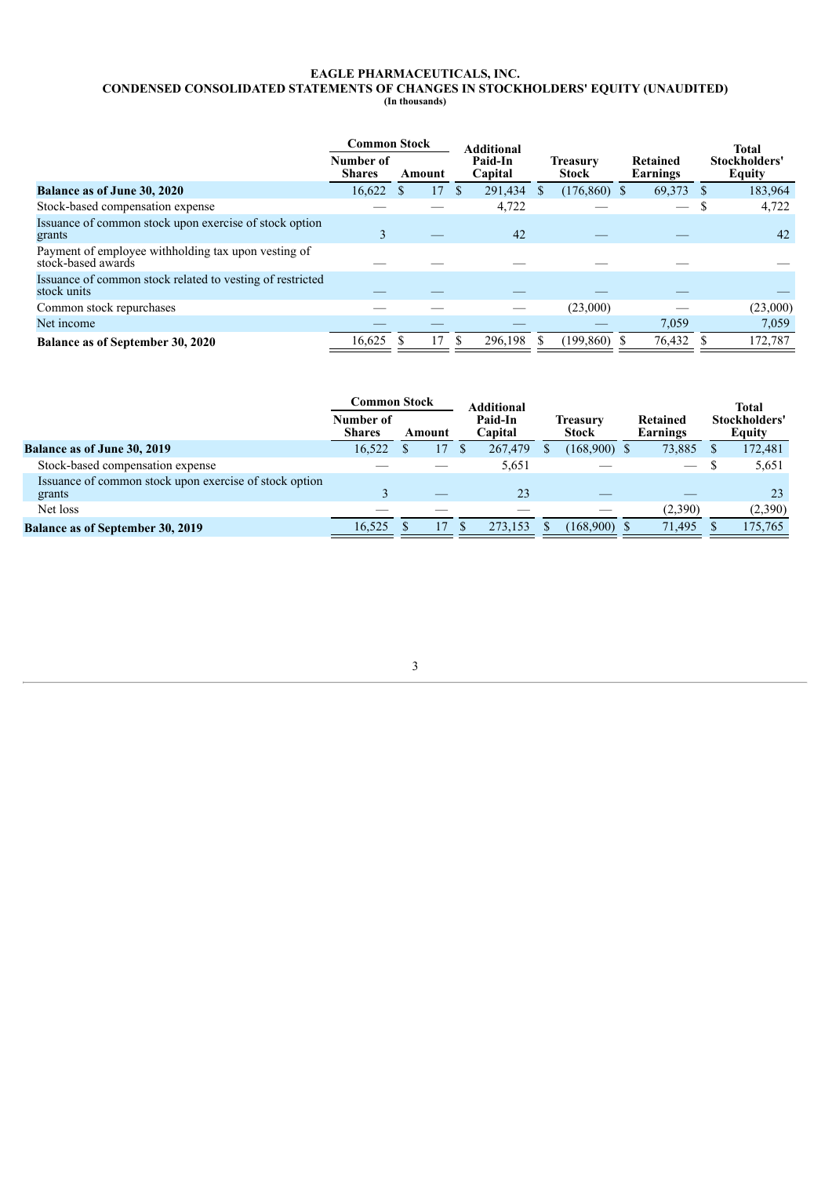## **EAGLE PHARMACEUTICALS, INC. CONDENSED CONSOLIDATED STATEMENTS OF CHANGES IN STOCKHOLDERS' EQUITY (UNAUDITED)**

|                                                                           | <b>Common Stock</b>        |        |    | Additional         |                                 |                             |    | <b>Total</b>            |
|---------------------------------------------------------------------------|----------------------------|--------|----|--------------------|---------------------------------|-----------------------------|----|-------------------------|
|                                                                           | Number of<br><b>Shares</b> | Amount |    | Paid-In<br>Capital | <b>Treasury</b><br><b>Stock</b> | <b>Retained</b><br>Earnings |    | Stockholders'<br>Equity |
| <b>Balance as of June 30, 2020</b>                                        | 16,622                     | 17     | -S | 291,434            | $(176,860)$ \$                  | 69,373                      |    | 183,964                 |
| Stock-based compensation expense                                          |                            |        |    | 4,722              |                                 |                             | -S | 4,722                   |
| Issuance of common stock upon exercise of stock option<br>grants          | 3                          |        |    | 42                 |                                 |                             |    | 42                      |
| Payment of employee withholding tax upon vesting of<br>stock-based awards |                            |        |    |                    |                                 |                             |    |                         |
| Issuance of common stock related to vesting of restricted<br>stock units  |                            |        |    |                    |                                 |                             |    |                         |
| Common stock repurchases                                                  |                            |        |    |                    | (23,000)                        |                             |    | (23,000)                |
| Net income                                                                |                            |        |    |                    |                                 | 7,059                       |    | 7,059                   |
| <b>Balance as of September 30, 2020</b>                                   | 16,625                     | 17     |    | 296.198            | $(199,860)$ \$                  | 76,432                      |    | 172,787                 |

|                                                                  | <b>Common Stock</b>        |  |        | Additional |                    |  |                          |                                 | <b>Total</b>            |
|------------------------------------------------------------------|----------------------------|--|--------|------------|--------------------|--|--------------------------|---------------------------------|-------------------------|
|                                                                  | Number of<br><b>Shares</b> |  | Amount |            | Paid-In<br>Capital |  | Treasurv<br><b>Stock</b> | <b>Retained</b><br>Earnings     | Stockholders'<br>Equity |
| <b>Balance as of June 30, 2019</b>                               | 16,522                     |  |        |            | 267,479            |  | $(168,900)$ \$           | 73,885                          | 172,481                 |
| Stock-based compensation expense                                 |                            |  |        |            | 5,651              |  |                          | $\hspace{0.1mm}-\hspace{0.1mm}$ | 5,651                   |
| Issuance of common stock upon exercise of stock option<br>grants |                            |  |        |            | 23                 |  |                          |                                 | 23                      |
| Net loss                                                         |                            |  |        |            |                    |  |                          | (2,390)                         | (2,390)                 |
| <b>Balance as of September 30, 2019</b>                          | 16,525                     |  |        |            | 273,153            |  | $(168,900)$ \$           | 71,495                          | 175,765                 |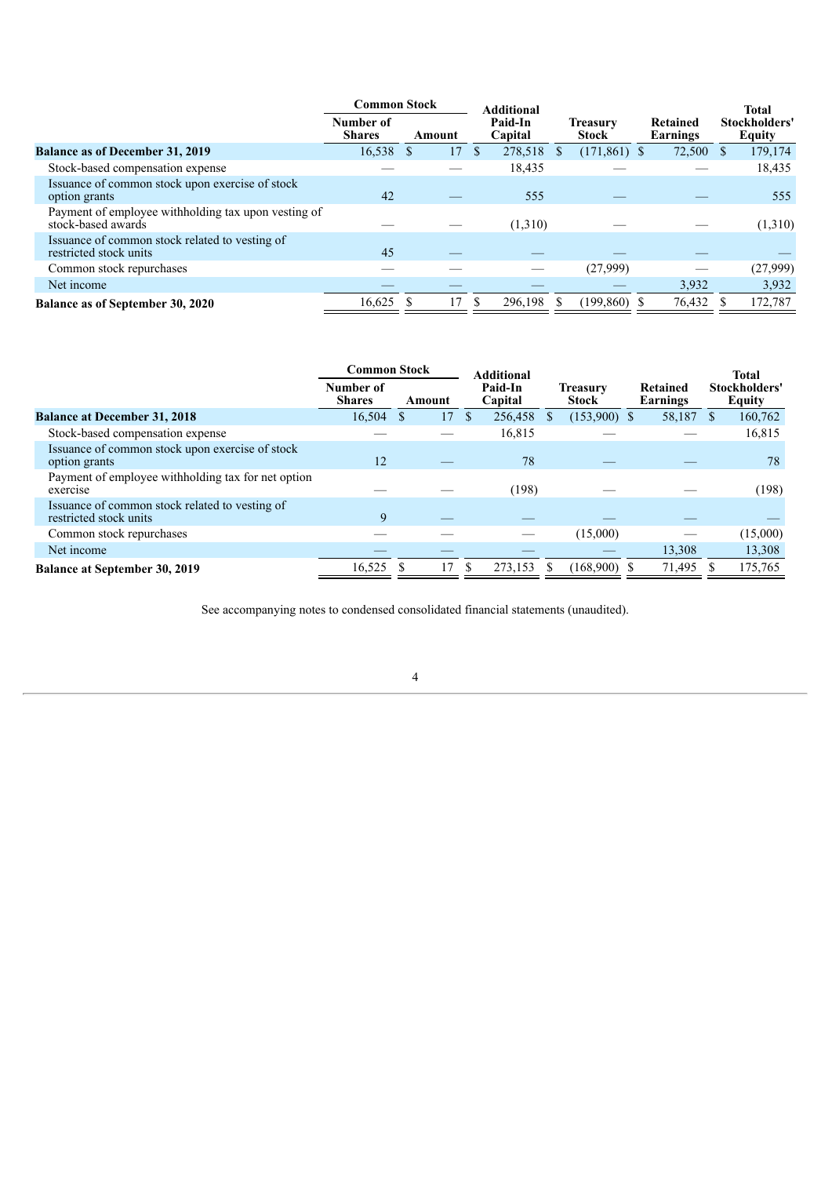|                                                                           | <b>Common Stock</b>        |        | <b>Additional</b>        |                                 |                             | <b>Total</b>            |
|---------------------------------------------------------------------------|----------------------------|--------|--------------------------|---------------------------------|-----------------------------|-------------------------|
|                                                                           | Number of<br><b>Shares</b> | Amount | Paid-In<br>Capital       | <b>Treasury</b><br><b>Stock</b> | <b>Retained</b><br>Earnings | Stockholders'<br>Equity |
| <b>Balance as of December 31, 2019</b>                                    | $16,538$ \$                | 17     | 278,518<br><sup>\$</sup> | $(171,861)$ \$<br>-S            | 72,500                      | 179,174<br>$\mathsf{S}$ |
| Stock-based compensation expense                                          |                            |        | 18,435                   |                                 |                             | 18,435                  |
| Issuance of common stock upon exercise of stock<br>option grants          | 42                         |        | 555                      |                                 |                             | 555                     |
| Payment of employee withholding tax upon vesting of<br>stock-based awards |                            |        | (1,310)                  |                                 |                             | (1,310)                 |
| Issuance of common stock related to vesting of<br>restricted stock units  | 45                         |        |                          |                                 |                             |                         |
| Common stock repurchases                                                  |                            |        |                          | (27,999)                        |                             | (27,999)                |
| Net income                                                                |                            |        |                          |                                 | 3,932                       | 3,932                   |
| <b>Balance as of September 30, 2020</b>                                   | 16,625                     | 17     | 296,198                  | $(199, 860)$ \$                 | 76,432                      | 172,787                 |
|                                                                           |                            |        |                          |                                 |                             |                         |

|                                                                          | <b>Common Stock</b>        |        | <b>Additional</b>  |                          |                      | <b>Total</b>                   |
|--------------------------------------------------------------------------|----------------------------|--------|--------------------|--------------------------|----------------------|--------------------------------|
|                                                                          | Number of<br><b>Shares</b> | Amount | Paid-In<br>Capital | Treasurv<br><b>Stock</b> | Retained<br>Earnings | Stockholders'<br><b>Equity</b> |
| <b>Balance at December 31, 2018</b>                                      | 16,504                     | 17     | 256,458<br>S       | (153,900)<br>S           | 58,187<br>-S         | 160,762<br>\$.                 |
| Stock-based compensation expense                                         |                            |        | 16,815             |                          |                      | 16,815                         |
| Issuance of common stock upon exercise of stock<br>option grants         | 12                         |        | 78                 |                          |                      | 78                             |
| Payment of employee withholding tax for net option<br>exercise           |                            |        | (198)              |                          |                      | (198)                          |
| Issuance of common stock related to vesting of<br>restricted stock units | 9                          |        |                    |                          |                      |                                |
| Common stock repurchases                                                 |                            |        |                    | (15,000)                 |                      | (15,000)                       |
| Net income                                                               |                            |        |                    |                          | 13,308               | 13,308                         |
| <b>Balance at September 30, 2019</b>                                     | 16,525                     | 17     | S<br>273,153       | (168.900)                | 71,495               | 175,765                        |

<span id="page-7-0"></span>See accompanying notes to condensed consolidated financial statements (unaudited).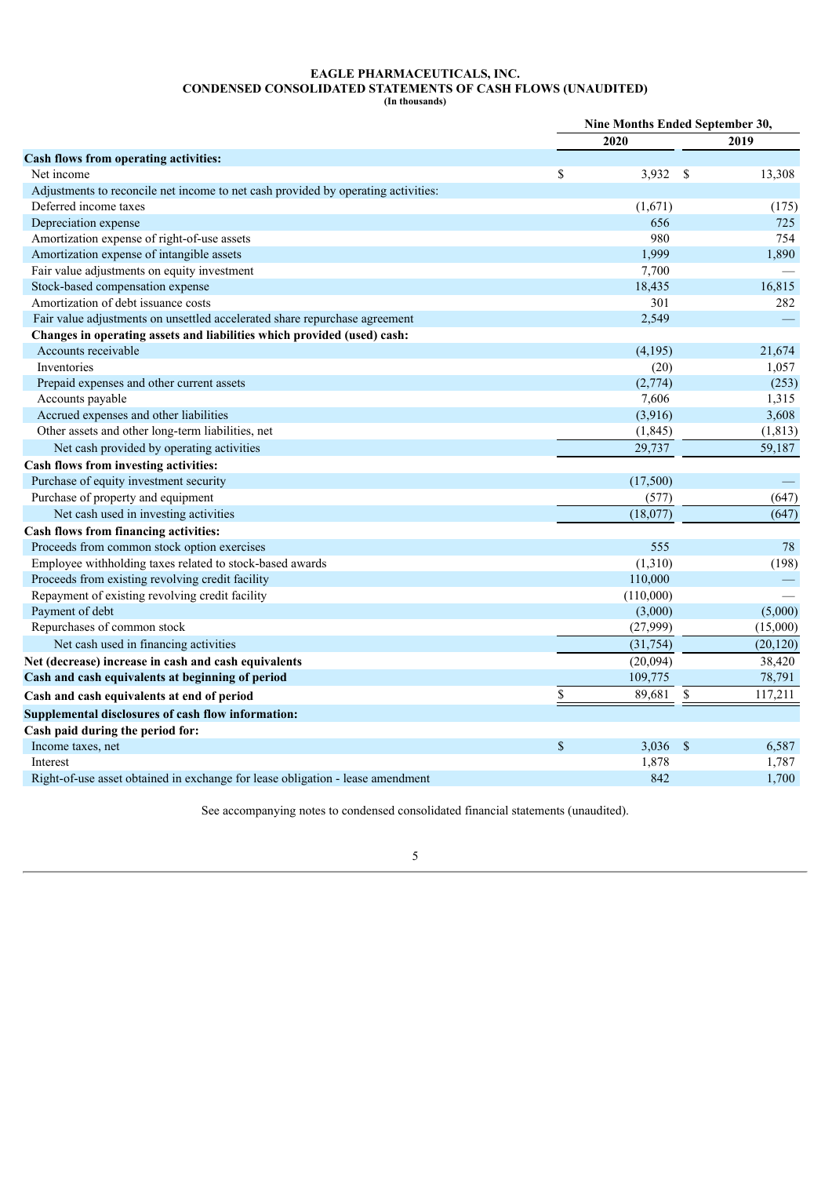## **EAGLE PHARMACEUTICALS, INC. CONDENSED CONSOLIDATED STATEMENTS OF CASH FLOWS (UNAUDITED)**

**(In thousands)**

|                                                                                   | Nine Months Ended September 30, |           |               |           |  |
|-----------------------------------------------------------------------------------|---------------------------------|-----------|---------------|-----------|--|
|                                                                                   |                                 | 2020      |               | 2019      |  |
| Cash flows from operating activities:                                             |                                 |           |               |           |  |
| Net income                                                                        | \$                              | 3,932     | <sup>\$</sup> | 13,308    |  |
| Adjustments to reconcile net income to net cash provided by operating activities: |                                 |           |               |           |  |
| Deferred income taxes                                                             |                                 | (1,671)   |               | (175)     |  |
| Depreciation expense                                                              |                                 | 656       |               | 725       |  |
| Amortization expense of right-of-use assets                                       |                                 | 980       |               | 754       |  |
| Amortization expense of intangible assets                                         |                                 | 1,999     |               | 1,890     |  |
| Fair value adjustments on equity investment                                       |                                 | 7,700     |               |           |  |
| Stock-based compensation expense                                                  |                                 | 18,435    |               | 16,815    |  |
| Amortization of debt issuance costs                                               |                                 | 301       |               | 282       |  |
| Fair value adjustments on unsettled accelerated share repurchase agreement        |                                 | 2,549     |               |           |  |
| Changes in operating assets and liabilities which provided (used) cash:           |                                 |           |               |           |  |
| Accounts receivable                                                               |                                 | (4,195)   |               | 21,674    |  |
| Inventories                                                                       |                                 | (20)      |               | 1,057     |  |
| Prepaid expenses and other current assets                                         |                                 | (2,774)   |               | (253)     |  |
| Accounts payable                                                                  |                                 | 7,606     |               | 1,315     |  |
| Accrued expenses and other liabilities                                            |                                 | (3,916)   |               | 3,608     |  |
| Other assets and other long-term liabilities, net                                 |                                 | (1, 845)  |               | (1, 813)  |  |
| Net cash provided by operating activities                                         |                                 | 29,737    |               | 59,187    |  |
| Cash flows from investing activities:                                             |                                 |           |               |           |  |
| Purchase of equity investment security                                            |                                 | (17,500)  |               |           |  |
| Purchase of property and equipment                                                |                                 | (577)     |               | (647)     |  |
| Net cash used in investing activities                                             |                                 | (18,077)  |               | (647)     |  |
| Cash flows from financing activities:                                             |                                 |           |               |           |  |
| Proceeds from common stock option exercises                                       |                                 | 555       |               | 78        |  |
| Employee withholding taxes related to stock-based awards                          |                                 | (1,310)   |               | (198)     |  |
| Proceeds from existing revolving credit facility                                  |                                 | 110,000   |               |           |  |
| Repayment of existing revolving credit facility                                   |                                 | (110,000) |               |           |  |
| Payment of debt                                                                   |                                 | (3,000)   |               | (5,000)   |  |
| Repurchases of common stock                                                       |                                 | (27,999)  |               | (15,000)  |  |
| Net cash used in financing activities                                             |                                 | (31, 754) |               | (20, 120) |  |
| Net (decrease) increase in cash and cash equivalents                              |                                 | (20,094)  |               | 38,420    |  |
| Cash and cash equivalents at beginning of period                                  |                                 | 109,775   |               | 78,791    |  |
| Cash and cash equivalents at end of period                                        | \$                              | 89,681    | \$            | 117,211   |  |
| Supplemental disclosures of cash flow information:                                |                                 |           |               |           |  |
| Cash paid during the period for:                                                  |                                 |           |               |           |  |
| Income taxes, net                                                                 | $\mathbb{S}$                    | 3,036     | $\mathcal{S}$ | 6,587     |  |
| Interest                                                                          |                                 | 1,878     |               | 1,787     |  |
| Right-of-use asset obtained in exchange for lease obligation - lease amendment    |                                 | 842       |               | 1,700     |  |

<span id="page-8-0"></span>See accompanying notes to condensed consolidated financial statements (unaudited).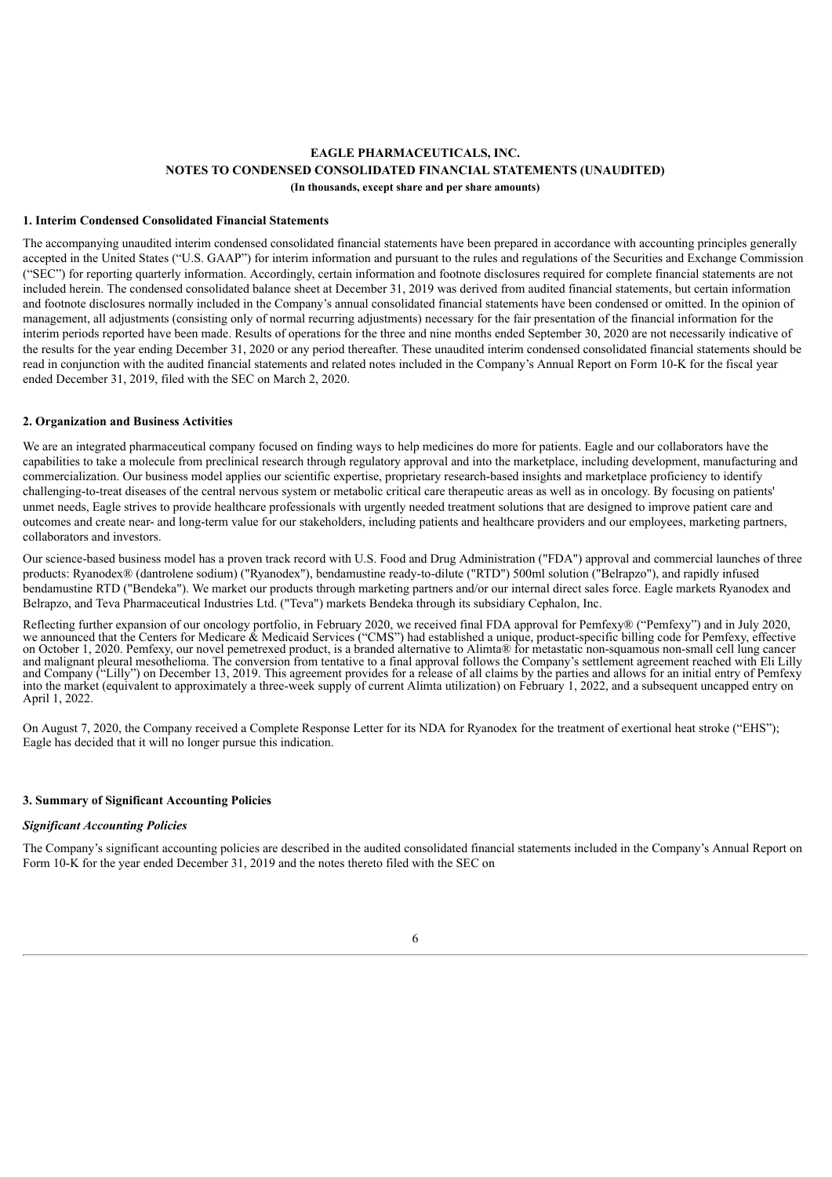## **1. Interim Condensed Consolidated Financial Statements**

The accompanying unaudited interim condensed consolidated financial statements have been prepared in accordance with accounting principles generally accepted in the United States ("U.S. GAAP") for interim information and pursuant to the rules and regulations of the Securities and Exchange Commission ("SEC") for reporting quarterly information. Accordingly, certain information and footnote disclosures required for complete financial statements are not included herein. The condensed consolidated balance sheet at December 31, 2019 was derived from audited financial statements, but certain information and footnote disclosures normally included in the Company's annual consolidated financial statements have been condensed or omitted. In the opinion of management, all adjustments (consisting only of normal recurring adjustments) necessary for the fair presentation of the financial information for the interim periods reported have been made. Results of operations for the three and nine months ended September 30, 2020 are not necessarily indicative of the results for the year ending December 31, 2020 or any period thereafter. These unaudited interim condensed consolidated financial statements should be read in conjunction with the audited financial statements and related notes included in the Company's Annual Report on Form 10-K for the fiscal year ended December 31, 2019, filed with the SEC on March 2, 2020.

#### **2. Organization and Business Activities**

We are an integrated pharmaceutical company focused on finding ways to help medicines do more for patients. Eagle and our collaborators have the capabilities to take a molecule from preclinical research through regulatory approval and into the marketplace, including development, manufacturing and commercialization. Our business model applies our scientific expertise, proprietary research-based insights and marketplace proficiency to identify challenging-to-treat diseases of the central nervous system or metabolic critical care therapeutic areas as well as in oncology. By focusing on patients' unmet needs, Eagle strives to provide healthcare professionals with urgently needed treatment solutions that are designed to improve patient care and outcomes and create near- and long-term value for our stakeholders, including patients and healthcare providers and our employees, marketing partners, collaborators and investors.

Our science-based business model has a proven track record with U.S. Food and Drug Administration ("FDA") approval and commercial launches of three products: Ryanodex® (dantrolene sodium) ("Ryanodex"), bendamustine ready-to-dilute ("RTD") 500ml solution ("Belrapzo"), and rapidly infused bendamustine RTD ("Bendeka"). We market our products through marketing partners and/or our internal direct sales force. Eagle markets Ryanodex and Belrapzo, and Teva Pharmaceutical Industries Ltd. ("Teva") markets Bendeka through its subsidiary Cephalon, Inc.

Reflecting further expansion of our oncology portfolio, in February 2020, we received final FDA approval for Pemfexy® ("Pemfexy") and in July 2020, we announced that the Centers for Medicare & Medicaid Services ("CMS") had established a unique, product-specific billing code for Pemfexy, effective on October 1, 2020. Pemfexy, our novel pemetrexed product, is a branded alternative to Alimta® for metastatic non-squamous non-small cell lung cancer and malignant pleural mesothelioma. The conversion from tentative to a final approval follows the Company's settlement agreement reached with Eli Lilly and Company ("Lilly") on December 13, 2019. This agreement provides for a release of all claims by the parties and allows for an initial entry of Pemfexy into the market (equivalent to approximately a three-week supply of current Alimta utilization) on February 1, 2022, and a subsequent uncapped entry on April 1, 2022.

On August 7, 2020, the Company received a Complete Response Letter for its NDA for Ryanodex for the treatment of exertional heat stroke ("EHS"); Eagle has decided that it will no longer pursue this indication.

#### **3. Summary of Significant Accounting Policies**

#### *Significant Accounting Policies*

The Company's significant accounting policies are described in the audited consolidated financial statements included in the Company's Annual Report on Form 10-K for the year ended December 31, 2019 and the notes thereto filed with the SEC on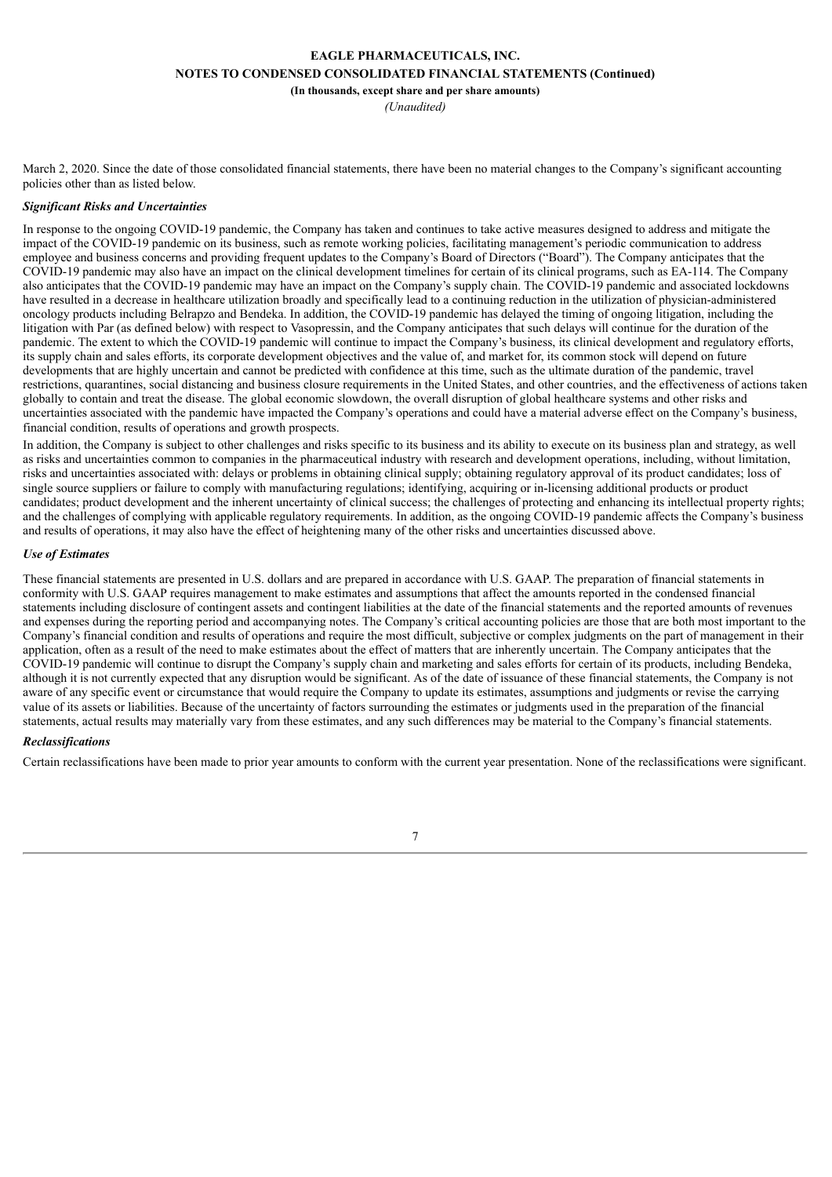# **EAGLE PHARMACEUTICALS, INC.**

**NOTES TO CONDENSED CONSOLIDATED FINANCIAL STATEMENTS (Continued)**

**(In thousands, except share and per share amounts)**

*(Unaudited)*

March 2, 2020. Since the date of those consolidated financial statements, there have been no material changes to the Company's significant accounting policies other than as listed below.

#### *Significant Risks and Uncertainties*

In response to the ongoing COVID-19 pandemic, the Company has taken and continues to take active measures designed to address and mitigate the impact of the COVID-19 pandemic on its business, such as remote working policies, facilitating management's periodic communication to address employee and business concerns and providing frequent updates to the Company's Board of Directors ("Board"). The Company anticipates that the COVID-19 pandemic may also have an impact on the clinical development timelines for certain of its clinical programs, such as EA-114. The Company also anticipates that the COVID-19 pandemic may have an impact on the Company's supply chain. The COVID-19 pandemic and associated lockdowns have resulted in a decrease in healthcare utilization broadly and specifically lead to a continuing reduction in the utilization of physician-administered oncology products including Belrapzo and Bendeka. In addition, the COVID-19 pandemic has delayed the timing of ongoing litigation, including the litigation with Par (as defined below) with respect to Vasopressin, and the Company anticipates that such delays will continue for the duration of the pandemic. The extent to which the COVID-19 pandemic will continue to impact the Company's business, its clinical development and regulatory efforts, its supply chain and sales efforts, its corporate development objectives and the value of, and market for, its common stock will depend on future developments that are highly uncertain and cannot be predicted with confidence at this time, such as the ultimate duration of the pandemic, travel restrictions, quarantines, social distancing and business closure requirements in the United States, and other countries, and the effectiveness of actions taken globally to contain and treat the disease. The global economic slowdown, the overall disruption of global healthcare systems and other risks and uncertainties associated with the pandemic have impacted the Company's operations and could have a material adverse effect on the Company's business, financial condition, results of operations and growth prospects.

In addition, the Company is subject to other challenges and risks specific to its business and its ability to execute on its business plan and strategy, as well as risks and uncertainties common to companies in the pharmaceutical industry with research and development operations, including, without limitation, risks and uncertainties associated with: delays or problems in obtaining clinical supply; obtaining regulatory approval of its product candidates; loss of single source suppliers or failure to comply with manufacturing regulations; identifying, acquiring or in-licensing additional products or product candidates; product development and the inherent uncertainty of clinical success; the challenges of protecting and enhancing its intellectual property rights; and the challenges of complying with applicable regulatory requirements. In addition, as the ongoing COVID-19 pandemic affects the Company's business and results of operations, it may also have the effect of heightening many of the other risks and uncertainties discussed above.

### *Use of Estimates*

These financial statements are presented in U.S. dollars and are prepared in accordance with U.S. GAAP. The preparation of financial statements in conformity with U.S. GAAP requires management to make estimates and assumptions that affect the amounts reported in the condensed financial statements including disclosure of contingent assets and contingent liabilities at the date of the financial statements and the reported amounts of revenues and expenses during the reporting period and accompanying notes. The Company's critical accounting policies are those that are both most important to the Company's financial condition and results of operations and require the most difficult, subjective or complex judgments on the part of management in their application, often as a result of the need to make estimates about the effect of matters that are inherently uncertain. The Company anticipates that the COVID-19 pandemic will continue to disrupt the Company's supply chain and marketing and sales efforts for certain of its products, including Bendeka, although it is not currently expected that any disruption would be significant. As of the date of issuance of these financial statements, the Company is not aware of any specific event or circumstance that would require the Company to update its estimates, assumptions and judgments or revise the carrying value of its assets or liabilities. Because of the uncertainty of factors surrounding the estimates or judgments used in the preparation of the financial statements, actual results may materially vary from these estimates, and any such differences may be material to the Company's financial statements.

#### *Reclassifications*

Certain reclassifications have been made to prior year amounts to conform with the current year presentation. None of the reclassifications were significant.

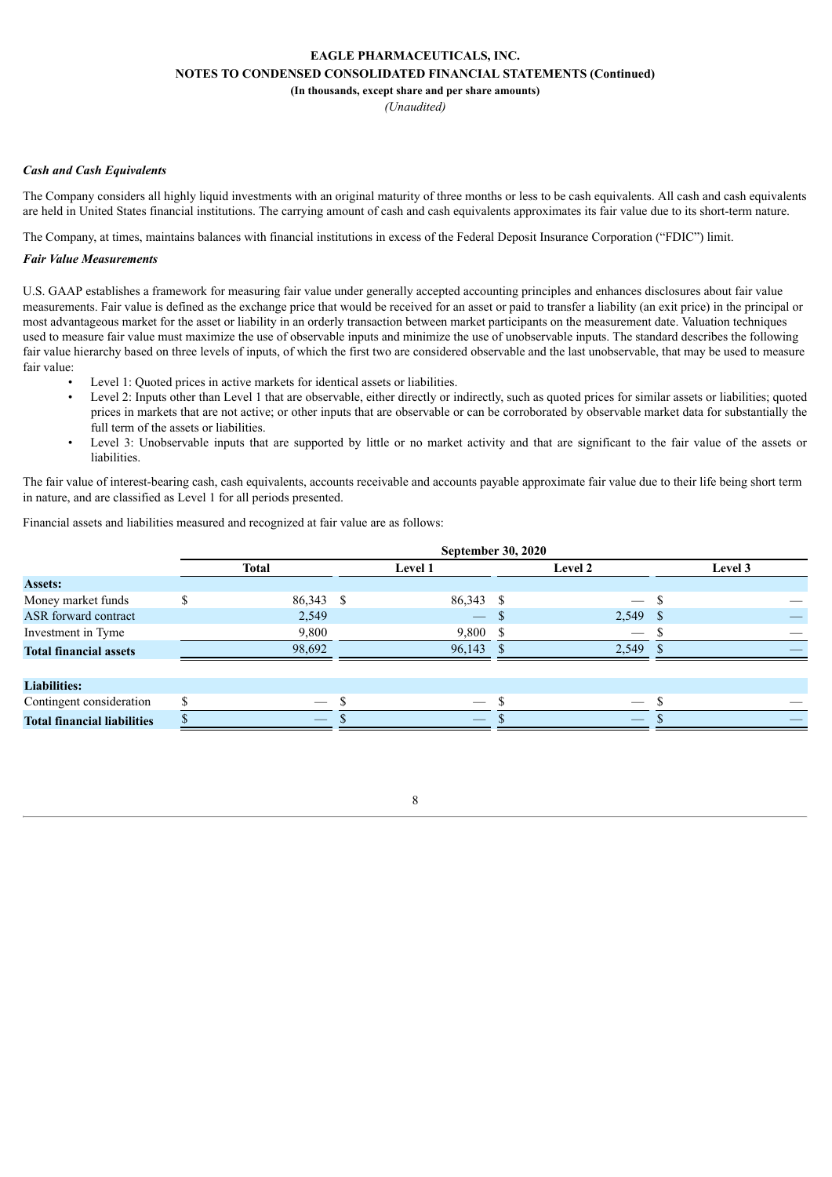*(Unaudited)*

### *Cash and Cash Equivalents*

The Company considers all highly liquid investments with an original maturity of three months or less to be cash equivalents. All cash and cash equivalents are held in United States financial institutions. The carrying amount of cash and cash equivalents approximates its fair value due to its short-term nature.

The Company, at times, maintains balances with financial institutions in excess of the Federal Deposit Insurance Corporation ("FDIC") limit.

#### *Fair Value Measurements*

U.S. GAAP establishes a framework for measuring fair value under generally accepted accounting principles and enhances disclosures about fair value measurements. Fair value is defined as the exchange price that would be received for an asset or paid to transfer a liability (an exit price) in the principal or most advantageous market for the asset or liability in an orderly transaction between market participants on the measurement date. Valuation techniques used to measure fair value must maximize the use of observable inputs and minimize the use of unobservable inputs. The standard describes the following fair value hierarchy based on three levels of inputs, of which the first two are considered observable and the last unobservable, that may be used to measure fair value:

- Level 1: Quoted prices in active markets for identical assets or liabilities.
- Level 2: Inputs other than Level 1 that are observable, either directly or indirectly, such as quoted prices for similar assets or liabilities; quoted prices in markets that are not active; or other inputs that are observable or can be corroborated by observable market data for substantially the full term of the assets or liabilities.
- Level 3: Unobservable inputs that are supported by little or no market activity and that are significant to the fair value of the assets or liabilities.

The fair value of interest-bearing cash, cash equivalents, accounts receivable and accounts payable approximate fair value due to their life being short term in nature, and are classified as Level 1 for all periods presented.

Financial assets and liabilities measured and recognized at fair value are as follows:

|                                    | <b>September 30, 2020</b> |                          |  |           |     |                          |  |         |  |  |  |  |  |
|------------------------------------|---------------------------|--------------------------|--|-----------|-----|--------------------------|--|---------|--|--|--|--|--|
|                                    | <b>Total</b>              |                          |  | Level 1   |     | <b>Level 2</b>           |  | Level 3 |  |  |  |  |  |
| Assets:                            |                           |                          |  |           |     |                          |  |         |  |  |  |  |  |
| Money market funds                 | Φ                         | 86,343 \$                |  | 86,343 \$ |     | $\overline{\phantom{0}}$ |  |         |  |  |  |  |  |
| ASR forward contract               |                           | 2,549                    |  |           |     | $2,549$ \$               |  |         |  |  |  |  |  |
| Investment in Tyme                 |                           | 9,800                    |  | 9,800     | - S |                          |  |         |  |  |  |  |  |
| <b>Total financial assets</b>      |                           | 98,692                   |  | 96,143    |     | 2.549                    |  |         |  |  |  |  |  |
|                                    |                           |                          |  |           |     |                          |  |         |  |  |  |  |  |
| <b>Liabilities:</b>                |                           |                          |  |           |     |                          |  |         |  |  |  |  |  |
| Contingent consideration           | ወ                         |                          |  |           |     | __                       |  |         |  |  |  |  |  |
| <b>Total financial liabilities</b> |                           | $\overline{\phantom{0}}$ |  |           |     |                          |  |         |  |  |  |  |  |
|                                    |                           |                          |  |           |     |                          |  |         |  |  |  |  |  |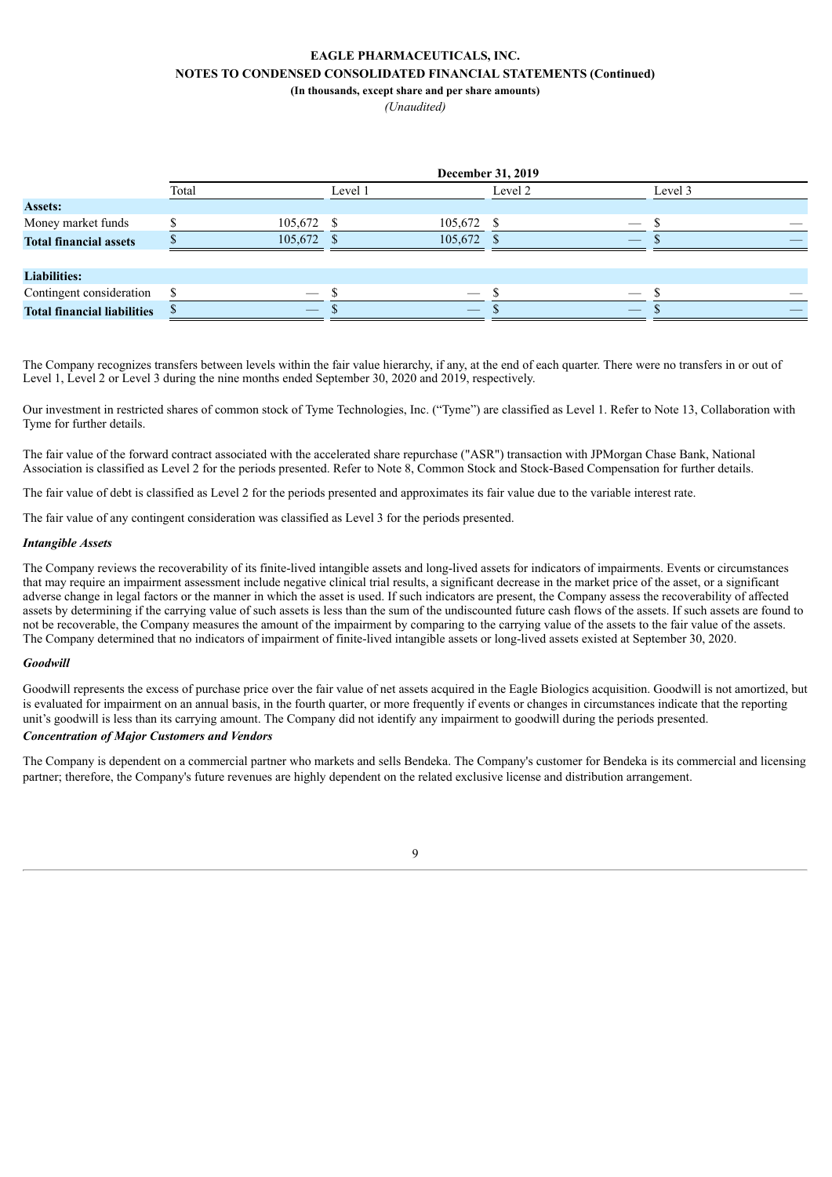*(Unaudited)*

|                                    |              |         | <b>December 31, 2019</b> |         |  |  |
|------------------------------------|--------------|---------|--------------------------|---------|--|--|
|                                    | Total        | Level 1 | Level 2                  | Level 3 |  |  |
| Assets:                            |              |         |                          |         |  |  |
| Money market funds                 | $105,672$ \$ | 105,672 |                          |         |  |  |
| <b>Total financial assets</b>      | 105,672 \$   | 105,672 |                          |         |  |  |
|                                    |              |         |                          |         |  |  |
| <b>Liabilities:</b>                |              |         |                          |         |  |  |
| Contingent consideration           |              |         |                          |         |  |  |
| <b>Total financial liabilities</b> |              |         |                          |         |  |  |

The Company recognizes transfers between levels within the fair value hierarchy, if any, at the end of each quarter. There were no transfers in or out of Level 1, Level 2 or Level 3 during the nine months ended September 30, 2020 and 2019, respectively.

Our investment in restricted shares of common stock of Tyme Technologies, Inc. ("Tyme") are classified as Level 1. Refer to Note 13, Collaboration with Tyme for further details.

The fair value of the forward contract associated with the accelerated share repurchase ("ASR") transaction with JPMorgan Chase Bank, National Association is classified as Level 2 for the periods presented. Refer to Note 8, Common Stock and Stock-Based Compensation for further details.

The fair value of debt is classified as Level 2 for the periods presented and approximates its fair value due to the variable interest rate.

The fair value of any contingent consideration was classified as Level 3 for the periods presented.

#### *Intangible Assets*

The Company reviews the recoverability of its finite-lived intangible assets and long-lived assets for indicators of impairments. Events or circumstances that may require an impairment assessment include negative clinical trial results, a significant decrease in the market price of the asset, or a significant adverse change in legal factors or the manner in which the asset is used. If such indicators are present, the Company assess the recoverability of affected assets by determining if the carrying value of such assets is less than the sum of the undiscounted future cash flows of the assets. If such assets are found to not be recoverable, the Company measures the amount of the impairment by comparing to the carrying value of the assets to the fair value of the assets. The Company determined that no indicators of impairment of finite-lived intangible assets or long-lived assets existed at September 30, 2020.

#### *Goodwill*

Goodwill represents the excess of purchase price over the fair value of net assets acquired in the Eagle Biologics acquisition. Goodwill is not amortized, but is evaluated for impairment on an annual basis, in the fourth quarter, or more frequently if events or changes in circumstances indicate that the reporting unit's goodwill is less than its carrying amount. The Company did not identify any impairment to goodwill during the periods presented. *Concentration of Major Customers and Vendors*

The Company is dependent on a commercial partner who markets and sells Bendeka. The Company's customer for Bendeka is its commercial and licensing partner; therefore, the Company's future revenues are highly dependent on the related exclusive license and distribution arrangement.

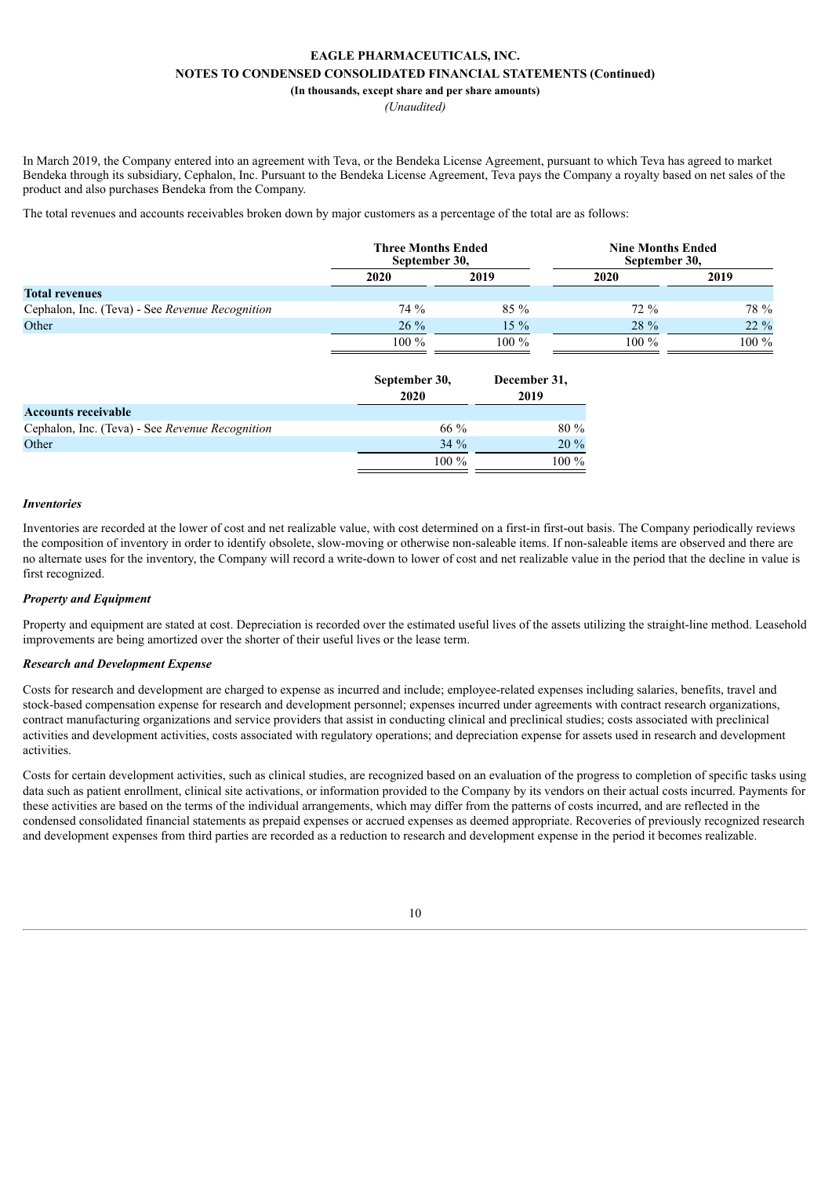**(In thousands, except share and per share amounts)**

*(Unaudited)*

In March 2019, the Company entered into an agreement with Teva, or the Bendeka License Agreement, pursuant to which Teva has agreed to market Bendeka through its subsidiary, Cephalon, Inc. Pursuant to the Bendeka License Agreement, Teva pays the Company a royalty based on net sales of the product and also purchases Bendeka from the Company.

The total revenues and accounts receivables broken down by major customers as a percentage of the total are as follows:

|                                                 | <b>Three Months Ended</b><br>September 30, |         | <b>Nine Months Ended</b><br>September 30, |         |  |  |
|-------------------------------------------------|--------------------------------------------|---------|-------------------------------------------|---------|--|--|
|                                                 | 2020                                       | 2019    | 2020                                      | 2019    |  |  |
| <b>Total revenues</b>                           |                                            |         |                                           |         |  |  |
| Cephalon, Inc. (Teva) - See Revenue Recognition | 74%                                        | $85\%$  | 72 %                                      | 78 %    |  |  |
| Other                                           | $26\%$                                     | $15\%$  | 28 %                                      | $22\%$  |  |  |
|                                                 | $100\%$                                    | $100\%$ | $100\%$                                   | $100\%$ |  |  |

|                                                 | September 30,<br>2020 | December 31,<br>2019 |
|-------------------------------------------------|-----------------------|----------------------|
| <b>Accounts receivable</b>                      |                       |                      |
| Cephalon, Inc. (Teva) - See Revenue Recognition | $66\%$                | $80\%$               |
| Other                                           | $34\%$                | 20%                  |
|                                                 | $100\%$               | $100\%$              |

#### *Inventories*

Inventories are recorded at the lower of cost and net realizable value, with cost determined on a first-in first-out basis. The Company periodically reviews the composition of inventory in order to identify obsolete, slow-moving or otherwise non-saleable items. If non-saleable items are observed and there are no alternate uses for the inventory, the Company will record a write-down to lower of cost and net realizable value in the period that the decline in value is first recognized.

#### *Property and Equipment*

Property and equipment are stated at cost. Depreciation is recorded over the estimated useful lives of the assets utilizing the straight-line method. Leasehold improvements are being amortized over the shorter of their useful lives or the lease term.

#### *Research and Development Expense*

Costs for research and development are charged to expense as incurred and include; employee-related expenses including salaries, benefits, travel and stock-based compensation expense for research and development personnel; expenses incurred under agreements with contract research organizations, contract manufacturing organizations and service providers that assist in conducting clinical and preclinical studies; costs associated with preclinical activities and development activities, costs associated with regulatory operations; and depreciation expense for assets used in research and development activities.

Costs for certain development activities, such as clinical studies, are recognized based on an evaluation of the progress to completion of specific tasks using data such as patient enrollment, clinical site activations, or information provided to the Company by its vendors on their actual costs incurred. Payments for these activities are based on the terms of the individual arrangements, which may differ from the patterns of costs incurred, and are reflected in the condensed consolidated financial statements as prepaid expenses or accrued expenses as deemed appropriate. Recoveries of previously recognized research and development expenses from third parties are recorded as a reduction to research and development expense in the period it becomes realizable.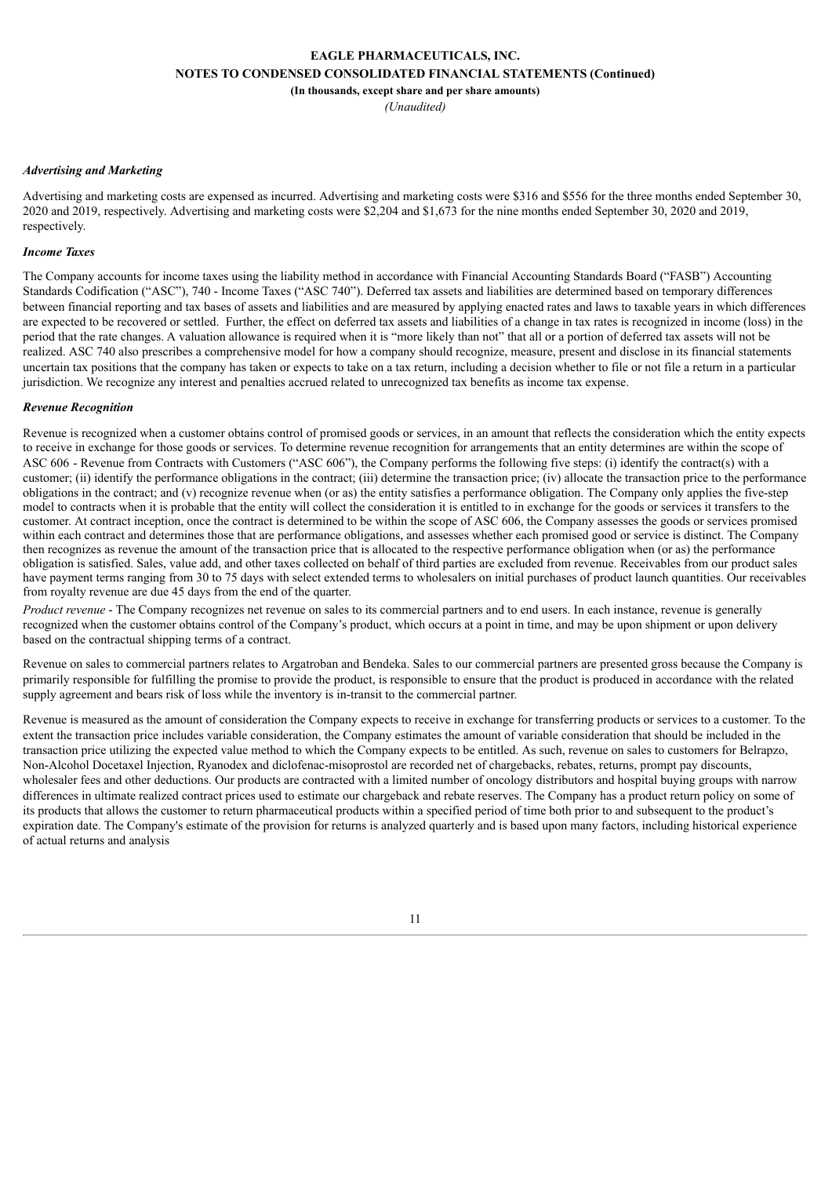*(Unaudited)*

#### *Advertising and Marketing*

Advertising and marketing costs are expensed as incurred. Advertising and marketing costs were \$316 and \$556 for the three months ended September 30, 2020 and 2019, respectively. Advertising and marketing costs were \$2,204 and \$1,673 for the nine months ended September 30, 2020 and 2019, respectively.

#### *Income Taxes*

The Company accounts for income taxes using the liability method in accordance with Financial Accounting Standards Board ("FASB") Accounting Standards Codification ("ASC"), 740 - Income Taxes ("ASC 740"). Deferred tax assets and liabilities are determined based on temporary differences between financial reporting and tax bases of assets and liabilities and are measured by applying enacted rates and laws to taxable years in which differences are expected to be recovered or settled. Further, the effect on deferred tax assets and liabilities of a change in tax rates is recognized in income (loss) in the period that the rate changes. A valuation allowance is required when it is "more likely than not" that all or a portion of deferred tax assets will not be realized. ASC 740 also prescribes a comprehensive model for how a company should recognize, measure, present and disclose in its financial statements uncertain tax positions that the company has taken or expects to take on a tax return, including a decision whether to file or not file a return in a particular jurisdiction. We recognize any interest and penalties accrued related to unrecognized tax benefits as income tax expense.

#### *Revenue Recognition*

Revenue is recognized when a customer obtains control of promised goods or services, in an amount that reflects the consideration which the entity expects to receive in exchange for those goods or services. To determine revenue recognition for arrangements that an entity determines are within the scope of ASC 606 - Revenue from Contracts with Customers ("ASC 606"), the Company performs the following five steps: (i) identify the contract(s) with a customer; (ii) identify the performance obligations in the contract; (iii) determine the transaction price; (iv) allocate the transaction price to the performance obligations in the contract; and (v) recognize revenue when (or as) the entity satisfies a performance obligation. The Company only applies the five-step model to contracts when it is probable that the entity will collect the consideration it is entitled to in exchange for the goods or services it transfers to the customer. At contract inception, once the contract is determined to be within the scope of ASC 606, the Company assesses the goods or services promised within each contract and determines those that are performance obligations, and assesses whether each promised good or service is distinct. The Company then recognizes as revenue the amount of the transaction price that is allocated to the respective performance obligation when (or as) the performance obligation is satisfied. Sales, value add, and other taxes collected on behalf of third parties are excluded from revenue. Receivables from our product sales have payment terms ranging from 30 to 75 days with select extended terms to wholesalers on initial purchases of product launch quantities. Our receivables from royalty revenue are due 45 days from the end of the quarter.

*Product revenue* - The Company recognizes net revenue on sales to its commercial partners and to end users. In each instance, revenue is generally recognized when the customer obtains control of the Company's product, which occurs at a point in time, and may be upon shipment or upon delivery based on the contractual shipping terms of a contract.

Revenue on sales to commercial partners relates to Argatroban and Bendeka. Sales to our commercial partners are presented gross because the Company is primarily responsible for fulfilling the promise to provide the product, is responsible to ensure that the product is produced in accordance with the related supply agreement and bears risk of loss while the inventory is in-transit to the commercial partner.

Revenue is measured as the amount of consideration the Company expects to receive in exchange for transferring products or services to a customer. To the extent the transaction price includes variable consideration, the Company estimates the amount of variable consideration that should be included in the transaction price utilizing the expected value method to which the Company expects to be entitled. As such, revenue on sales to customers for Belrapzo, Non-Alcohol Docetaxel Injection, Ryanodex and diclofenac-misoprostol are recorded net of chargebacks, rebates, returns, prompt pay discounts, wholesaler fees and other deductions. Our products are contracted with a limited number of oncology distributors and hospital buying groups with narrow differences in ultimate realized contract prices used to estimate our chargeback and rebate reserves. The Company has a product return policy on some of its products that allows the customer to return pharmaceutical products within a specified period of time both prior to and subsequent to the product's expiration date. The Company's estimate of the provision for returns is analyzed quarterly and is based upon many factors, including historical experience of actual returns and analysis

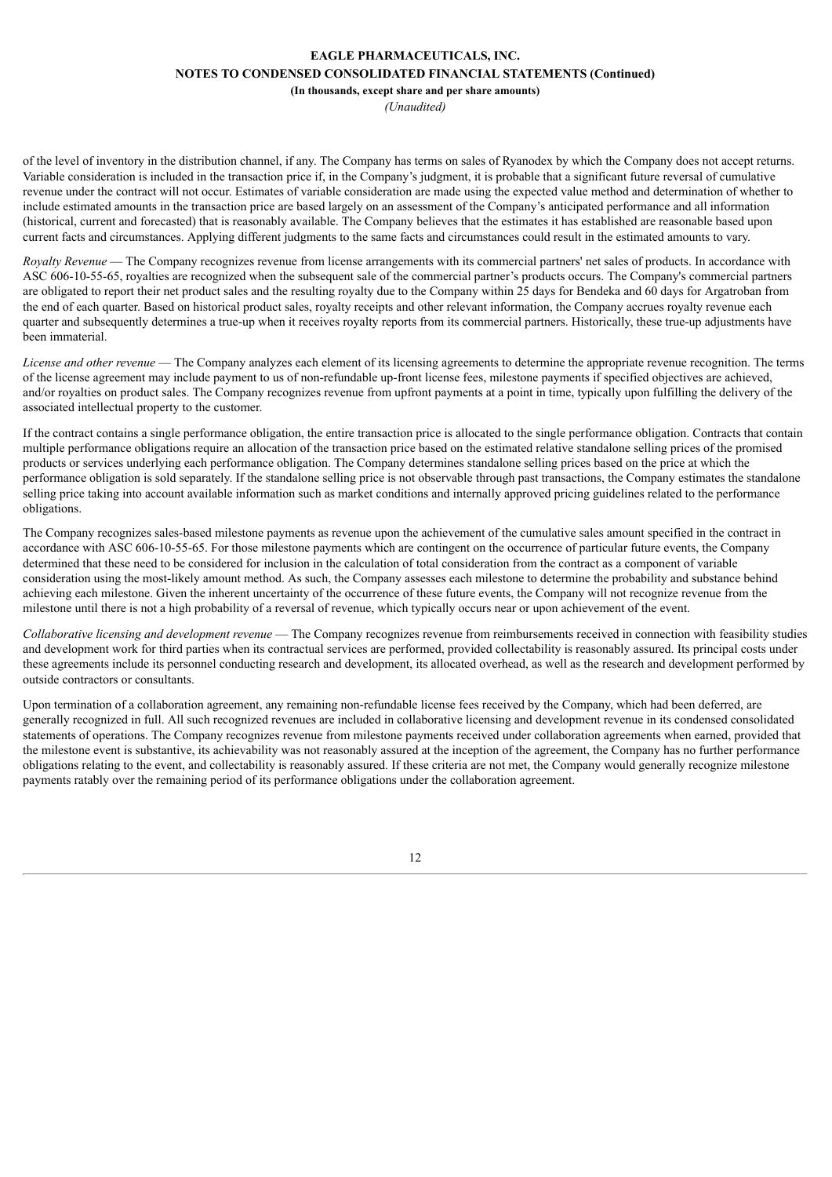**(In thousands, except share and per share amounts)**

*(Unaudited)*

of the level of inventory in the distribution channel, if any. The Company has terms on sales of Ryanodex by which the Company does not accept returns. Variable consideration is included in the transaction price if, in the Company's judgment, it is probable that a significant future reversal of cumulative revenue under the contract will not occur. Estimates of variable consideration are made using the expected value method and determination of whether to include estimated amounts in the transaction price are based largely on an assessment of the Company's anticipated performance and all information (historical, current and forecasted) that is reasonably available. The Company believes that the estimates it has established are reasonable based upon current facts and circumstances. Applying different judgments to the same facts and circumstances could result in the estimated amounts to vary.

*Royalty Revenue* — The Company recognizes revenue from license arrangements with its commercial partners' net sales of products. In accordance with ASC 606-10-55-65, royalties are recognized when the subsequent sale of the commercial partner's products occurs. The Company's commercial partners are obligated to report their net product sales and the resulting royalty due to the Company within 25 days for Bendeka and 60 days for Argatroban from the end of each quarter. Based on historical product sales, royalty receipts and other relevant information, the Company accrues royalty revenue each quarter and subsequently determines a true-up when it receives royalty reports from its commercial partners. Historically, these true-up adjustments have been immaterial.

*License and other revenue* — The Company analyzes each element of its licensing agreements to determine the appropriate revenue recognition. The terms of the license agreement may include payment to us of non-refundable up-front license fees, milestone payments if specified objectives are achieved, and/or royalties on product sales. The Company recognizes revenue from upfront payments at a point in time, typically upon fulfilling the delivery of the associated intellectual property to the customer.

If the contract contains a single performance obligation, the entire transaction price is allocated to the single performance obligation. Contracts that contain multiple performance obligations require an allocation of the transaction price based on the estimated relative standalone selling prices of the promised products or services underlying each performance obligation. The Company determines standalone selling prices based on the price at which the performance obligation is sold separately. If the standalone selling price is not observable through past transactions, the Company estimates the standalone selling price taking into account available information such as market conditions and internally approved pricing guidelines related to the performance obligations.

The Company recognizes sales-based milestone payments as revenue upon the achievement of the cumulative sales amount specified in the contract in accordance with ASC 606-10-55-65. For those milestone payments which are contingent on the occurrence of particular future events, the Company determined that these need to be considered for inclusion in the calculation of total consideration from the contract as a component of variable consideration using the most-likely amount method. As such, the Company assesses each milestone to determine the probability and substance behind achieving each milestone. Given the inherent uncertainty of the occurrence of these future events, the Company will not recognize revenue from the milestone until there is not a high probability of a reversal of revenue, which typically occurs near or upon achievement of the event.

*Collaborative licensing and development revenue* — The Company recognizes revenue from reimbursements received in connection with feasibility studies and development work for third parties when its contractual services are performed, provided collectability is reasonably assured. Its principal costs under these agreements include its personnel conducting research and development, its allocated overhead, as well as the research and development performed by outside contractors or consultants.

Upon termination of a collaboration agreement, any remaining non-refundable license fees received by the Company, which had been deferred, are generally recognized in full. All such recognized revenues are included in collaborative licensing and development revenue in its condensed consolidated statements of operations. The Company recognizes revenue from milestone payments received under collaboration agreements when earned, provided that the milestone event is substantive, its achievability was not reasonably assured at the inception of the agreement, the Company has no further performance obligations relating to the event, and collectability is reasonably assured. If these criteria are not met, the Company would generally recognize milestone payments ratably over the remaining period of its performance obligations under the collaboration agreement.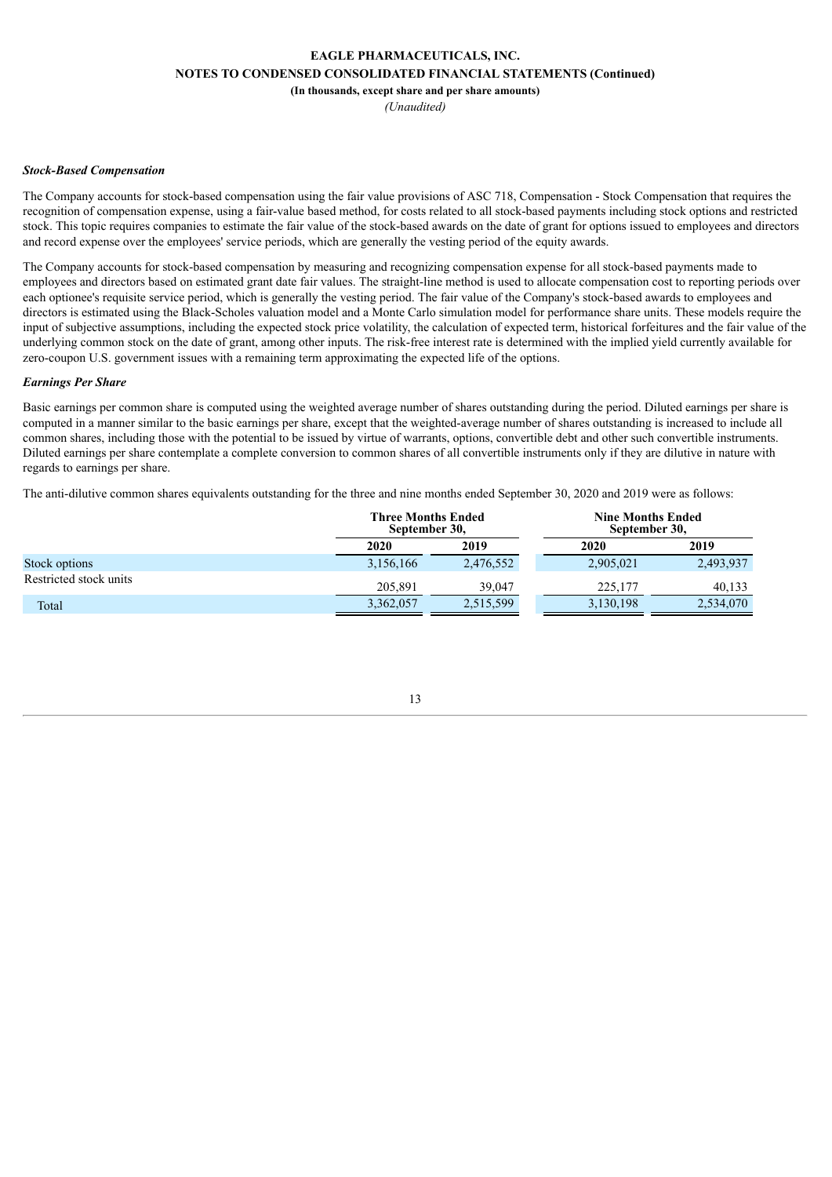**(In thousands, except share and per share amounts)**

*(Unaudited)*

#### *Stock-Based Compensation*

The Company accounts for stock-based compensation using the fair value provisions of ASC 718, Compensation - Stock Compensation that requires the recognition of compensation expense, using a fair-value based method, for costs related to all stock-based payments including stock options and restricted stock. This topic requires companies to estimate the fair value of the stock-based awards on the date of grant for options issued to employees and directors and record expense over the employees' service periods, which are generally the vesting period of the equity awards.

The Company accounts for stock-based compensation by measuring and recognizing compensation expense for all stock-based payments made to employees and directors based on estimated grant date fair values. The straight-line method is used to allocate compensation cost to reporting periods over each optionee's requisite service period, which is generally the vesting period. The fair value of the Company's stock-based awards to employees and directors is estimated using the Black-Scholes valuation model and a Monte Carlo simulation model for performance share units. These models require the input of subjective assumptions, including the expected stock price volatility, the calculation of expected term, historical forfeitures and the fair value of the underlying common stock on the date of grant, among other inputs. The risk-free interest rate is determined with the implied yield currently available for zero-coupon U.S. government issues with a remaining term approximating the expected life of the options.

#### *Earnings Per Share*

Basic earnings per common share is computed using the weighted average number of shares outstanding during the period. Diluted earnings per share is computed in a manner similar to the basic earnings per share, except that the weighted-average number of shares outstanding is increased to include all common shares, including those with the potential to be issued by virtue of warrants, options, convertible debt and other such convertible instruments. Diluted earnings per share contemplate a complete conversion to common shares of all convertible instruments only if they are dilutive in nature with regards to earnings per share.

The anti-dilutive common shares equivalents outstanding for the three and nine months ended September 30, 2020 and 2019 were as follows:

|                        | September 30, | <b>Three Months Ended</b> | September 30, | <b>Nine Months Ended</b> |  |
|------------------------|---------------|---------------------------|---------------|--------------------------|--|
|                        | 2020          | 2019                      | 2020          | 2019                     |  |
| Stock options          | 3,156,166     | 2,476,552                 | 2,905,021     | 2,493,937                |  |
| Restricted stock units | 205.891       | 39.047                    | 225,177       | 40.133                   |  |
| Total                  | 3,362,057     | 2,515,599                 | 3,130,198     | 2,534,070                |  |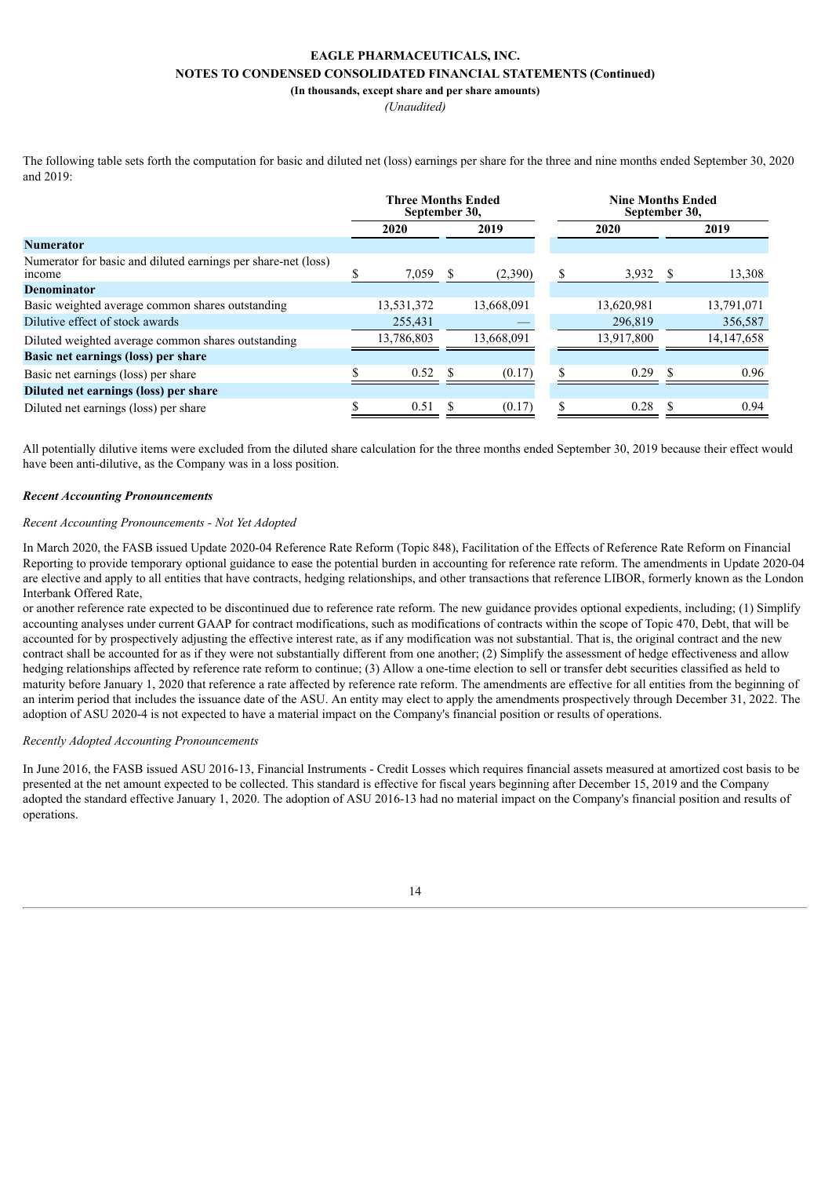**(In thousands, except share and per share amounts)**

*(Unaudited)*

The following table sets forth the computation for basic and diluted net (loss) earnings per share for the three and nine months ended September 30, 2020 and 2019:

|                                                                         |                      | <b>Three Months Ended</b><br>September 30, |   |            |      |            | <b>Nine Months Ended</b><br>September 30, |  |  |
|-------------------------------------------------------------------------|----------------------|--------------------------------------------|---|------------|------|------------|-------------------------------------------|--|--|
|                                                                         | 2020<br>2019<br>2020 |                                            |   |            | 2019 |            |                                           |  |  |
| <b>Numerator</b>                                                        |                      |                                            |   |            |      |            |                                           |  |  |
| Numerator for basic and diluted earnings per share-net (loss)<br>income |                      | 7,059                                      | S | (2,390)    | ъ    | $3,932$ \$ | 13,308                                    |  |  |
| <b>Denominator</b>                                                      |                      |                                            |   |            |      |            |                                           |  |  |
| Basic weighted average common shares outstanding                        |                      | 13,531,372                                 |   | 13,668,091 |      | 13,620,981 | 13,791,071                                |  |  |
| Dilutive effect of stock awards                                         |                      | 255,431                                    |   |            |      | 296,819    | 356,587                                   |  |  |
| Diluted weighted average common shares outstanding                      |                      | 13,786,803                                 |   | 13,668,091 |      | 13,917,800 | 14, 147, 658                              |  |  |
| Basic net earnings (loss) per share                                     |                      |                                            |   |            |      |            |                                           |  |  |
| Basic net earnings (loss) per share                                     |                      | 0.52                                       |   | (0.17)     |      | 0.29       | 0.96                                      |  |  |
| Diluted net earnings (loss) per share                                   |                      |                                            |   |            |      |            |                                           |  |  |
| Diluted net earnings (loss) per share                                   |                      | 0.51                                       |   | (0.17)     |      | 0.28       | 0.94                                      |  |  |

All potentially dilutive items were excluded from the diluted share calculation for the three months ended September 30, 2019 because their effect would have been anti-dilutive, as the Company was in a loss position.

#### *Recent Accounting Pronouncements*

#### *Recent Accounting Pronouncements - Not Yet Adopted*

In March 2020, the FASB issued Update 2020-04 Reference Rate Reform (Topic 848), Facilitation of the Effects of Reference Rate Reform on Financial Reporting to provide temporary optional guidance to ease the potential burden in accounting for reference rate reform. The amendments in Update 2020-04 are elective and apply to all entities that have contracts, hedging relationships, and other transactions that reference LIBOR, formerly known as the London Interbank Offered Rate,

or another reference rate expected to be discontinued due to reference rate reform. The new guidance provides optional expedients, including; (1) Simplify accounting analyses under current GAAP for contract modifications, such as modifications of contracts within the scope of Topic 470, Debt, that will be accounted for by prospectively adjusting the effective interest rate, as if any modification was not substantial. That is, the original contract and the new contract shall be accounted for as if they were not substantially different from one another; (2) Simplify the assessment of hedge effectiveness and allow hedging relationships affected by reference rate reform to continue; (3) Allow a one-time election to sell or transfer debt securities classified as held to maturity before January 1, 2020 that reference a rate affected by reference rate reform. The amendments are effective for all entities from the beginning of an interim period that includes the issuance date of the ASU. An entity may elect to apply the amendments prospectively through December 31, 2022. The adoption of ASU 2020-4 is not expected to have a material impact on the Company's financial position or results of operations.

#### *Recently Adopted Accounting Pronouncements*

In June 2016, the FASB issued ASU 2016-13, Financial Instruments - Credit Losses which requires financial assets measured at amortized cost basis to be presented at the net amount expected to be collected. This standard is effective for fiscal years beginning after December 15, 2019 and the Company adopted the standard effective January 1, 2020. The adoption of ASU 2016-13 had no material impact on the Company's financial position and results of operations.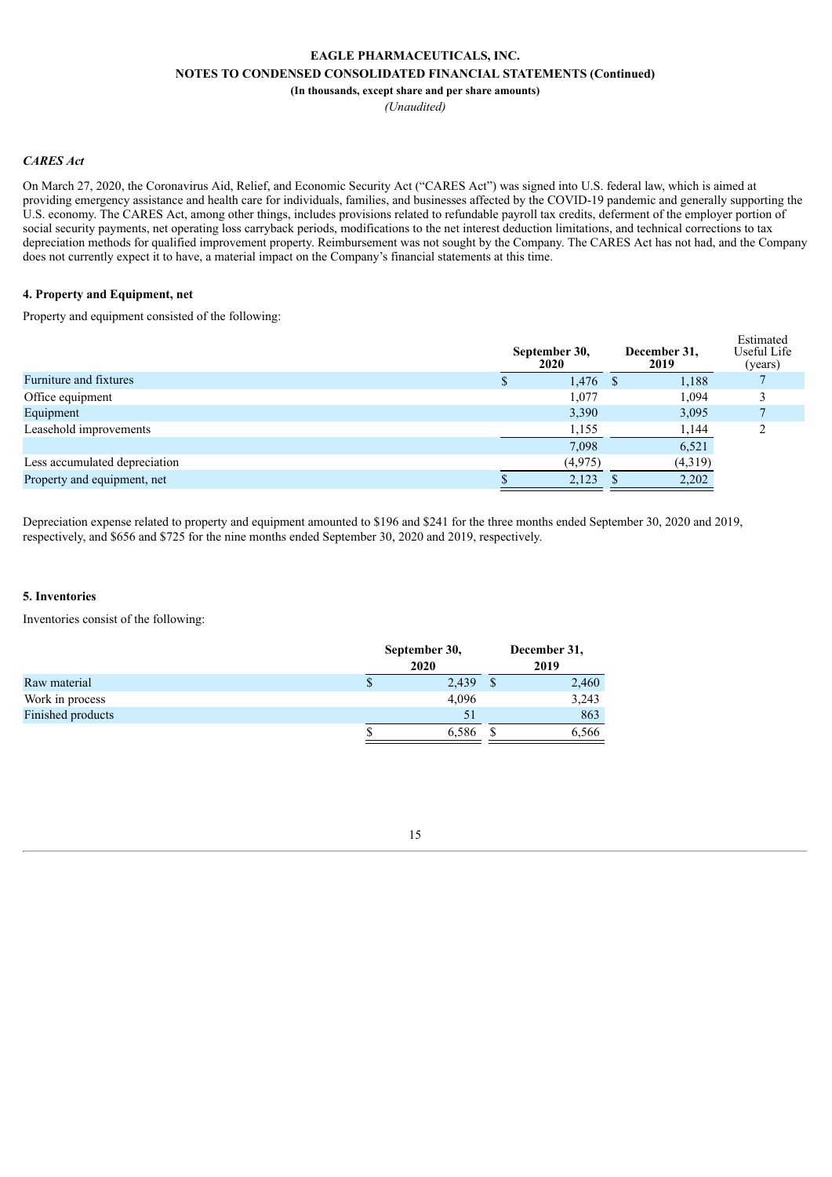*(Unaudited)*

### *CARES Act*

On March 27, 2020, the Coronavirus Aid, Relief, and Economic Security Act ("CARES Act") was signed into U.S. federal law, which is aimed at providing emergency assistance and health care for individuals, families, and businesses affected by the COVID-19 pandemic and generally supporting the U.S. economy. The CARES Act, among other things, includes provisions related to refundable payroll tax credits, deferment of the employer portion of social security payments, net operating loss carryback periods, modifications to the net interest deduction limitations, and technical corrections to tax depreciation methods for qualified improvement property. Reimbursement was not sought by the Company. The CARES Act has not had, and the Company does not currently expect it to have, a material impact on the Company's financial statements at this time.

#### **4. Property and Equipment, net**

Property and equipment consisted of the following:

|                               | September 30,<br>2020 | December 31,<br>2019 | Estimated<br>Useful Life<br>(years) |
|-------------------------------|-----------------------|----------------------|-------------------------------------|
| Furniture and fixtures        | $1,476$ \$            | 1,188                |                                     |
| Office equipment              | 1,077                 | 1,094                |                                     |
| Equipment                     | 3,390                 | 3,095                |                                     |
| Leasehold improvements        | 1,155                 | 1,144                |                                     |
|                               | 7,098                 | 6,521                |                                     |
| Less accumulated depreciation | (4,975)               | (4,319)              |                                     |
| Property and equipment, net   | 2,123                 | 2,202                |                                     |

Depreciation expense related to property and equipment amounted to \$196 and \$241 for the three months ended September 30, 2020 and 2019, respectively, and \$656 and \$725 for the nine months ended September 30, 2020 and 2019, respectively.

### **5. Inventories**

Inventories consist of the following:

|                   | September 30,<br>2020 |       |  |       |  |  |  |
|-------------------|-----------------------|-------|--|-------|--|--|--|
| Raw material      | S                     | 2,439 |  | 2,460 |  |  |  |
| Work in process   |                       | 4,096 |  | 3,243 |  |  |  |
| Finished products |                       | 51    |  | 863   |  |  |  |
|                   |                       | 6,586 |  | 6,566 |  |  |  |
|                   |                       |       |  |       |  |  |  |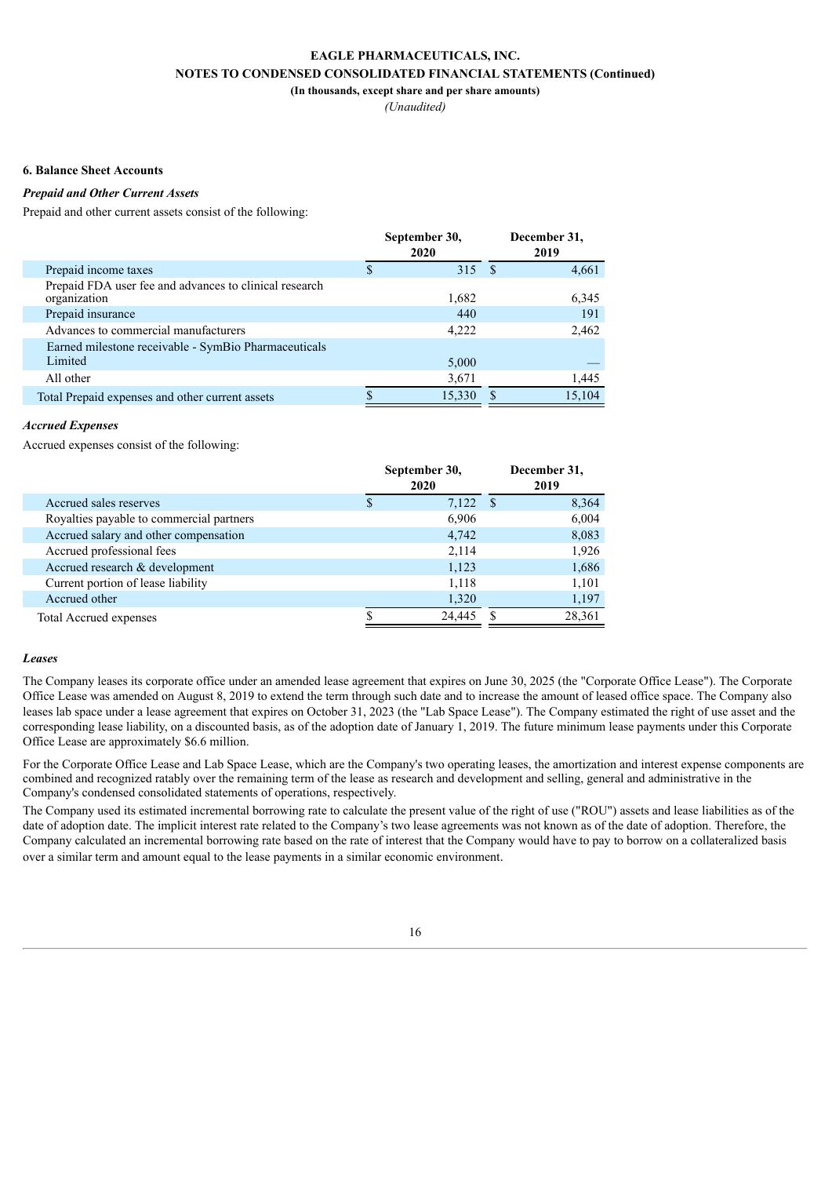*(Unaudited)*

#### **6. Balance Sheet Accounts**

#### *Prepaid and Other Current Assets*

Prepaid and other current assets consist of the following:

|                                                                        |   | September 30,<br>2020 | December 31,<br>2019 |
|------------------------------------------------------------------------|---|-----------------------|----------------------|
| Prepaid income taxes                                                   | S | 315 \$                | 4,661                |
| Prepaid FDA user fee and advances to clinical research<br>organization |   | 1,682                 | 6,345                |
| Prepaid insurance                                                      |   | 440                   | 191                  |
| Advances to commercial manufacturers                                   |   | 4,222                 | 2,462                |
| Earned milestone receivable - SymBio Pharmaceuticals<br>Limited        |   | 5,000                 |                      |
| All other                                                              |   | 3,671                 | 1,445                |
| Total Prepaid expenses and other current assets                        |   | 15,330                | 15,104               |

#### *Accrued Expenses*

Accrued expenses consist of the following:

|                                          | September 30,<br>2020 |        | December 31.<br>2019 |        |
|------------------------------------------|-----------------------|--------|----------------------|--------|
| Accrued sales reserves                   | S                     | 7,122  | - S                  | 8,364  |
| Royalties payable to commercial partners |                       | 6,906  |                      | 6,004  |
| Accrued salary and other compensation    |                       | 4,742  |                      | 8,083  |
| Accrued professional fees                |                       | 2,114  |                      | 1,926  |
| Accrued research & development           |                       | 1,123  |                      | 1,686  |
| Current portion of lease liability       |                       | 1,118  |                      | 1,101  |
| Accrued other                            |                       | 1,320  |                      | 1,197  |
| <b>Total Accrued expenses</b>            |                       | 24,445 |                      | 28,361 |

#### *Leases*

The Company leases its corporate office under an amended lease agreement that expires on June 30, 2025 (the "Corporate Office Lease"). The Corporate Office Lease was amended on August 8, 2019 to extend the term through such date and to increase the amount of leased office space. The Company also leases lab space under a lease agreement that expires on October 31, 2023 (the "Lab Space Lease"). The Company estimated the right of use asset and the corresponding lease liability, on a discounted basis, as of the adoption date of January 1, 2019. The future minimum lease payments under this Corporate Office Lease are approximately \$6.6 million.

For the Corporate Office Lease and Lab Space Lease, which are the Company's two operating leases, the amortization and interest expense components are combined and recognized ratably over the remaining term of the lease as research and development and selling, general and administrative in the Company's condensed consolidated statements of operations, respectively.

The Company used its estimated incremental borrowing rate to calculate the present value of the right of use ("ROU") assets and lease liabilities as of the date of adoption date. The implicit interest rate related to the Company's two lease agreements was not known as of the date of adoption. Therefore, the Company calculated an incremental borrowing rate based on the rate of interest that the Company would have to pay to borrow on a collateralized basis over a similar term and amount equal to the lease payments in a similar economic environment.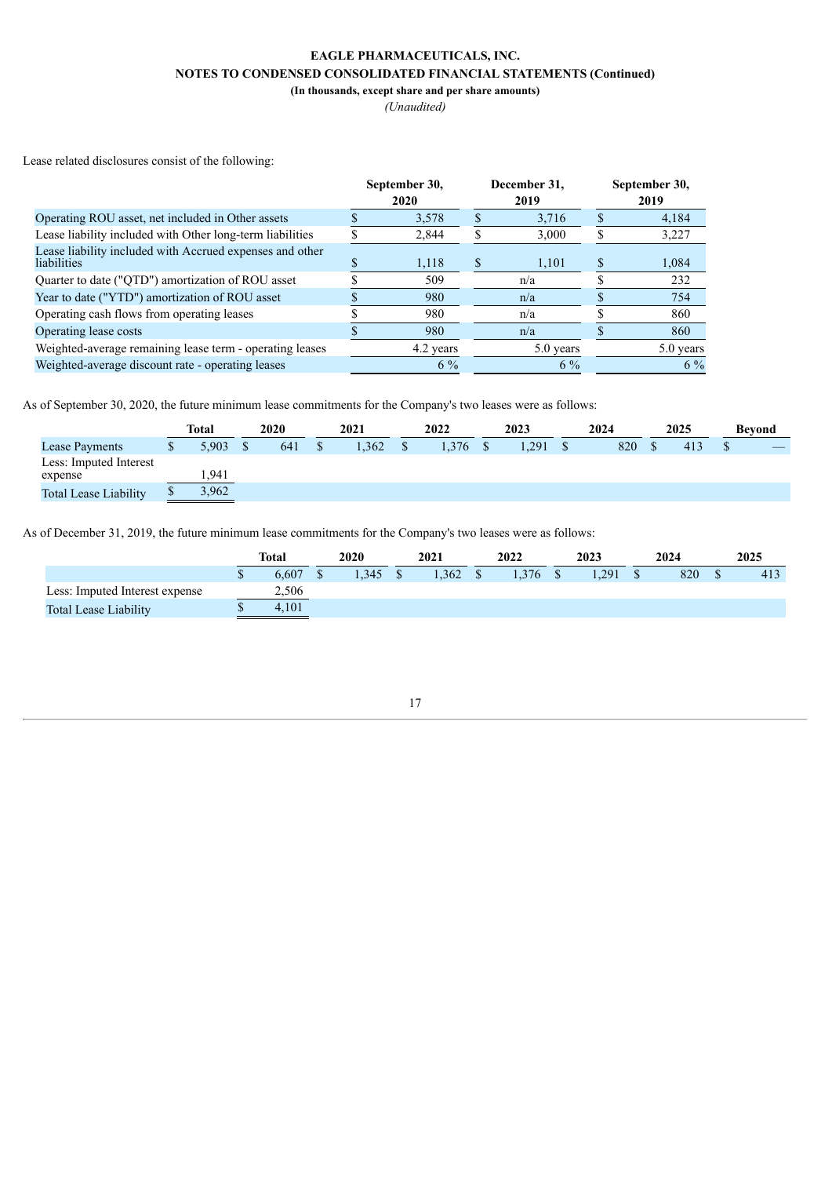*(Unaudited)*

Lease related disclosures consist of the following:

|                                                                         | September 30,<br>2020 | December 31,<br>2019 | September 30,<br>2019 |
|-------------------------------------------------------------------------|-----------------------|----------------------|-----------------------|
| Operating ROU asset, net included in Other assets                       | 3,578                 | 3,716                | 4,184                 |
| Lease liability included with Other long-term liabilities               | 2,844                 | 3,000                | 3,227                 |
| Lease liability included with Accrued expenses and other<br>liabilities | 1,118                 | 1,101                | 1,084                 |
| Quarter to date ("QTD") amortization of ROU asset                       | 509                   | n/a                  | 232                   |
| Year to date ("YTD") amortization of ROU asset                          | 980                   | n/a                  | 754                   |
| Operating cash flows from operating leases                              | 980                   | n/a                  | 860                   |
| Operating lease costs                                                   | 980                   | n/a                  | 860                   |
| Weighted-average remaining lease term - operating leases                | 4.2 years             | 5.0 years            | 5.0 years             |
| Weighted-average discount rate - operating leases                       | $6\%$                 | $6\%$                | $6\%$                 |
|                                                                         |                       |                      |                       |

As of September 30, 2020, the future minimum lease commitments for the Company's two leases were as follows:

|                                   | <b>Total</b> | 2020 | 2021 | 2022 | 2023 | 2024 | 2025 | <b>Bevond</b> |
|-----------------------------------|--------------|------|------|------|------|------|------|---------------|
| Lease Payments                    | 5.903        | 641  | .362 | .376 | .291 | 820  | 413  |               |
| Less: Imputed Interest<br>expense | .941         |      |      |      |      |      |      |               |
| <b>Total Lease Liability</b>      | 3,962        |      |      |      |      |      |      |               |

As of December 31, 2019, the future minimum lease commitments for the Company's two leases were as follows:

|                                | Total |  | 2020 |  | 2021 |  | 2022 |  | 2023 |  | 2024 |  | 2025 |
|--------------------------------|-------|--|------|--|------|--|------|--|------|--|------|--|------|
|                                | 6.607 |  | .345 |  | .362 |  | .376 |  | .291 |  | 820  |  | 413  |
| Less: Imputed Interest expense | 2,506 |  |      |  |      |  |      |  |      |  |      |  |      |
| <b>Total Lease Liability</b>   | 4,101 |  |      |  |      |  |      |  |      |  |      |  |      |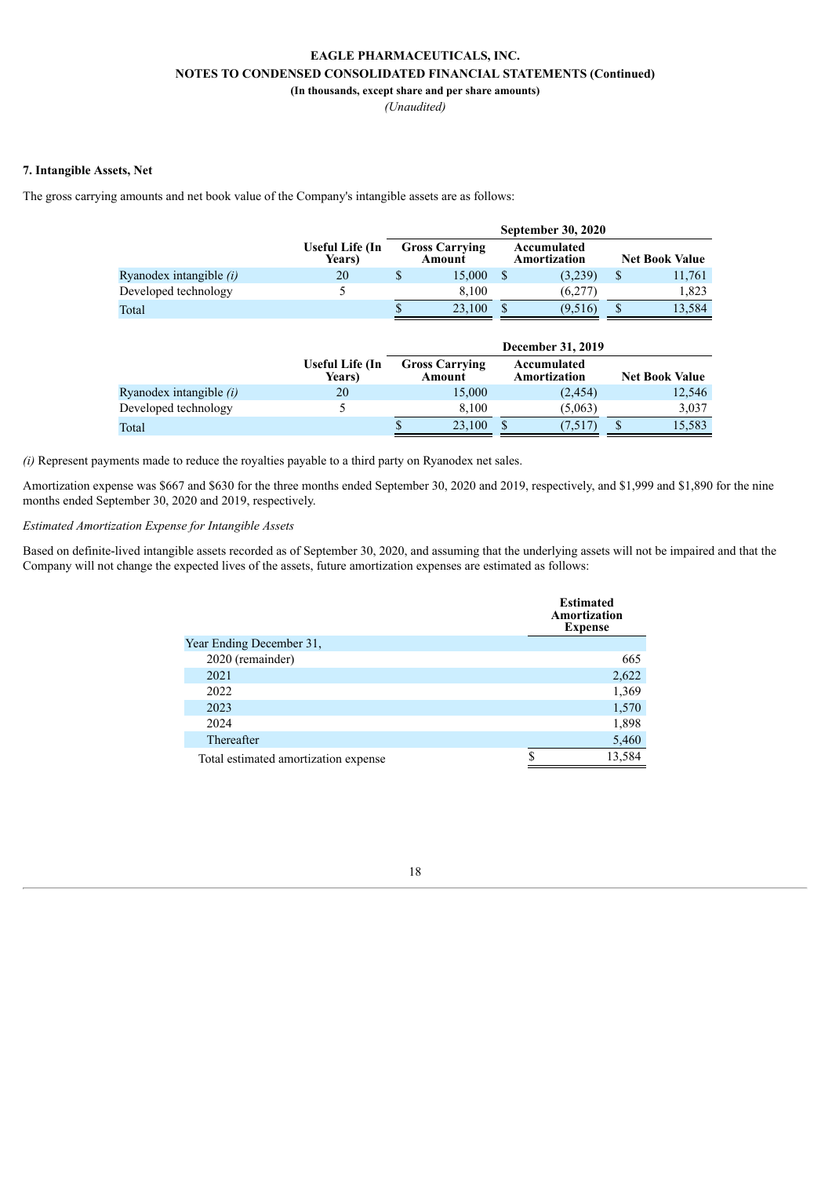*(Unaudited)*

### **7. Intangible Assets, Net**

The gross carrying amounts and net book value of the Company's intangible assets are as follows:

|                           |                           | <b>September 30, 2020</b> |                                 |  |                             |                       |        |  |  |  |  |  |  |
|---------------------------|---------------------------|---------------------------|---------------------------------|--|-----------------------------|-----------------------|--------|--|--|--|--|--|--|
|                           | Useful Life (In<br>Years) |                           | <b>Gross Carrying</b><br>Amount |  | Accumulated<br>Amortization | <b>Net Book Value</b> |        |  |  |  |  |  |  |
| Ryanodex intangible $(i)$ | 20                        |                           | 15,000                          |  | (3,239)                     |                       | 11,761 |  |  |  |  |  |  |
| Developed technology      |                           |                           | 8.100                           |  | (6,277)                     |                       | 1.823  |  |  |  |  |  |  |
| Total                     |                           |                           | 23.100                          |  | (9.516)                     |                       | 13.584 |  |  |  |  |  |  |

|                                |                           |                                 | <b>December 31, 2019</b>    |                       |
|--------------------------------|---------------------------|---------------------------------|-----------------------------|-----------------------|
|                                | Useful Life (In<br>Years) | <b>Gross Carrying</b><br>Amount | Accumulated<br>Amortization | <b>Net Book Value</b> |
| Ryanodex intangible <i>(i)</i> | 20                        | 15,000                          | (2, 454)                    | 12,546                |
| Developed technology           |                           | 8.100                           | (5.063)                     | 3,037                 |
| Total                          |                           | 23,100                          | 7,517                       | 15,583                |

*(i)* Represent payments made to reduce the royalties payable to a third party on Ryanodex net sales.

Amortization expense was \$667 and \$630 for the three months ended September 30, 2020 and 2019, respectively, and \$1,999 and \$1,890 for the nine months ended September 30, 2020 and 2019, respectively.

*Estimated Amortization Expense for Intangible Assets*

Based on definite-lived intangible assets recorded as of September 30, 2020, and assuming that the underlying assets will not be impaired and that the Company will not change the expected lives of the assets, future amortization expenses are estimated as follows:

|                                      | <b>Estimated</b><br>Amortization<br><b>Expense</b> |        |
|--------------------------------------|----------------------------------------------------|--------|
| Year Ending December 31,             |                                                    |        |
| 2020 (remainder)                     |                                                    | 665    |
| 2021                                 |                                                    | 2,622  |
| 2022                                 |                                                    | 1,369  |
| 2023                                 |                                                    | 1,570  |
| 2024                                 |                                                    | 1,898  |
| Thereafter                           |                                                    | 5,460  |
| Total estimated amortization expense |                                                    | 13.584 |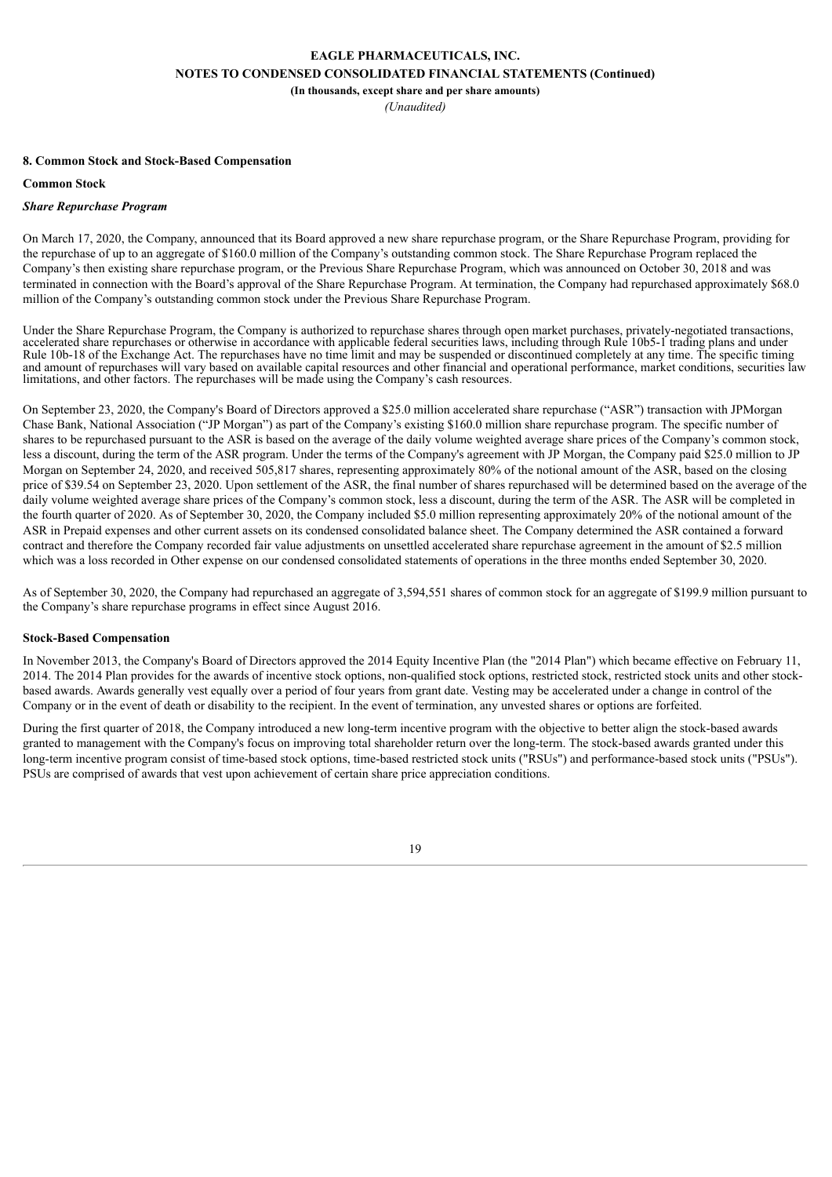*(Unaudited)*

#### **8. Common Stock and Stock-Based Compensation**

#### **Common Stock**

#### *Share Repurchase Program*

On March 17, 2020, the Company, announced that its Board approved a new share repurchase program, or the Share Repurchase Program, providing for the repurchase of up to an aggregate of \$160.0 million of the Company's outstanding common stock. The Share Repurchase Program replaced the Company's then existing share repurchase program, or the Previous Share Repurchase Program, which was announced on October 30, 2018 and was terminated in connection with the Board's approval of the Share Repurchase Program. At termination, the Company had repurchased approximately \$68.0 million of the Company's outstanding common stock under the Previous Share Repurchase Program.

Under the Share Repurchase Program, the Company is authorized to repurchase shares through open market purchases, privately-negotiated transactions, accelerated share repurchases or otherwise in accordance with applicable federal securities laws, including through Rule 10b5-1 trading plans and under Rule 10b-18 of the Exchange Act. The repurchases have no time limit and may be suspended or discontinued completely at any time. The specific timing and amount of repurchases will vary based on available capital resources and other financial and operational performance, market conditions, securities law limitations, and other factors. The repurchases will be made using the Company's cash resources.

On September 23, 2020, the Company's Board of Directors approved a \$25.0 million accelerated share repurchase ("ASR") transaction with JPMorgan Chase Bank, National Association ("JP Morgan") as part of the Company's existing \$160.0 million share repurchase program. The specific number of shares to be repurchased pursuant to the ASR is based on the average of the daily volume weighted average share prices of the Company's common stock, less a discount, during the term of the ASR program. Under the terms of the Company's agreement with JP Morgan, the Company paid \$25.0 million to JP Morgan on September 24, 2020, and received 505,817 shares, representing approximately 80% of the notional amount of the ASR, based on the closing price of \$39.54 on September 23, 2020. Upon settlement of the ASR, the final number of shares repurchased will be determined based on the average of the daily volume weighted average share prices of the Company's common stock, less a discount, during the term of the ASR. The ASR will be completed in the fourth quarter of 2020. As of September 30, 2020, the Company included \$5.0 million representing approximately 20% of the notional amount of the ASR in Prepaid expenses and other current assets on its condensed consolidated balance sheet. The Company determined the ASR contained a forward contract and therefore the Company recorded fair value adjustments on unsettled accelerated share repurchase agreement in the amount of \$2.5 million which was a loss recorded in Other expense on our condensed consolidated statements of operations in the three months ended September 30, 2020.

As of September 30, 2020, the Company had repurchased an aggregate of 3,594,551 shares of common stock for an aggregate of \$199.9 million pursuant to the Company's share repurchase programs in effect since August 2016.

#### **Stock-Based Compensation**

In November 2013, the Company's Board of Directors approved the 2014 Equity Incentive Plan (the "2014 Plan") which became effective on February 11, 2014. The 2014 Plan provides for the awards of incentive stock options, non-qualified stock options, restricted stock, restricted stock units and other stockbased awards. Awards generally vest equally over a period of four years from grant date. Vesting may be accelerated under a change in control of the Company or in the event of death or disability to the recipient. In the event of termination, any unvested shares or options are forfeited.

During the first quarter of 2018, the Company introduced a new long-term incentive program with the objective to better align the stock-based awards granted to management with the Company's focus on improving total shareholder return over the long-term. The stock-based awards granted under this long-term incentive program consist of time-based stock options, time-based restricted stock units ("RSUs") and performance-based stock units ("PSUs"). PSUs are comprised of awards that vest upon achievement of certain share price appreciation conditions.

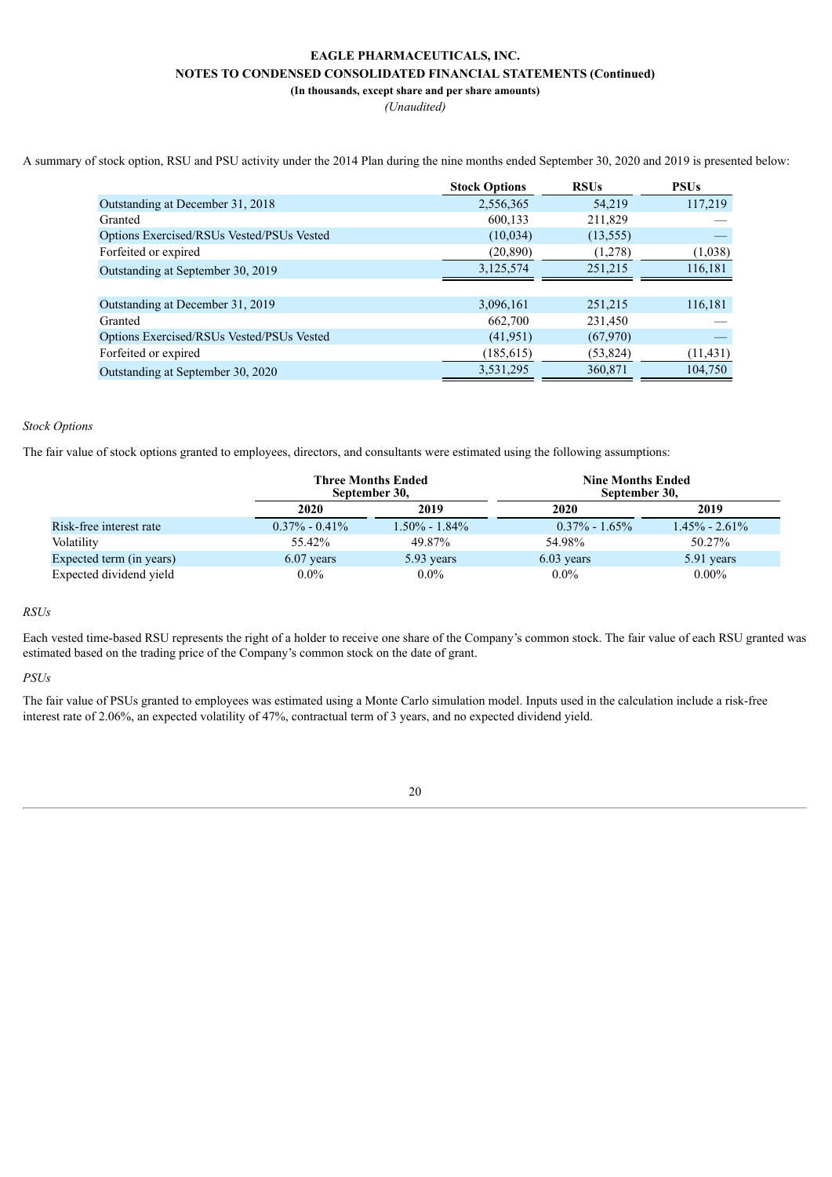*(Unaudited)*

A summary of stock option, RSU and PSU activity under the 2014 Plan during the nine months ended September 30, 2020 and 2019 is presented below:

|                                           | <b>Stock Options</b> | <b>RSUs</b> | <b>PSUs</b> |
|-------------------------------------------|----------------------|-------------|-------------|
| Outstanding at December 31, 2018          | 2,556,365            | 54,219      | 117,219     |
| Granted                                   | 600,133              | 211,829     |             |
| Options Exercised/RSUs Vested/PSUs Vested | (10,034)             | (13, 555)   |             |
| Forfeited or expired                      | (20, 890)            | (1,278)     | (1,038)     |
| Outstanding at September 30, 2019         | 3,125,574            | 251,215     | 116,181     |
|                                           |                      |             |             |
| Outstanding at December 31, 2019          | 3,096,161            | 251,215     | 116,181     |
| Granted                                   | 662,700              | 231,450     |             |
| Options Exercised/RSUs Vested/PSUs Vested | (41, 951)            | (67,970)    |             |
| Forfeited or expired                      | (185, 615)           | (53, 824)   | (11, 431)   |
| Outstanding at September 30, 2020         | 3,531,295            | 360,871     | 104,750     |

#### *Stock Options*

The fair value of stock options granted to employees, directors, and consultants were estimated using the following assumptions:

|                          |                   | <b>Three Months Ended</b><br>September 30, | <b>Nine Months Ended</b><br>September 30, |                   |  |  |  |  |
|--------------------------|-------------------|--------------------------------------------|-------------------------------------------|-------------------|--|--|--|--|
|                          | 2020              | 2019                                       | 2020                                      | 2019              |  |  |  |  |
| Risk-free interest rate  | $0.37\% - 0.41\%$ | $1.50\% - 1.84\%$                          | $0.37\% - 1.65\%$                         | $1.45\% - 2.61\%$ |  |  |  |  |
| Volatility               | 55.42%            | 49.87%                                     | 54.98%                                    | 50.27%            |  |  |  |  |
| Expected term (in years) | $6.07$ years      | 5.93 years                                 | $6.03$ years                              | 5.91 years        |  |  |  |  |
| Expected dividend yield  | $0.0\%$           | $0.0\%$                                    | $0.0\%$                                   | $0.00\%$          |  |  |  |  |

#### *RSUs*

Each vested time-based RSU represents the right of a holder to receive one share of the Company's common stock. The fair value of each RSU granted was estimated based on the trading price of the Company's common stock on the date of grant.

#### *PSUs*

The fair value of PSUs granted to employees was estimated using a Monte Carlo simulation model. Inputs used in the calculation include a risk-free interest rate of 2.06%, an expected volatility of 47%, contractual term of 3 years, and no expected dividend yield.

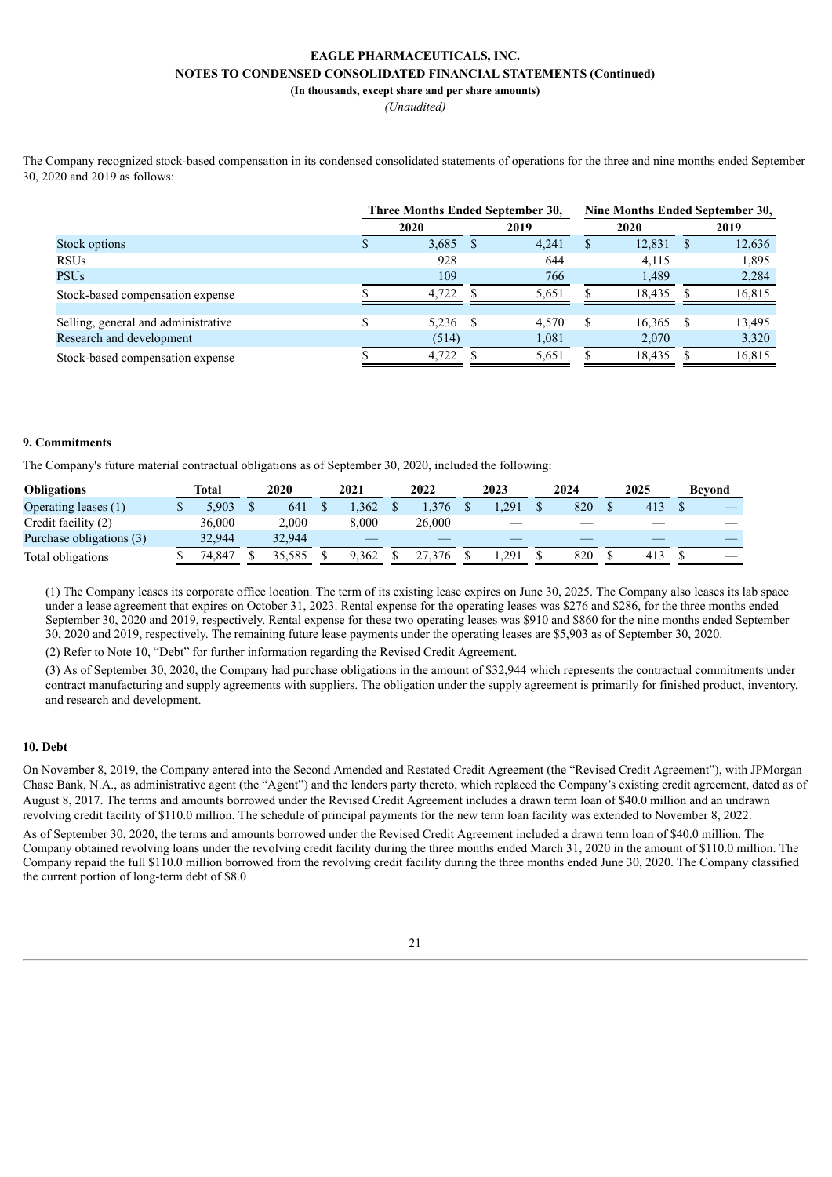**(In thousands, except share and per share amounts)**

*(Unaudited)*

The Company recognized stock-based compensation in its condensed consolidated statements of operations for the three and nine months ended September 30, 2020 and 2019 as follows:

|                                     | Three Months Ended September 30, |       |    |       |   | Nine Months Ended September 30, |  |        |  |  |
|-------------------------------------|----------------------------------|-------|----|-------|---|---------------------------------|--|--------|--|--|
|                                     |                                  | 2020  |    | 2019  |   | 2020                            |  | 2019   |  |  |
| Stock options                       |                                  | 3,685 |    | 4.241 |   | 12,831                          |  | 12,636 |  |  |
| <b>RSUs</b>                         |                                  | 928   |    | 644   |   | 4,115                           |  | 1,895  |  |  |
| <b>PSUs</b>                         |                                  | 109   |    | 766   |   | 1.489                           |  | 2,284  |  |  |
| Stock-based compensation expense    |                                  | 4,722 |    | 5,651 |   | 18.435                          |  | 16,815 |  |  |
|                                     |                                  |       |    |       |   |                                 |  |        |  |  |
| Selling, general and administrative |                                  | 5,236 | -8 | 4,570 | S | 16,365                          |  | 13,495 |  |  |
| Research and development            |                                  | (514) |    | 1,081 |   | 2,070                           |  | 3,320  |  |  |
| Stock-based compensation expense    |                                  | 4,722 |    | 5,651 |   | 18,435                          |  | 16,815 |  |  |

#### **9. Commitments**

The Company's future material contractual obligations as of September 30, 2020, included the following:

| <b>Obligations</b>       | Total  | 2020   | 2021  | 2022   | 2023 | 2024 | 2025 | Bevond |
|--------------------------|--------|--------|-------|--------|------|------|------|--------|
| Operating leases (1)     | 5.903  | 641    | .362  | .376   | .291 | 820  | 413  |        |
| Credit facility (2)      | 36,000 | 2.000  | 8.000 | 26,000 |      |      |      |        |
| Purchase obligations (3) | 32.944 | 32.944 |       |        |      |      |      |        |
| Total obligations        | 74.847 | 35.585 | 9.362 | .376   | .291 | 820  | 413  |        |

(1) The Company leases its corporate office location. The term of its existing lease expires on June 30, 2025. The Company also leases its lab space under a lease agreement that expires on October 31, 2023. Rental expense for the operating leases was \$276 and \$286, for the three months ended September 30, 2020 and 2019, respectively. Rental expense for these two operating leases was \$910 and \$860 for the nine months ended September 30, 2020 and 2019, respectively. The remaining future lease payments under the operating leases are \$5,903 as of September 30, 2020.

(2) Refer to Note 10, "Debt" for further information regarding the Revised Credit Agreement.

(3) As of September 30, 2020, the Company had purchase obligations in the amount of \$32,944 which represents the contractual commitments under contract manufacturing and supply agreements with suppliers. The obligation under the supply agreement is primarily for finished product, inventory, and research and development.

## **10. Debt**

On November 8, 2019, the Company entered into the Second Amended and Restated Credit Agreement (the "Revised Credit Agreement"), with JPMorgan Chase Bank, N.A., as administrative agent (the "Agent") and the lenders party thereto, which replaced the Company's existing credit agreement, dated as of August 8, 2017. The terms and amounts borrowed under the Revised Credit Agreement includes a drawn term loan of \$40.0 million and an undrawn revolving credit facility of \$110.0 million. The schedule of principal payments for the new term loan facility was extended to November 8, 2022.

As of September 30, 2020, the terms and amounts borrowed under the Revised Credit Agreement included a drawn term loan of \$40.0 million. The Company obtained revolving loans under the revolving credit facility during the three months ended March 31, 2020 in the amount of \$110.0 million. The Company repaid the full \$110.0 million borrowed from the revolving credit facility during the three months ended June 30, 2020. The Company classified the current portion of long-term debt of \$8.0

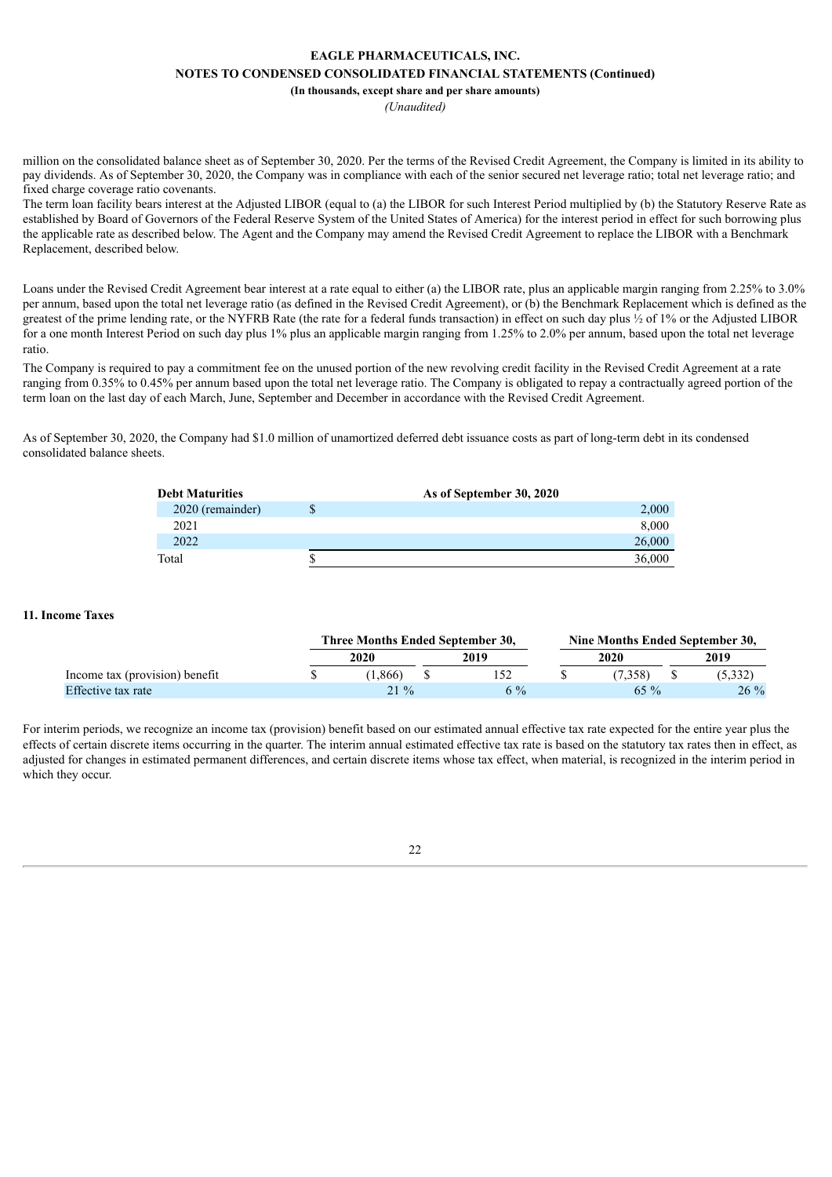**(In thousands, except share and per share amounts)**

*(Unaudited)*

million on the consolidated balance sheet as of September 30, 2020. Per the terms of the Revised Credit Agreement, the Company is limited in its ability to pay dividends. As of September 30, 2020, the Company was in compliance with each of the senior secured net leverage ratio; total net leverage ratio; and fixed charge coverage ratio covenants.

The term loan facility bears interest at the Adjusted LIBOR (equal to (a) the LIBOR for such Interest Period multiplied by (b) the Statutory Reserve Rate as established by Board of Governors of the Federal Reserve System of the United States of America) for the interest period in effect for such borrowing plus the applicable rate as described below. The Agent and the Company may amend the Revised Credit Agreement to replace the LIBOR with a Benchmark Replacement, described below.

Loans under the Revised Credit Agreement bear interest at a rate equal to either (a) the LIBOR rate, plus an applicable margin ranging from 2.25% to 3.0% per annum, based upon the total net leverage ratio (as defined in the Revised Credit Agreement), or (b) the Benchmark Replacement which is defined as the greatest of the prime lending rate, or the NYFRB Rate (the rate for a federal funds transaction) in effect on such day plus  $\frac{1}{2}$  of 1% or the Adjusted LIBOR for a one month Interest Period on such day plus 1% plus an applicable margin ranging from 1.25% to 2.0% per annum, based upon the total net leverage ratio.

The Company is required to pay a commitment fee on the unused portion of the new revolving credit facility in the Revised Credit Agreement at a rate ranging from 0.35% to 0.45% per annum based upon the total net leverage ratio. The Company is obligated to repay a contractually agreed portion of the term loan on the last day of each March, June, September and December in accordance with the Revised Credit Agreement.

As of September 30, 2020, the Company had \$1.0 million of unamortized deferred debt issuance costs as part of long-term debt in its condensed consolidated balance sheets.

| <b>Debt Maturities</b> | As of September 30, 2020 |
|------------------------|--------------------------|
| 2020 (remainder)       | 2.000                    |
| 2021                   | 8.000                    |
| 2022                   | 26,000                   |
| Total                  | 36,000                   |

#### **11. Income Taxes**

|                                | Three Months Ended September 30, |        |  |      |  | Nine Months Ended September 30, |      |         |  |  |  |
|--------------------------------|----------------------------------|--------|--|------|--|---------------------------------|------|---------|--|--|--|
|                                | 2020                             |        |  | 2019 |  | 2020                            | 2019 |         |  |  |  |
| Income tax (provision) benefit |                                  | 866    |  |      |  | (7.358)                         |      | (5.332) |  |  |  |
| Effective tax rate             |                                  | $21\%$ |  | 6 %  |  | $65 \%$                         |      | $26\%$  |  |  |  |

For interim periods, we recognize an income tax (provision) benefit based on our estimated annual effective tax rate expected for the entire year plus the effects of certain discrete items occurring in the quarter. The interim annual estimated effective tax rate is based on the statutory tax rates then in effect, as adjusted for changes in estimated permanent differences, and certain discrete items whose tax effect, when material, is recognized in the interim period in which they occur.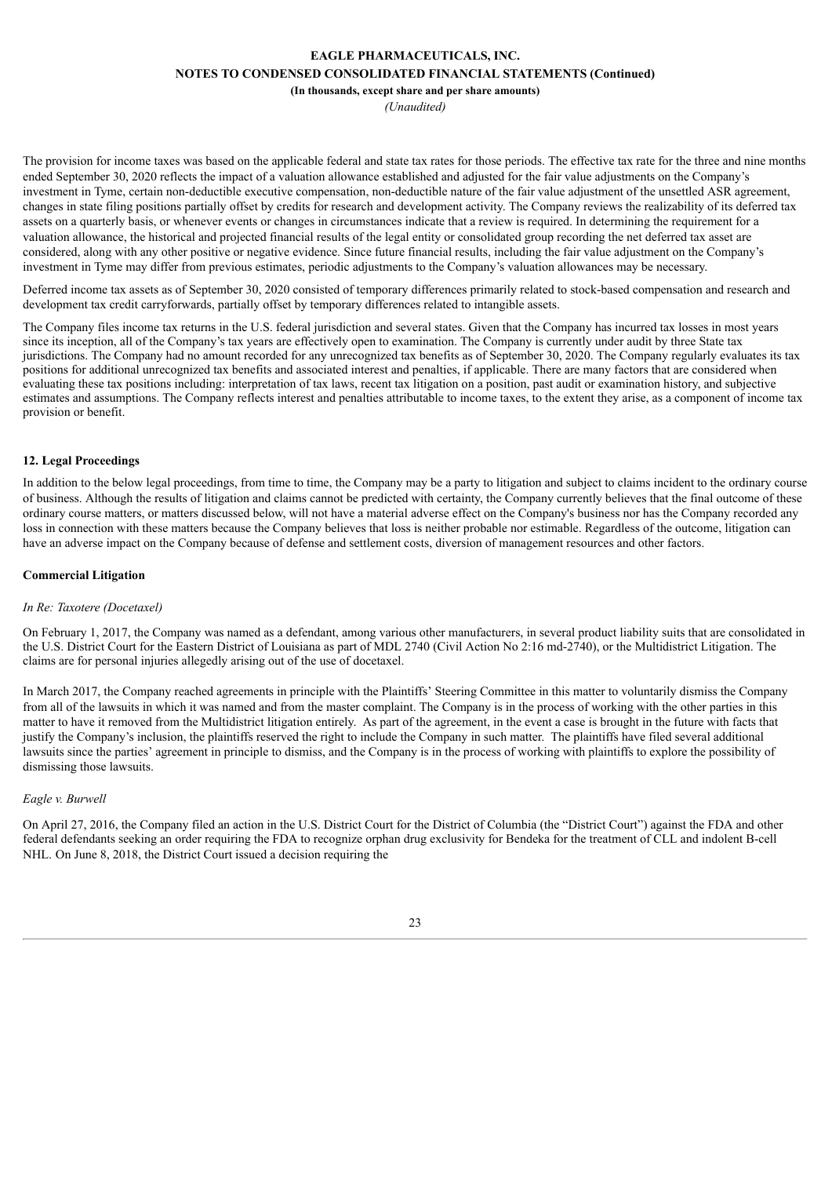**(In thousands, except share and per share amounts)**

*(Unaudited)*

The provision for income taxes was based on the applicable federal and state tax rates for those periods. The effective tax rate for the three and nine months ended September 30, 2020 reflects the impact of a valuation allowance established and adjusted for the fair value adjustments on the Company's investment in Tyme, certain non-deductible executive compensation, non-deductible nature of the fair value adjustment of the unsettled ASR agreement, changes in state filing positions partially offset by credits for research and development activity. The Company reviews the realizability of its deferred tax assets on a quarterly basis, or whenever events or changes in circumstances indicate that a review is required. In determining the requirement for a valuation allowance, the historical and projected financial results of the legal entity or consolidated group recording the net deferred tax asset are considered, along with any other positive or negative evidence. Since future financial results, including the fair value adjustment on the Company's investment in Tyme may differ from previous estimates, periodic adjustments to the Company's valuation allowances may be necessary.

Deferred income tax assets as of September 30, 2020 consisted of temporary differences primarily related to stock-based compensation and research and development tax credit carryforwards, partially offset by temporary differences related to intangible assets.

The Company files income tax returns in the U.S. federal jurisdiction and several states. Given that the Company has incurred tax losses in most years since its inception, all of the Company's tax years are effectively open to examination. The Company is currently under audit by three State tax jurisdictions. The Company had no amount recorded for any unrecognized tax benefits as of September 30, 2020. The Company regularly evaluates its tax positions for additional unrecognized tax benefits and associated interest and penalties, if applicable. There are many factors that are considered when evaluating these tax positions including: interpretation of tax laws, recent tax litigation on a position, past audit or examination history, and subjective estimates and assumptions. The Company reflects interest and penalties attributable to income taxes, to the extent they arise, as a component of income tax provision or benefit.

#### **12. Legal Proceedings**

In addition to the below legal proceedings, from time to time, the Company may be a party to litigation and subject to claims incident to the ordinary course of business. Although the results of litigation and claims cannot be predicted with certainty, the Company currently believes that the final outcome of these ordinary course matters, or matters discussed below, will not have a material adverse effect on the Company's business nor has the Company recorded any loss in connection with these matters because the Company believes that loss is neither probable nor estimable. Regardless of the outcome, litigation can have an adverse impact on the Company because of defense and settlement costs, diversion of management resources and other factors.

#### **Commercial Litigation**

#### *In Re: Taxotere (Docetaxel)*

On February 1, 2017, the Company was named as a defendant, among various other manufacturers, in several product liability suits that are consolidated in the U.S. District Court for the Eastern District of Louisiana as part of MDL 2740 (Civil Action No 2:16 md-2740), or the Multidistrict Litigation. The claims are for personal injuries allegedly arising out of the use of docetaxel.

In March 2017, the Company reached agreements in principle with the Plaintiffs' Steering Committee in this matter to voluntarily dismiss the Company from all of the lawsuits in which it was named and from the master complaint. The Company is in the process of working with the other parties in this matter to have it removed from the Multidistrict litigation entirely. As part of the agreement, in the event a case is brought in the future with facts that justify the Company's inclusion, the plaintiffs reserved the right to include the Company in such matter. The plaintiffs have filed several additional lawsuits since the parties' agreement in principle to dismiss, and the Company is in the process of working with plaintiffs to explore the possibility of dismissing those lawsuits.

#### *Eagle v. Burwell*

On April 27, 2016, the Company filed an action in the U.S. District Court for the District of Columbia (the "District Court") against the FDA and other federal defendants seeking an order requiring the FDA to recognize orphan drug exclusivity for Bendeka for the treatment of CLL and indolent B-cell NHL. On June 8, 2018, the District Court issued a decision requiring the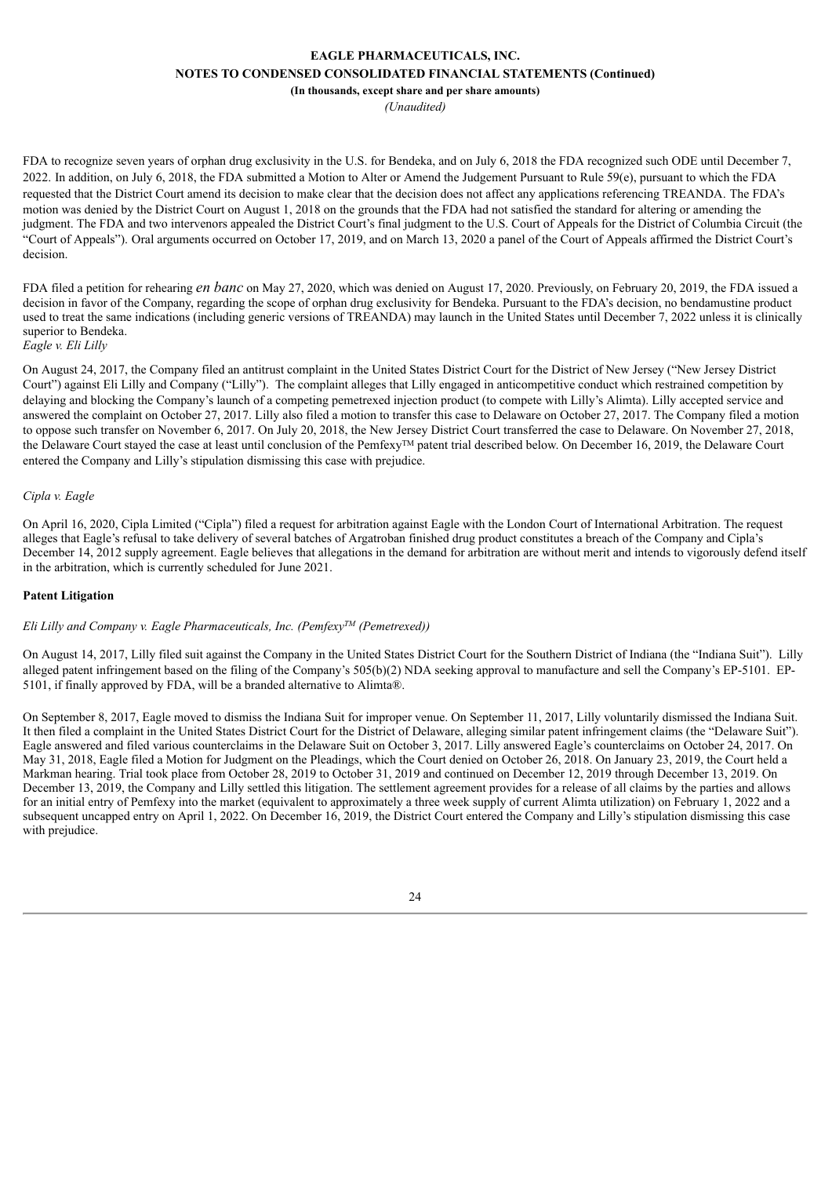*(Unaudited)*

FDA to recognize seven years of orphan drug exclusivity in the U.S. for Bendeka, and on July 6, 2018 the FDA recognized such ODE until December 7, 2022. In addition, on July 6, 2018, the FDA submitted a Motion to Alter or Amend the Judgement Pursuant to Rule 59(e), pursuant to which the FDA requested that the District Court amend its decision to make clear that the decision does not affect any applications referencing TREANDA. The FDA's motion was denied by the District Court on August 1, 2018 on the grounds that the FDA had not satisfied the standard for altering or amending the judgment. The FDA and two intervenors appealed the District Court's final judgment to the U.S. Court of Appeals for the District of Columbia Circuit (the "Court of Appeals"). Oral arguments occurred on October 17, 2019, and on March 13, 2020 a panel of the Court of Appeals affirmed the District Court's decision.

FDA filed a petition for rehearing *en banc* on May 27, 2020, which was denied on August 17, 2020. Previously, on February 20, 2019, the FDA issued a decision in favor of the Company, regarding the scope of orphan drug exclusivity for Bendeka. Pursuant to the FDA's decision, no bendamustine product used to treat the same indications (including generic versions of TREANDA) may launch in the United States until December 7, 2022 unless it is clinically superior to Bendeka. *Eagle v. Eli Lilly*

On August 24, 2017, the Company filed an antitrust complaint in the United States District Court for the District of New Jersey ("New Jersey District Court") against Eli Lilly and Company ("Lilly"). The complaint alleges that Lilly engaged in anticompetitive conduct which restrained competition by delaying and blocking the Company's launch of a competing pemetrexed injection product (to compete with Lilly's Alimta). Lilly accepted service and answered the complaint on October 27, 2017. Lilly also filed a motion to transfer this case to Delaware on October 27, 2017. The Company filed a motion to oppose such transfer on November 6, 2017. On July 20, 2018, the New Jersey District Court transferred the case to Delaware. On November 27, 2018, the Delaware Court stayed the case at least until conclusion of the Pemfexy<sup>™</sup> patent trial described below. On December 16, 2019, the Delaware Court entered the Company and Lilly's stipulation dismissing this case with prejudice.

#### *Cipla v. Eagle*

On April 16, 2020, Cipla Limited ("Cipla") filed a request for arbitration against Eagle with the London Court of International Arbitration. The request alleges that Eagle's refusal to take delivery of several batches of Argatroban finished drug product constitutes a breach of the Company and Cipla's December 14, 2012 supply agreement. Eagle believes that allegations in the demand for arbitration are without merit and intends to vigorously defend itself in the arbitration, which is currently scheduled for June 2021.

#### **Patent Litigation**

#### *Eli Lilly* and *Company v. Eagle Pharmaceuticals, Inc. (Pemfexy<sup>TM</sup> (Pemetrexed))*

On August 14, 2017, Lilly filed suit against the Company in the United States District Court for the Southern District of Indiana (the "Indiana Suit"). Lilly alleged patent infringement based on the filing of the Company's 505(b)(2) NDA seeking approval to manufacture and sell the Company's EP-5101. EP-5101, if finally approved by FDA, will be a branded alternative to Alimta®.

On September 8, 2017, Eagle moved to dismiss the Indiana Suit for improper venue. On September 11, 2017, Lilly voluntarily dismissed the Indiana Suit. It then filed a complaint in the United States District Court for the District of Delaware, alleging similar patent infringement claims (the "Delaware Suit"). Eagle answered and filed various counterclaims in the Delaware Suit on October 3, 2017. Lilly answered Eagle's counterclaims on October 24, 2017. On May 31, 2018, Eagle filed a Motion for Judgment on the Pleadings, which the Court denied on October 26, 2018. On January 23, 2019, the Court held a Markman hearing. Trial took place from October 28, 2019 to October 31, 2019 and continued on December 12, 2019 through December 13, 2019. On December 13, 2019, the Company and Lilly settled this litigation. The settlement agreement provides for a release of all claims by the parties and allows for an initial entry of Pemfexy into the market (equivalent to approximately a three week supply of current Alimta utilization) on February 1, 2022 and a subsequent uncapped entry on April 1, 2022. On December 16, 2019, the District Court entered the Company and Lilly's stipulation dismissing this case with prejudice.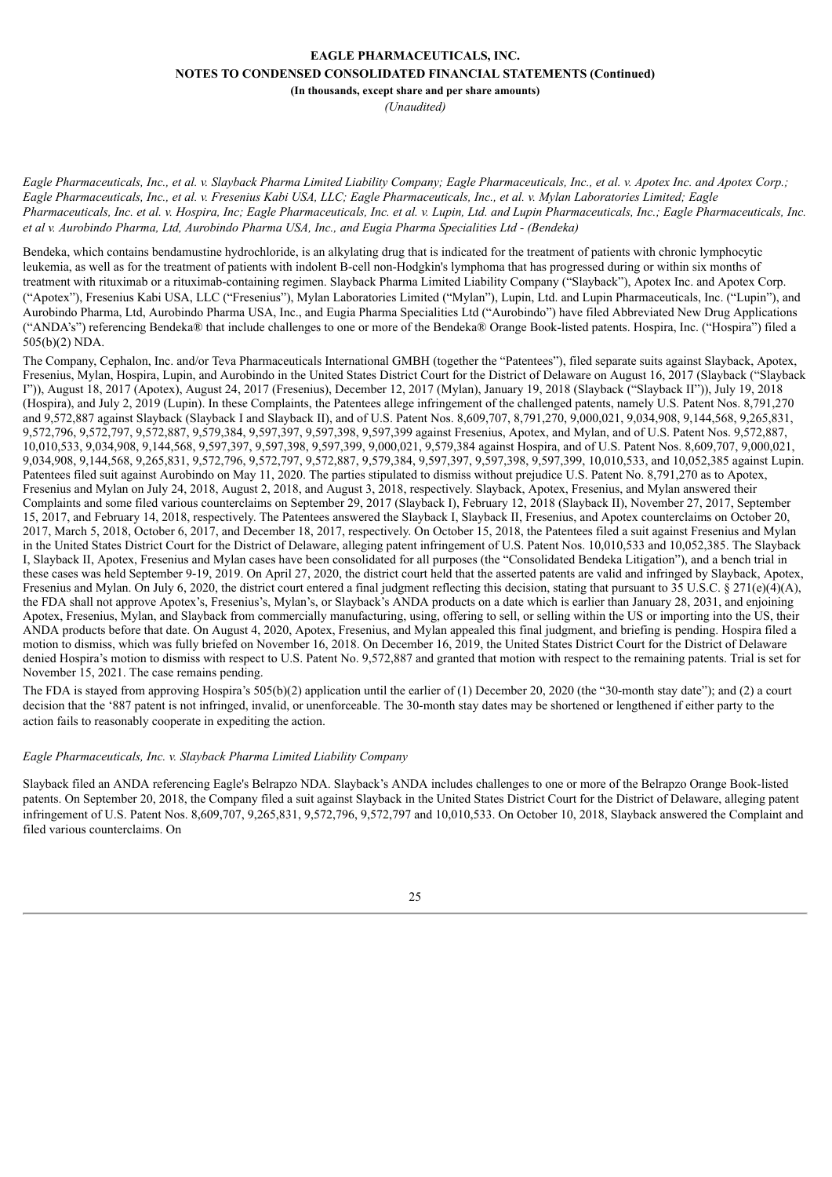**(In thousands, except share and per share amounts)**

*(Unaudited)*

Eagle Pharmaceuticals, Inc., et al. v. Slayback Pharma Limited Liability Company; Eagle Pharmaceuticals, Inc., et al. v. Apotex Inc. and Apotex Corp.; Eagle Pharmaceuticals, Inc., et al. v. Fresenius Kabi USA, LLC; Eagle Pharmaceuticals, Inc., et al. v. Mylan Laboratories Limited; Eagle Pharmaceuticals, Inc. et al. v. Hospira, Inc; Eagle Pharmaceuticals, Inc. et al. v. Lupin, Ltd. and Lupin Pharmaceuticals, Inc.; Eagle Pharmaceuticals, Inc. *et al v. Aurobindo Pharma, Ltd, Aurobindo Pharma USA, Inc., and Eugia Pharma Specialities Ltd - (Bendeka)*

Bendeka, which contains bendamustine hydrochloride, is an alkylating drug that is indicated for the treatment of patients with chronic lymphocytic leukemia, as well as for the treatment of patients with indolent B-cell non-Hodgkin's lymphoma that has progressed during or within six months of treatment with rituximab or a rituximab-containing regimen. Slayback Pharma Limited Liability Company ("Slayback"), Apotex Inc. and Apotex Corp. ("Apotex"), Fresenius Kabi USA, LLC ("Fresenius"), Mylan Laboratories Limited ("Mylan"), Lupin, Ltd. and Lupin Pharmaceuticals, Inc. ("Lupin"), and Aurobindo Pharma, Ltd, Aurobindo Pharma USA, Inc., and Eugia Pharma Specialities Ltd ("Aurobindo") have filed Abbreviated New Drug Applications ("ANDA's") referencing Bendeka® that include challenges to one or more of the Bendeka® Orange Book-listed patents. Hospira, Inc. ("Hospira") filed a 505(b)(2) NDA.

The Company, Cephalon, Inc. and/or Teva Pharmaceuticals International GMBH (together the "Patentees"), filed separate suits against Slayback, Apotex, Fresenius, Mylan, Hospira, Lupin, and Aurobindo in the United States District Court for the District of Delaware on August 16, 2017 (Slayback ("Slayback I")), August 18, 2017 (Apotex), August 24, 2017 (Fresenius), December 12, 2017 (Mylan), January 19, 2018 (Slayback ("Slayback II")), July 19, 2018 (Hospira), and July 2, 2019 (Lupin). In these Complaints, the Patentees allege infringement of the challenged patents, namely U.S. Patent Nos. 8,791,270 and 9,572,887 against Slayback (Slayback I and Slayback II), and of U.S. Patent Nos. 8,609,707, 8,791,270, 9,000,021, 9,034,908, 9,144,568, 9,265,831, 9,572,796, 9,572,797, 9,572,887, 9,579,384, 9,597,397, 9,597,398, 9,597,399 against Fresenius, Apotex, and Mylan, and of U.S. Patent Nos. 9,572,887, 10,010,533, 9,034,908, 9,144,568, 9,597,397, 9,597,398, 9,597,399, 9,000,021, 9,579,384 against Hospira, and of U.S. Patent Nos. 8,609,707, 9,000,021, 9,034,908, 9,144,568, 9,265,831, 9,572,796, 9,572,797, 9,572,887, 9,579,384, 9,597,397, 9,597,398, 9,597,399, 10,010,533, and 10,052,385 against Lupin. Patentees filed suit against Aurobindo on May 11, 2020. The parties stipulated to dismiss without prejudice U.S. Patent No. 8,791,270 as to Apotex, Fresenius and Mylan on July 24, 2018, August 2, 2018, and August 3, 2018, respectively. Slayback, Apotex, Fresenius, and Mylan answered their Complaints and some filed various counterclaims on September 29, 2017 (Slayback I), February 12, 2018 (Slayback II), November 27, 2017, September 15, 2017, and February 14, 2018, respectively. The Patentees answered the Slayback I, Slayback II, Fresenius, and Apotex counterclaims on October 20, 2017, March 5, 2018, October 6, 2017, and December 18, 2017, respectively. On October 15, 2018, the Patentees filed a suit against Fresenius and Mylan in the United States District Court for the District of Delaware, alleging patent infringement of U.S. Patent Nos. 10,010,533 and 10,052,385. The Slayback I, Slayback II, Apotex, Fresenius and Mylan cases have been consolidated for all purposes (the "Consolidated Bendeka Litigation"), and a bench trial in these cases was held September 9-19, 2019. On April 27, 2020, the district court held that the asserted patents are valid and infringed by Slayback, Apotex, Fresenius and Mylan. On July 6, 2020, the district court entered a final judgment reflecting this decision, stating that pursuant to 35 U.S.C. § 271(e)(4)(A), the FDA shall not approve Apotex's, Fresenius's, Mylan's, or Slayback's ANDA products on a date which is earlier than January 28, 2031, and enjoining Apotex, Fresenius, Mylan, and Slayback from commercially manufacturing, using, offering to sell, or selling within the US or importing into the US, their ANDA products before that date. On August 4, 2020, Apotex, Fresenius, and Mylan appealed this final judgment, and briefing is pending. Hospira filed a motion to dismiss, which was fully briefed on November 16, 2018. On December 16, 2019, the United States District Court for the District of Delaware denied Hospira's motion to dismiss with respect to U.S. Patent No. 9,572,887 and granted that motion with respect to the remaining patents. Trial is set for November 15, 2021. The case remains pending.

The FDA is stayed from approving Hospira's 505(b)(2) application until the earlier of (1) December 20, 2020 (the "30-month stay date"); and (2) a court decision that the '887 patent is not infringed, invalid, or unenforceable. The 30-month stay dates may be shortened or lengthened if either party to the action fails to reasonably cooperate in expediting the action.

#### *Eagle Pharmaceuticals, Inc. v. Slayback Pharma Limited Liability Company*

Slayback filed an ANDA referencing Eagle's Belrapzo NDA. Slayback's ANDA includes challenges to one or more of the Belrapzo Orange Book-listed patents. On September 20, 2018, the Company filed a suit against Slayback in the United States District Court for the District of Delaware, alleging patent infringement of U.S. Patent Nos. 8,609,707, 9,265,831, 9,572,796, 9,572,797 and 10,010,533. On October 10, 2018, Slayback answered the Complaint and filed various counterclaims. On

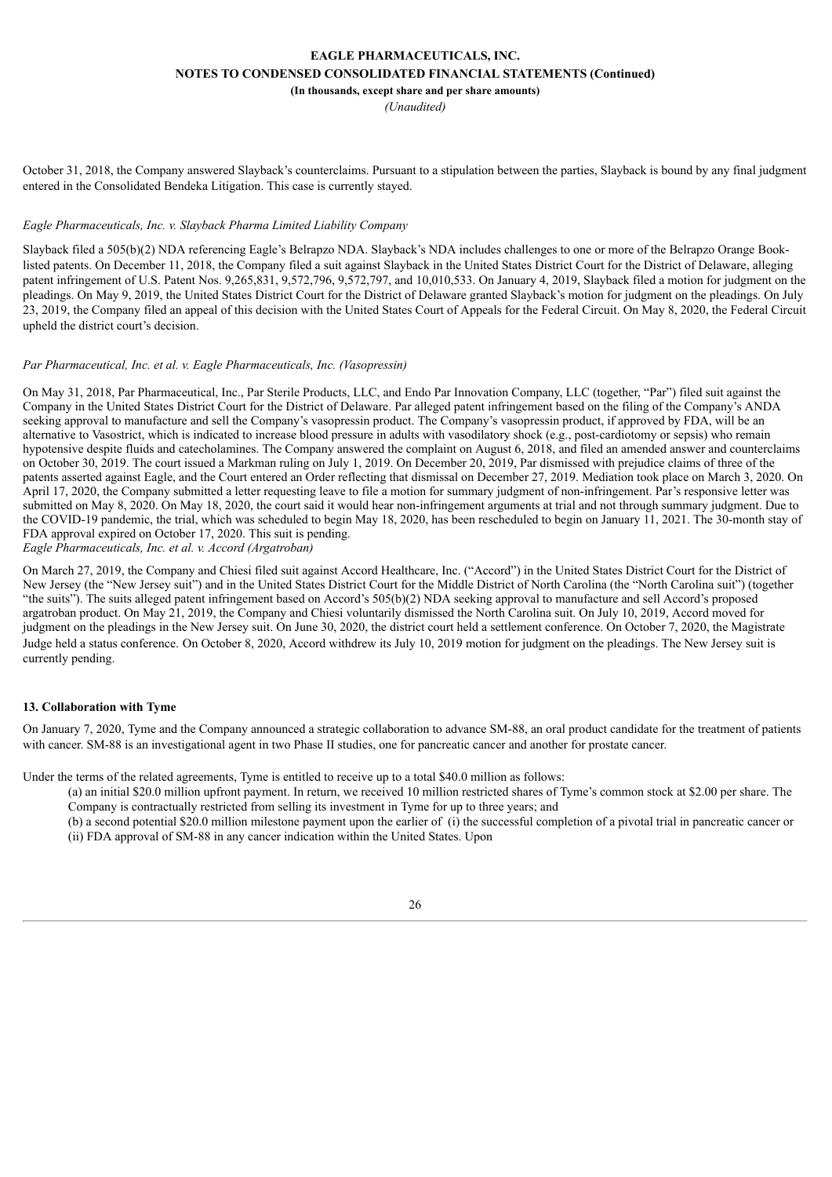*(Unaudited)*

October 31, 2018, the Company answered Slayback's counterclaims. Pursuant to a stipulation between the parties, Slayback is bound by any final judgment entered in the Consolidated Bendeka Litigation. This case is currently stayed.

#### *Eagle Pharmaceuticals, Inc. v. Slayback Pharma Limited Liability Company*

Slayback filed a 505(b)(2) NDA referencing Eagle's Belrapzo NDA. Slayback's NDA includes challenges to one or more of the Belrapzo Orange Booklisted patents. On December 11, 2018, the Company filed a suit against Slayback in the United States District Court for the District of Delaware, alleging patent infringement of U.S. Patent Nos. 9,265,831, 9,572,796, 9,572,797, and 10,010,533. On January 4, 2019, Slayback filed a motion for judgment on the pleadings. On May 9, 2019, the United States District Court for the District of Delaware granted Slayback's motion for judgment on the pleadings. On July 23, 2019, the Company filed an appeal of this decision with the United States Court of Appeals for the Federal Circuit. On May 8, 2020, the Federal Circuit upheld the district court's decision.

#### *Par Pharmaceutical, Inc. et al. v. Eagle Pharmaceuticals, Inc. (Vasopressin)*

On May 31, 2018, Par Pharmaceutical, Inc., Par Sterile Products, LLC, and Endo Par Innovation Company, LLC (together, "Par") filed suit against the Company in the United States District Court for the District of Delaware. Par alleged patent infringement based on the filing of the Company's ANDA seeking approval to manufacture and sell the Company's vasopressin product. The Company's vasopressin product, if approved by FDA, will be an alternative to Vasostrict, which is indicated to increase blood pressure in adults with vasodilatory shock (e.g., post-cardiotomy or sepsis) who remain hypotensive despite fluids and catecholamines. The Company answered the complaint on August 6, 2018, and filed an amended answer and counterclaims on October 30, 2019. The court issued a Markman ruling on July 1, 2019. On December 20, 2019, Par dismissed with prejudice claims of three of the patents asserted against Eagle, and the Court entered an Order reflecting that dismissal on December 27, 2019. Mediation took place on March 3, 2020. On April 17, 2020, the Company submitted a letter requesting leave to file a motion for summary judgment of non-infringement. Par's responsive letter was submitted on May 8, 2020. On May 18, 2020, the court said it would hear non-infringement arguments at trial and not through summary judgment. Due to the COVID-19 pandemic, the trial, which was scheduled to begin May 18, 2020, has been rescheduled to begin on January 11, 2021. The 30-month stay of FDA approval expired on October 17, 2020. This suit is pending.

*Eagle Pharmaceuticals, Inc. et al. v. Accord (Argatroban)*

On March 27, 2019, the Company and Chiesi filed suit against Accord Healthcare, Inc. ("Accord") in the United States District Court for the District of New Jersey (the "New Jersey suit") and in the United States District Court for the Middle District of North Carolina (the "North Carolina suit") (together "the suits"). The suits alleged patent infringement based on Accord's 505(b)(2) NDA seeking approval to manufacture and sell Accord's proposed argatroban product. On May 21, 2019, the Company and Chiesi voluntarily dismissed the North Carolina suit. On July 10, 2019, Accord moved for judgment on the pleadings in the New Jersey suit. On June 30, 2020, the district court held a settlement conference. On October 7, 2020, the Magistrate Judge held a status conference. On October 8, 2020, Accord withdrew its July 10, 2019 motion for judgment on the pleadings. The New Jersey suit is currently pending.

## **13. Collaboration with Tyme**

On January 7, 2020, Tyme and the Company announced a strategic collaboration to advance SM-88, an oral product candidate for the treatment of patients with cancer. SM-88 is an investigational agent in two Phase II studies, one for pancreatic cancer and another for prostate cancer.

Under the terms of the related agreements, Tyme is entitled to receive up to a total \$40.0 million as follows:

- (a) an initial \$20.0 million upfront payment. In return, we received 10 million restricted shares of Tyme's common stock at \$2.00 per share. The Company is contractually restricted from selling its investment in Tyme for up to three years; and
- (b) a second potential \$20.0 million milestone payment upon the earlier of (i) the successful completion of a pivotal trial in pancreatic cancer or (ii) FDA approval of SM-88 in any cancer indication within the United States. Upon

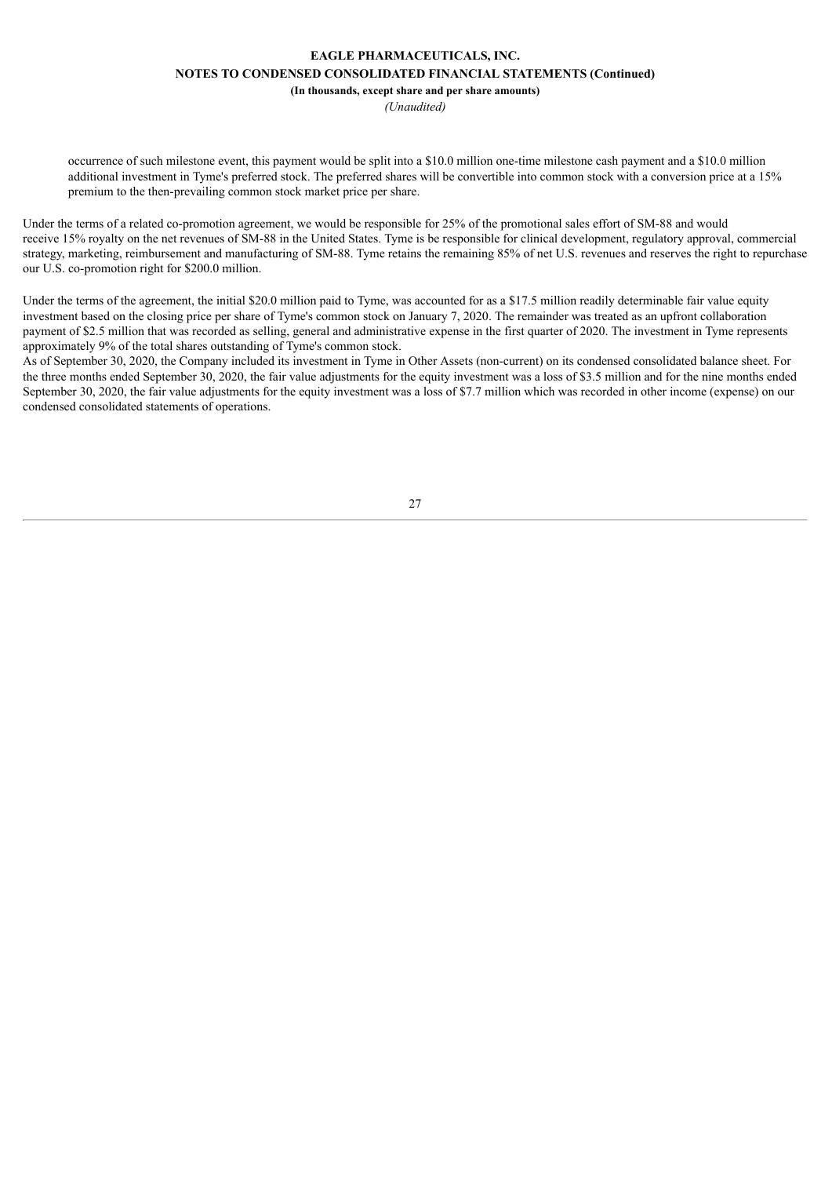**(In thousands, except share and per share amounts)**

*(Unaudited)*

occurrence of such milestone event, this payment would be split into a \$10.0 million one-time milestone cash payment and a \$10.0 million additional investment in Tyme's preferred stock. The preferred shares will be convertible into common stock with a conversion price at a 15% premium to the then-prevailing common stock market price per share.

Under the terms of a related co-promotion agreement, we would be responsible for 25% of the promotional sales effort of SM-88 and would receive 15% royalty on the net revenues of SM-88 in the United States. Tyme is be responsible for clinical development, regulatory approval, commercial strategy, marketing, reimbursement and manufacturing of SM-88. Tyme retains the remaining 85% of net U.S. revenues and reserves the right to repurchase our U.S. co-promotion right for \$200.0 million.

Under the terms of the agreement, the initial \$20.0 million paid to Tyme, was accounted for as a \$17.5 million readily determinable fair value equity investment based on the closing price per share of Tyme's common stock on January 7, 2020. The remainder was treated as an upfront collaboration payment of \$2.5 million that was recorded as selling, general and administrative expense in the first quarter of 2020. The investment in Tyme represents approximately 9% of the total shares outstanding of Tyme's common stock.

<span id="page-30-0"></span>As of September 30, 2020, the Company included its investment in Tyme in Other Assets (non-current) on its condensed consolidated balance sheet. For the three months ended September 30, 2020, the fair value adjustments for the equity investment was a loss of \$3.5 million and for the nine months ended September 30, 2020, the fair value adjustments for the equity investment was a loss of \$7.7 million which was recorded in other income (expense) on our condensed consolidated statements of operations.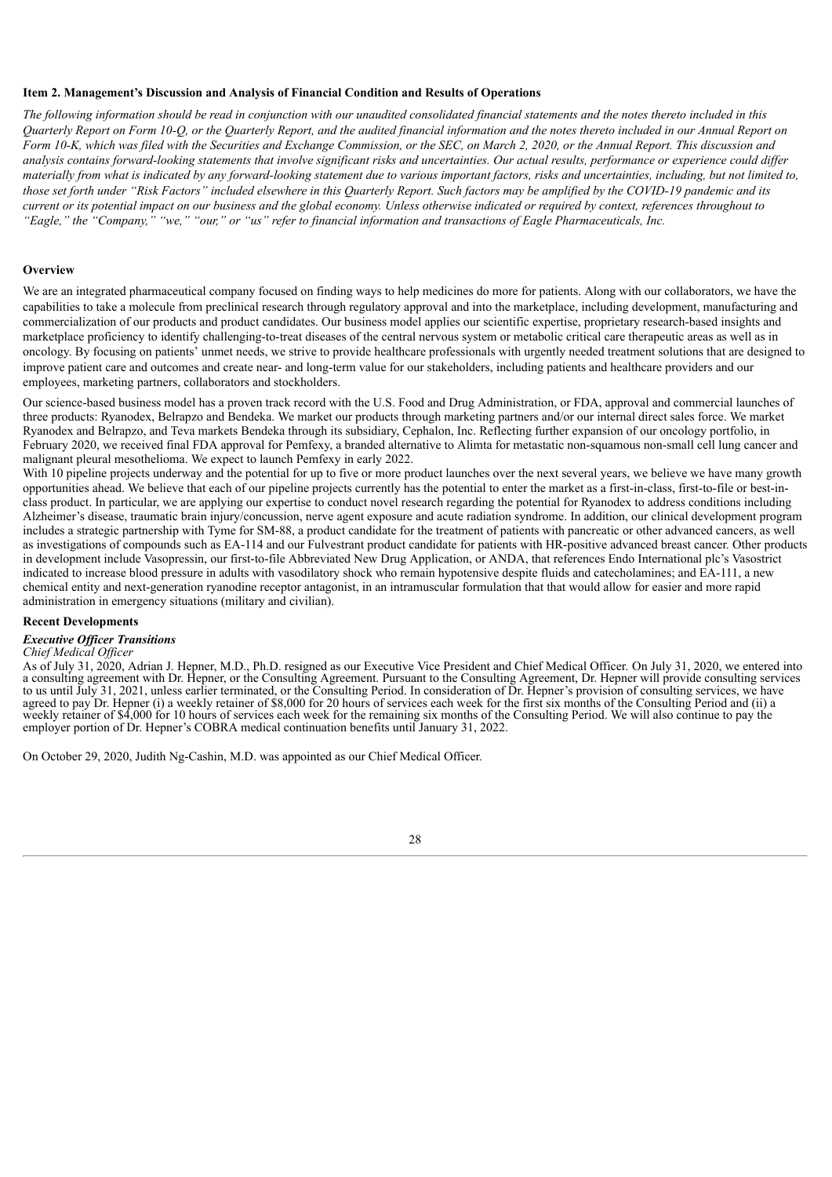#### **Item 2. Management's Discussion and Analysis of Financial Condition and Results of Operations**

The following information should be read in conjunction with our unaudited consolidated financial statements and the notes thereto included in this Quarterly Report on Form 10-Q, or the Quarterly Report, and the audited financial information and the notes thereto included in our Annual Report on Form 10-K, which was filed with the Securities and Exchange Commission, or the SEC, on March 2, 2020, or the Annual Report. This discussion and analysis contains forward-looking statements that involve significant risks and uncertainties. Our actual results, performance or experience could differ materially from what is indicated by any forward-looking statement due to various important factors, risks and uncertainties, including, but not limited to, those set forth under "Risk Factors" included elsewhere in this Quarterly Report. Such factors may be amplified by the COVID-19 pandemic and its current or its potential impact on our business and the global economy. Unless otherwise indicated or required by context, references throughout to "Eagle," the "Company," "we," "our," or "us" refer to financial information and transactions of Eagle Pharmaceuticals, Inc.

#### **Overview**

We are an integrated pharmaceutical company focused on finding ways to help medicines do more for patients. Along with our collaborators, we have the capabilities to take a molecule from preclinical research through regulatory approval and into the marketplace, including development, manufacturing and commercialization of our products and product candidates. Our business model applies our scientific expertise, proprietary research-based insights and marketplace proficiency to identify challenging-to-treat diseases of the central nervous system or metabolic critical care therapeutic areas as well as in oncology. By focusing on patients' unmet needs, we strive to provide healthcare professionals with urgently needed treatment solutions that are designed to improve patient care and outcomes and create near- and long-term value for our stakeholders, including patients and healthcare providers and our employees, marketing partners, collaborators and stockholders.

Our science-based business model has a proven track record with the U.S. Food and Drug Administration, or FDA, approval and commercial launches of three products: Ryanodex, Belrapzo and Bendeka. We market our products through marketing partners and/or our internal direct sales force. We market Ryanodex and Belrapzo, and Teva markets Bendeka through its subsidiary, Cephalon, Inc. Reflecting further expansion of our oncology portfolio, in February 2020, we received final FDA approval for Pemfexy, a branded alternative to Alimta for metastatic non-squamous non-small cell lung cancer and malignant pleural mesothelioma. We expect to launch Pemfexy in early 2022.

With 10 pipeline projects underway and the potential for up to five or more product launches over the next several years, we believe we have many growth opportunities ahead. We believe that each of our pipeline projects currently has the potential to enter the market as a first-in-class, first-to-file or best-inclass product. In particular, we are applying our expertise to conduct novel research regarding the potential for Ryanodex to address conditions including Alzheimer's disease, traumatic brain injury/concussion, nerve agent exposure and acute radiation syndrome. In addition, our clinical development program includes a strategic partnership with Tyme for SM-88, a product candidate for the treatment of patients with pancreatic or other advanced cancers, as well as investigations of compounds such as EA-114 and our Fulvestrant product candidate for patients with HR-positive advanced breast cancer. Other products in development include Vasopressin, our first-to-file Abbreviated New Drug Application, or ANDA, that references Endo International plc's Vasostrict indicated to increase blood pressure in adults with vasodilatory shock who remain hypotensive despite fluids and catecholamines; and EA-111, a new chemical entity and next-generation ryanodine receptor antagonist, in an intramuscular formulation that that would allow for easier and more rapid administration in emergency situations (military and civilian).

#### **Recent Developments**

## *Executive Of icer Transitions*

#### *Chief Medical Of icer*

As of July 31, 2020, Adrian J. Hepner, M.D., Ph.D. resigned as our Executive Vice President and Chief Medical Officer. On July 31, 2020, we entered into a consulting agreement with Dr. Hepner, or the Consulting Agreement. Pursuant to the Consulting Agreement, Dr. Hepner will provide consulting services to us until July 31, 2021, unless earlier terminated, or the Consulting Period. In consideration of Dr. Hepner's provision of consulting services, we have agreed to pay Dr. Hepner (i) a weekly retainer of \$8,000 for 20 hours of services each week for the first six months of the Consulting Period and (ii) a weekly retainer of \$4,000 for 10 hours of services each week for the remaining six months of the Consulting Period. We will also continue to pay the employer portion of Dr. Hepner's COBRA medical continuation benefits until January 31, 2022.

On October 29, 2020, Judith Ng-Cashin, M.D. was appointed as our Chief Medical Officer.

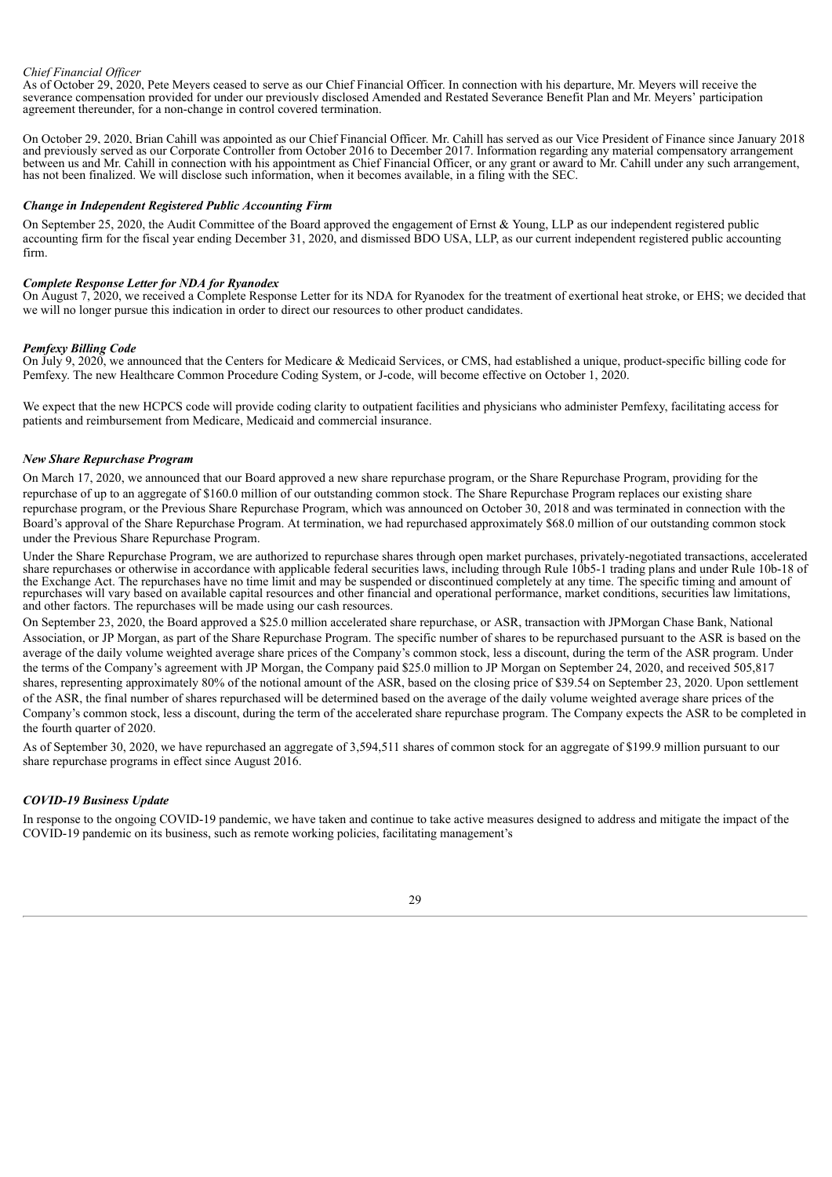#### *Chief Financial Of icer*

As of October 29, 2020, Pete Meyers ceased to serve as our Chief Financial Officer. In connection with his departure, Mr. Meyers will receive the severance compensation provided for under our previously disclosed Amended and Restated Severance Benefit Plan and Mr. Meyers' participation agreement thereunder, for a non-change in control covered termination.

On October 29, 2020, Brian Cahill was appointed as our Chief Financial Officer. Mr. Cahill has served as our Vice President of Finance since January 2018 and previously served as our Corporate Controller from October 2016 to December 2017. Information regarding any material compensatory arrangement between us and Mr. Cahill in connection with his appointment as Chief Financial Officer, or any grant or award to Mr. Cahill under any such arrangement, has not been finalized. We will disclose such information, when it becomes available, in a filing with the SEC.

#### *Change in Independent Registered Public Accounting Firm*

On September 25, 2020, the Audit Committee of the Board approved the engagement of Ernst & Young, LLP as our independent registered public accounting firm for the fiscal year ending December 31, 2020, and dismissed BDO USA, LLP, as our current independent registered public accounting firm.

#### *Complete Response Letter for NDA for Ryanodex*

On August 7, 2020, we received a Complete Response Letter for its NDA for Ryanodex for the treatment of exertional heat stroke, or EHS; we decided that we will no longer pursue this indication in order to direct our resources to other product candidates.

#### *Pemfexy Billing Code*

On July 9, 2020, we announced that the Centers for Medicare & Medicaid Services, or CMS, had established a unique, product-specific billing code for Pemfexy. The new Healthcare Common Procedure Coding System, or J-code, will become effective on October 1, 2020.

We expect that the new HCPCS code will provide coding clarity to outpatient facilities and physicians who administer Pemfexy, facilitating access for patients and reimbursement from Medicare, Medicaid and commercial insurance.

#### *New Share Repurchase Program*

On March 17, 2020, we announced that our Board approved a new share repurchase program, or the Share Repurchase Program, providing for the repurchase of up to an aggregate of \$160.0 million of our outstanding common stock. The Share Repurchase Program replaces our existing share repurchase program, or the Previous Share Repurchase Program, which was announced on October 30, 2018 and was terminated in connection with the Board's approval of the Share Repurchase Program. At termination, we had repurchased approximately \$68.0 million of our outstanding common stock under the Previous Share Repurchase Program.

Under the Share Repurchase Program, we are authorized to repurchase shares through open market purchases, privately-negotiated transactions, accelerated share repurchases or otherwise in accordance with applicable federal securities laws, including through Rule 10b5-1 trading plans and under Rule 10b-18 of the Exchange Act. The repurchases have no time limit and may be suspended or discontinued completely at any time. The specific timing and amount of repurchases will vary based on available capital resources and other financial and operational performance, market conditions, securities law limitations, and other factors. The repurchases will be made using our cash resources.

On September 23, 2020, the Board approved a \$25.0 million accelerated share repurchase, or ASR, transaction with JPMorgan Chase Bank, National Association, or JP Morgan, as part of the Share Repurchase Program. The specific number of shares to be repurchased pursuant to the ASR is based on the average of the daily volume weighted average share prices of the Company's common stock, less a discount, during the term of the ASR program. Under the terms of the Company's agreement with JP Morgan, the Company paid \$25.0 million to JP Morgan on September 24, 2020, and received 505,817 shares, representing approximately 80% of the notional amount of the ASR, based on the closing price of \$39.54 on September 23, 2020. Upon settlement of the ASR, the final number of shares repurchased will be determined based on the average of the daily volume weighted average share prices of the Company's common stock, less a discount, during the term of the accelerated share repurchase program. The Company expects the ASR to be completed in the fourth quarter of 2020.

As of September 30, 2020, we have repurchased an aggregate of 3,594,511 shares of common stock for an aggregate of \$199.9 million pursuant to our share repurchase programs in effect since August 2016.

#### *COVID-19 Business Update*

In response to the ongoing COVID-19 pandemic, we have taken and continue to take active measures designed to address and mitigate the impact of the COVID-19 pandemic on its business, such as remote working policies, facilitating management's

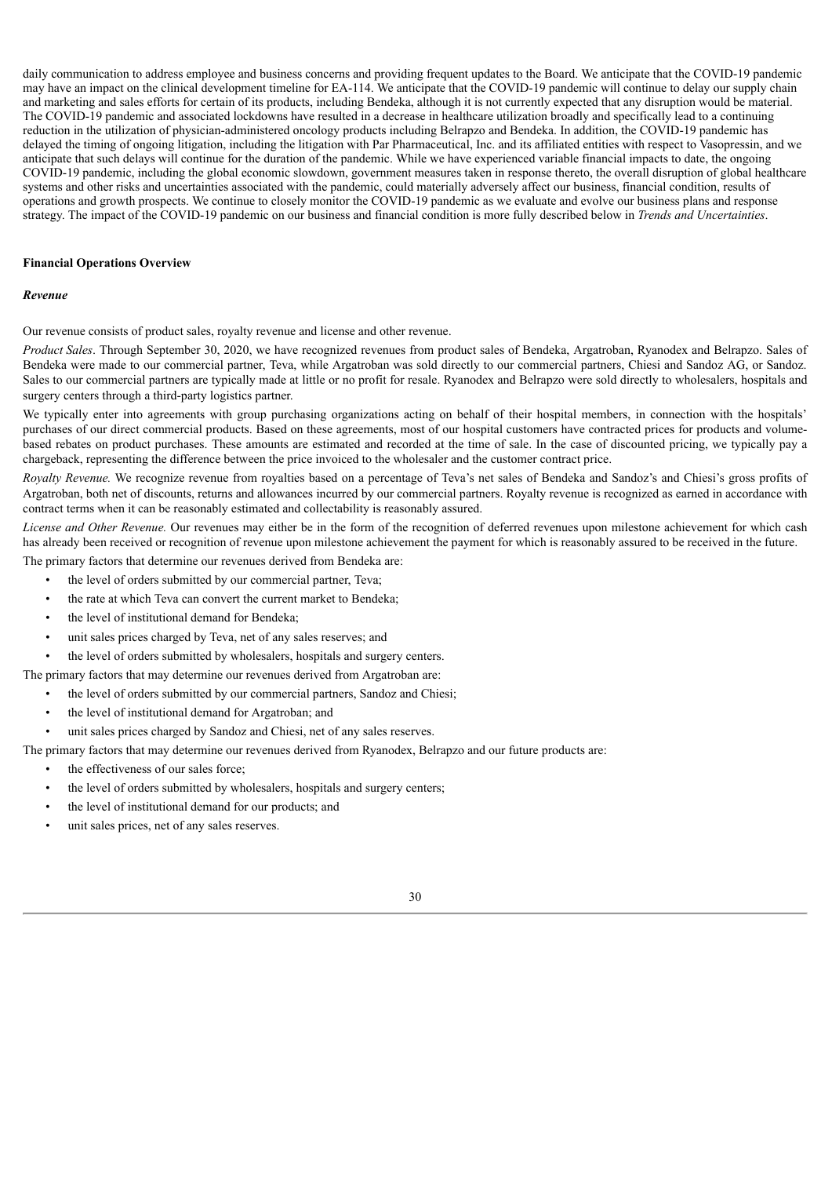daily communication to address employee and business concerns and providing frequent updates to the Board. We anticipate that the COVID-19 pandemic may have an impact on the clinical development timeline for EA-114. We anticipate that the COVID-19 pandemic will continue to delay our supply chain and marketing and sales efforts for certain of its products, including Bendeka, although it is not currently expected that any disruption would be material. The COVID-19 pandemic and associated lockdowns have resulted in a decrease in healthcare utilization broadly and specifically lead to a continuing reduction in the utilization of physician-administered oncology products including Belrapzo and Bendeka. In addition, the COVID-19 pandemic has delayed the timing of ongoing litigation, including the litigation with Par Pharmaceutical, Inc. and its affiliated entities with respect to Vasopressin, and we anticipate that such delays will continue for the duration of the pandemic. While we have experienced variable financial impacts to date, the ongoing COVID-19 pandemic, including the global economic slowdown, government measures taken in response thereto, the overall disruption of global healthcare systems and other risks and uncertainties associated with the pandemic, could materially adversely affect our business, financial condition, results of operations and growth prospects. We continue to closely monitor the COVID-19 pandemic as we evaluate and evolve our business plans and response strategy. The impact of the COVID-19 pandemic on our business and financial condition is more fully described below in *Trends and Uncertainties*.

#### **Financial Operations Overview**

#### *Revenue*

Our revenue consists of product sales, royalty revenue and license and other revenue.

*Product Sales*. Through September 30, 2020, we have recognized revenues from product sales of Bendeka, Argatroban, Ryanodex and Belrapzo. Sales of Bendeka were made to our commercial partner, Teva, while Argatroban was sold directly to our commercial partners, Chiesi and Sandoz AG, or Sandoz. Sales to our commercial partners are typically made at little or no profit for resale. Ryanodex and Belrapzo were sold directly to wholesalers, hospitals and surgery centers through a third-party logistics partner.

We typically enter into agreements with group purchasing organizations acting on behalf of their hospital members, in connection with the hospitals' purchases of our direct commercial products. Based on these agreements, most of our hospital customers have contracted prices for products and volumebased rebates on product purchases. These amounts are estimated and recorded at the time of sale. In the case of discounted pricing, we typically pay a chargeback, representing the difference between the price invoiced to the wholesaler and the customer contract price.

*Royalty Revenue.* We recognize revenue from royalties based on a percentage of Teva's net sales of Bendeka and Sandoz's and Chiesi's gross profits of Argatroban, both net of discounts, returns and allowances incurred by our commercial partners. Royalty revenue is recognized as earned in accordance with contract terms when it can be reasonably estimated and collectability is reasonably assured.

*License and Other Revenue.* Our revenues may either be in the form of the recognition of deferred revenues upon milestone achievement for which cash has already been received or recognition of revenue upon milestone achievement the payment for which is reasonably assured to be received in the future.

- The primary factors that determine our revenues derived from Bendeka are:
	- the level of orders submitted by our commercial partner, Teva;
	- the rate at which Teva can convert the current market to Bendeka;
	- the level of institutional demand for Bendeka;
	- unit sales prices charged by Teva, net of any sales reserves; and
	- the level of orders submitted by wholesalers, hospitals and surgery centers.

The primary factors that may determine our revenues derived from Argatroban are:

- the level of orders submitted by our commercial partners, Sandoz and Chiesi;
- the level of institutional demand for Argatroban; and
- unit sales prices charged by Sandoz and Chiesi, net of any sales reserves.

The primary factors that may determine our revenues derived from Ryanodex, Belrapzo and our future products are:

- the effectiveness of our sales force;
- the level of orders submitted by wholesalers, hospitals and surgery centers;
- the level of institutional demand for our products; and
- unit sales prices, net of any sales reserves.

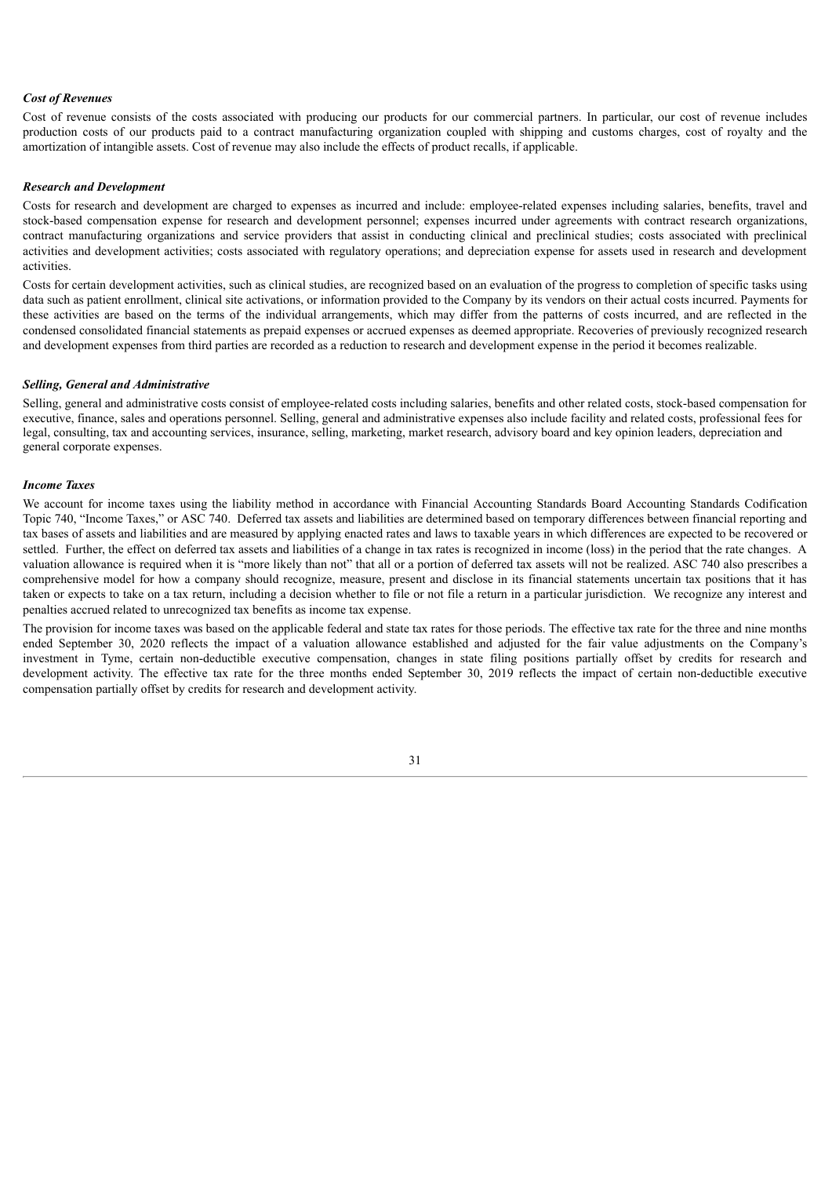#### *Cost of Revenues*

Cost of revenue consists of the costs associated with producing our products for our commercial partners. In particular, our cost of revenue includes production costs of our products paid to a contract manufacturing organization coupled with shipping and customs charges, cost of royalty and the amortization of intangible assets. Cost of revenue may also include the effects of product recalls, if applicable.

#### *Research and Development*

Costs for research and development are charged to expenses as incurred and include: employee-related expenses including salaries, benefits, travel and stock-based compensation expense for research and development personnel; expenses incurred under agreements with contract research organizations, contract manufacturing organizations and service providers that assist in conducting clinical and preclinical studies; costs associated with preclinical activities and development activities; costs associated with regulatory operations; and depreciation expense for assets used in research and development activities.

Costs for certain development activities, such as clinical studies, are recognized based on an evaluation of the progress to completion of specific tasks using data such as patient enrollment, clinical site activations, or information provided to the Company by its vendors on their actual costs incurred. Payments for these activities are based on the terms of the individual arrangements, which may differ from the patterns of costs incurred, and are reflected in the condensed consolidated financial statements as prepaid expenses or accrued expenses as deemed appropriate. Recoveries of previously recognized research and development expenses from third parties are recorded as a reduction to research and development expense in the period it becomes realizable.

#### *Selling, General and Administrative*

Selling, general and administrative costs consist of employee-related costs including salaries, benefits and other related costs, stock-based compensation for executive, finance, sales and operations personnel. Selling, general and administrative expenses also include facility and related costs, professional fees for legal, consulting, tax and accounting services, insurance, selling, marketing, market research, advisory board and key opinion leaders, depreciation and general corporate expenses.

#### *Income Taxes*

We account for income taxes using the liability method in accordance with Financial Accounting Standards Board Accounting Standards Codification Topic 740, "Income Taxes," or ASC 740. Deferred tax assets and liabilities are determined based on temporary differences between financial reporting and tax bases of assets and liabilities and are measured by applying enacted rates and laws to taxable years in which differences are expected to be recovered or settled. Further, the effect on deferred tax assets and liabilities of a change in tax rates is recognized in income (loss) in the period that the rate changes. A valuation allowance is required when it is "more likely than not" that all or a portion of deferred tax assets will not be realized. ASC 740 also prescribes a comprehensive model for how a company should recognize, measure, present and disclose in its financial statements uncertain tax positions that it has taken or expects to take on a tax return, including a decision whether to file or not file a return in a particular jurisdiction. We recognize any interest and penalties accrued related to unrecognized tax benefits as income tax expense.

The provision for income taxes was based on the applicable federal and state tax rates for those periods. The effective tax rate for the three and nine months ended September 30, 2020 reflects the impact of a valuation allowance established and adjusted for the fair value adjustments on the Company's investment in Tyme, certain non-deductible executive compensation, changes in state filing positions partially offset by credits for research and development activity. The effective tax rate for the three months ended September 30, 2019 reflects the impact of certain non-deductible executive compensation partially offset by credits for research and development activity.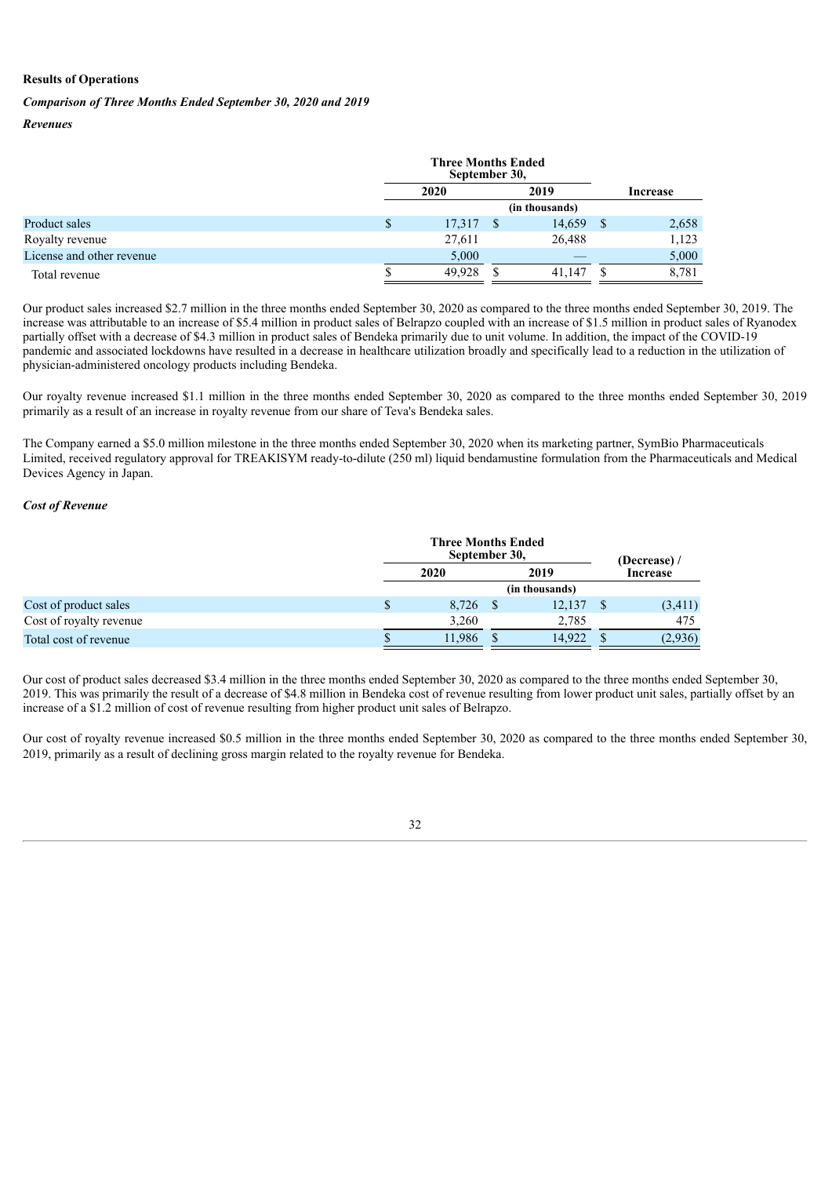#### **Results of Operations**

#### *Comparison of Three Months Ended September 30, 2020 and 2019*

#### *Revenues*

|                           |    | 2020   | 2019           | <b>Increase</b> |
|---------------------------|----|--------|----------------|-----------------|
|                           |    |        | (in thousands) |                 |
| Product sales             | \$ | 17,317 | 14,659         | 2,658           |
| Royalty revenue           |    | 27,611 | 26,488         | 1,123           |
| License and other revenue |    | 5,000  |                | 5,000           |
| Total revenue             |    | 49.928 | 41.147         | 8.781           |

Our product sales increased \$2.7 million in the three months ended September 30, 2020 as compared to the three months ended September 30, 2019. The increase was attributable to an increase of \$5.4 million in product sales of Belrapzo coupled with an increase of \$1.5 million in product sales of Ryanodex partially offset with a decrease of \$4.3 million in product sales of Bendeka primarily due to unit volume. In addition, the impact of the COVID-19 pandemic and associated lockdowns have resulted in a decrease in healthcare utilization broadly and specifically lead to a reduction in the utilization of physician-administered oncology products including Bendeka.

Our royalty revenue increased \$1.1 million in the three months ended September 30, 2020 as compared to the three months ended September 30, 2019 primarily as a result of an increase in royalty revenue from our share of Teva's Bendeka sales.

The Company earned a \$5.0 million milestone in the three months ended September 30, 2020 when its marketing partner, SymBio Pharmaceuticals Limited, received regulatory approval for TREAKISYM ready-to-dilute (250 ml) liquid bendamustine formulation from the Pharmaceuticals and Medical Devices Agency in Japan.

#### *Cost of Revenue*

|                         | <b>Three Months Ended</b><br>September 30, |  |                |  |                                 |  |
|-------------------------|--------------------------------------------|--|----------------|--|---------------------------------|--|
|                         | 2020                                       |  | 2019           |  | (Decrease) /<br><b>Increase</b> |  |
|                         |                                            |  | (in thousands) |  |                                 |  |
| Cost of product sales   | 8,726                                      |  | 12,137         |  | (3,411)                         |  |
| Cost of royalty revenue | 3,260                                      |  | 2,785          |  | 475                             |  |
| Total cost of revenue   | 11.986                                     |  | 14.922         |  | (2,936)                         |  |

Our cost of product sales decreased \$3.4 million in the three months ended September 30, 2020 as compared to the three months ended September 30, 2019. This was primarily the result of a decrease of \$4.8 million in Bendeka cost of revenue resulting from lower product unit sales, partially offset by an increase of a \$1.2 million of cost of revenue resulting from higher product unit sales of Belrapzo.

Our cost of royalty revenue increased \$0.5 million in the three months ended September 30, 2020 as compared to the three months ended September 30, 2019, primarily as a result of declining gross margin related to the royalty revenue for Bendeka.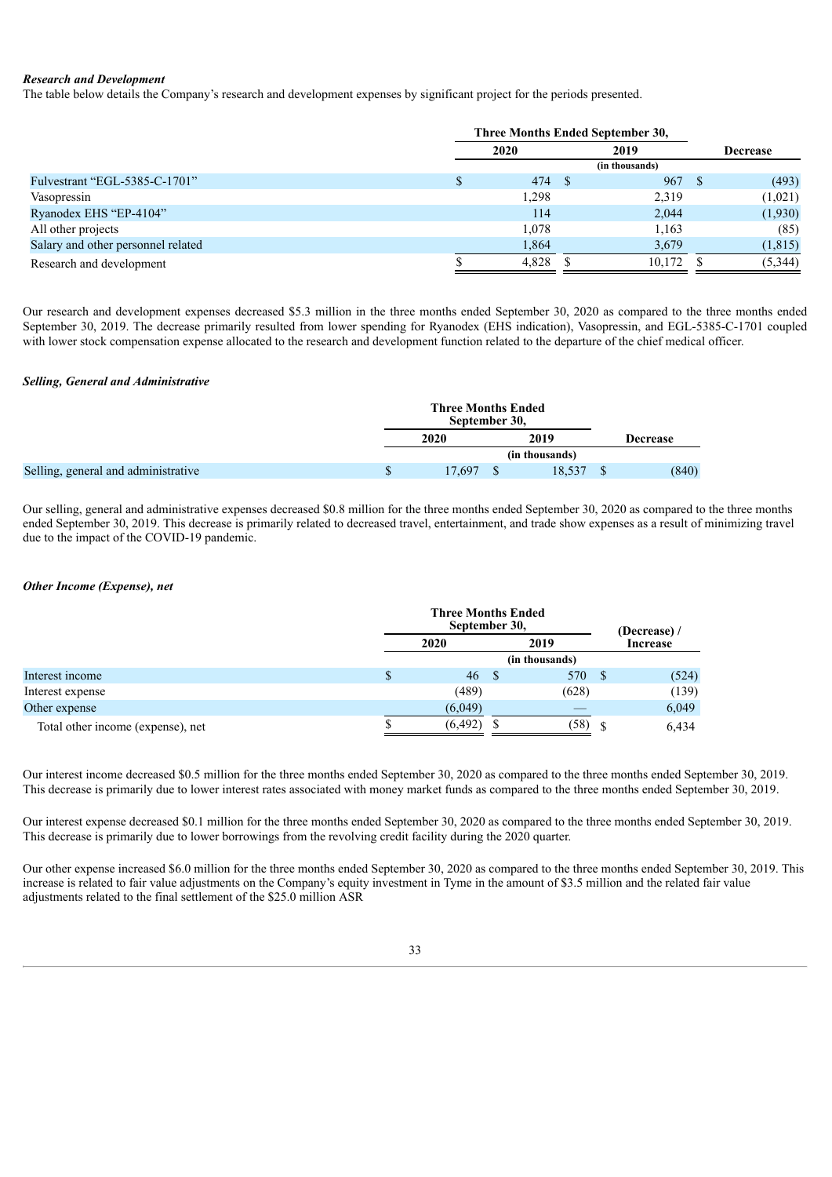#### *Research and Development*

The table below details the Company's research and development expenses by significant project for the periods presented.

|                                    | Three Months Ended September 30, |  |                |  |          |  |
|------------------------------------|----------------------------------|--|----------------|--|----------|--|
|                                    | 2020                             |  | 2019           |  | Decrease |  |
|                                    |                                  |  | (in thousands) |  |          |  |
| Fulvestrant "EGL-5385-C-1701"      | 474 \$                           |  | 967            |  | (493)    |  |
| Vasopressin                        | 1,298                            |  | 2,319          |  | (1,021)  |  |
| Ryanodex EHS "EP-4104"             | 114                              |  | 2,044          |  | (1,930)  |  |
| All other projects                 | 1.078                            |  | 1,163          |  | (85)     |  |
| Salary and other personnel related | 1,864                            |  | 3,679          |  | (1, 815) |  |
| Research and development           | 4,828                            |  | 10,172         |  | (5, 344) |  |

Our research and development expenses decreased \$5.3 million in the three months ended September 30, 2020 as compared to the three months ended September 30, 2019. The decrease primarily resulted from lower spending for Ryanodex (EHS indication), Vasopressin, and EGL-5385-C-1701 coupled with lower stock compensation expense allocated to the research and development function related to the departure of the chief medical officer.

#### *Selling, General and Administrative*

|                                     | <b>Three Months Ended</b><br>September 30, |  |                |  |                 |
|-------------------------------------|--------------------------------------------|--|----------------|--|-----------------|
|                                     | 2020                                       |  | 2019           |  | <b>Decrease</b> |
|                                     |                                            |  | (in thousands) |  |                 |
| Selling, general and administrative | 17697                                      |  | 18.537         |  | (840)           |

Our selling, general and administrative expenses decreased \$0.8 million for the three months ended September 30, 2020 as compared to the three months ended September 30, 2019. This decrease is primarily related to decreased travel, entertainment, and trade show expenses as a result of minimizing travel due to the impact of the COVID-19 pandemic.

#### *Other Income (Expense), net*

|                                   | <b>Three Months Ended</b><br>September 30, |          |  |                |    |                         |
|-----------------------------------|--------------------------------------------|----------|--|----------------|----|-------------------------|
|                                   | 2020                                       |          |  | 2019           |    | (Decrease)/<br>Increase |
|                                   |                                            |          |  | (in thousands) |    |                         |
| Interest income                   | \$                                         | 46       |  | 570            | -S | (524)                   |
| Interest expense                  |                                            | (489)    |  | (628)          |    | (139)                   |
| Other expense                     |                                            | (6,049)  |  |                |    | 6,049                   |
| Total other income (expense), net |                                            | (6, 492) |  | (58)           |    | 6,434                   |

Our interest income decreased \$0.5 million for the three months ended September 30, 2020 as compared to the three months ended September 30, 2019. This decrease is primarily due to lower interest rates associated with money market funds as compared to the three months ended September 30, 2019.

Our interest expense decreased \$0.1 million for the three months ended September 30, 2020 as compared to the three months ended September 30, 2019. This decrease is primarily due to lower borrowings from the revolving credit facility during the 2020 quarter.

Our other expense increased \$6.0 million for the three months ended September 30, 2020 as compared to the three months ended September 30, 2019. This increase is related to fair value adjustments on the Company's equity investment in Tyme in the amount of \$3.5 million and the related fair value adjustments related to the final settlement of the \$25.0 million ASR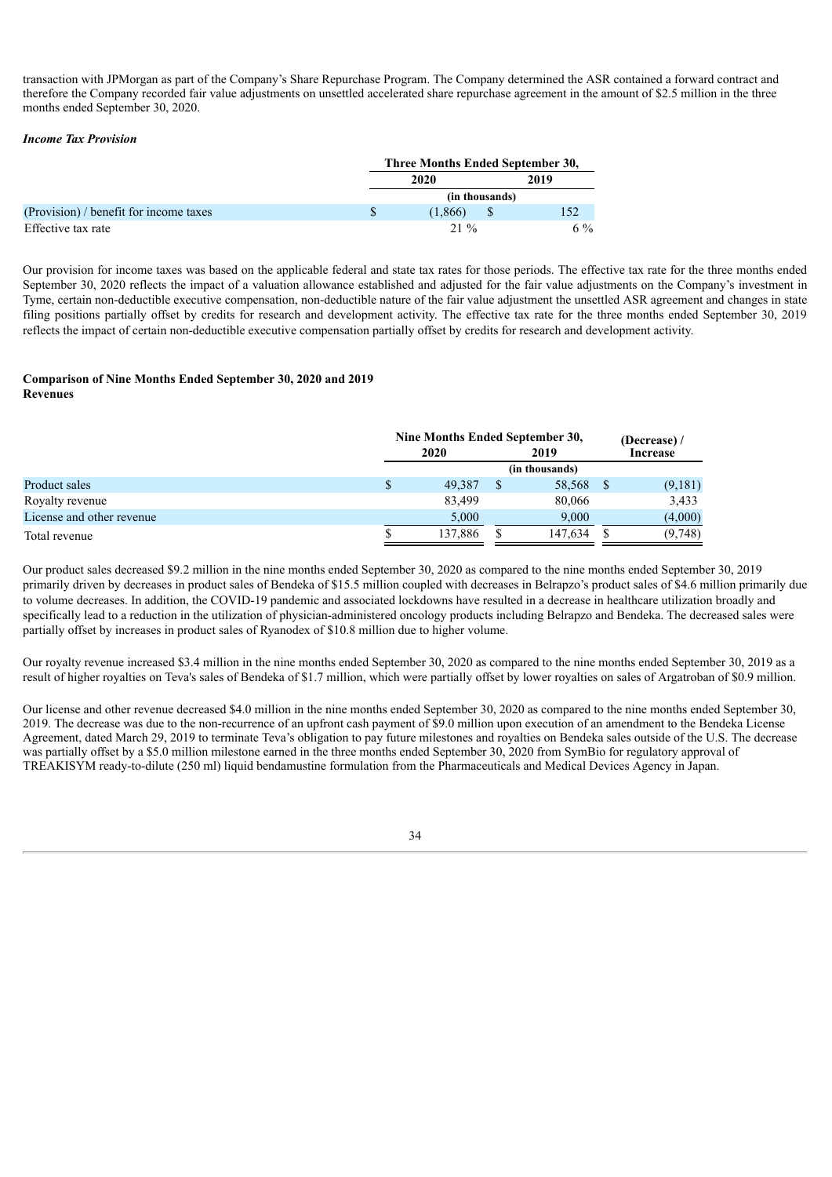transaction with JPMorgan as part of the Company's Share Repurchase Program. The Company determined the ASR contained a forward contract and therefore the Company recorded fair value adjustments on unsettled accelerated share repurchase agreement in the amount of \$2.5 million in the three months ended September 30, 2020.

#### *Income Tax Provision*

|                                        | Three Months Ended September 30, |                |       |  |  |  |  |
|----------------------------------------|----------------------------------|----------------|-------|--|--|--|--|
|                                        | 2020                             |                | 2019  |  |  |  |  |
|                                        |                                  | (in thousands) |       |  |  |  |  |
| (Provision) / benefit for income taxes | (1.866)                          |                | 152   |  |  |  |  |
| Effective tax rate                     | $21\%$                           |                | $6\%$ |  |  |  |  |

Our provision for income taxes was based on the applicable federal and state tax rates for those periods. The effective tax rate for the three months ended September 30, 2020 reflects the impact of a valuation allowance established and adjusted for the fair value adjustments on the Company's investment in Tyme, certain non-deductible executive compensation, non-deductible nature of the fair value adjustment the unsettled ASR agreement and changes in state filing positions partially offset by credits for research and development activity. The effective tax rate for the three months ended September 30, 2019 reflects the impact of certain non-deductible executive compensation partially offset by credits for research and development activity.

# **Comparison of Nine Months Ended September 30, 2020 and 2019**

## **Revenues**

|                           | Nine Months Ended September 30, |         |  |                |  | (Decrease) / |
|---------------------------|---------------------------------|---------|--|----------------|--|--------------|
|                           |                                 | 2020    |  | 2019           |  | Increase     |
|                           |                                 |         |  | (in thousands) |  |              |
| Product sales             | S                               | 49.387  |  | 58,568         |  | (9,181)      |
| Royalty revenue           |                                 | 83.499  |  | 80,066         |  | 3,433        |
| License and other revenue |                                 | 5.000   |  | 9.000          |  | (4,000)      |
| Total revenue             |                                 | 137.886 |  | 147.634        |  | (9,748)      |

Our product sales decreased \$9.2 million in the nine months ended September 30, 2020 as compared to the nine months ended September 30, 2019 primarily driven by decreases in product sales of Bendeka of \$15.5 million coupled with decreases in Belrapzo's product sales of \$4.6 million primarily due to volume decreases. In addition, the COVID-19 pandemic and associated lockdowns have resulted in a decrease in healthcare utilization broadly and specifically lead to a reduction in the utilization of physician-administered oncology products including Belrapzo and Bendeka. The decreased sales were partially offset by increases in product sales of Ryanodex of \$10.8 million due to higher volume.

Our royalty revenue increased \$3.4 million in the nine months ended September 30, 2020 as compared to the nine months ended September 30, 2019 as a result of higher royalties on Teva's sales of Bendeka of \$1.7 million, which were partially offset by lower royalties on sales of Argatroban of \$0.9 million.

Our license and other revenue decreased \$4.0 million in the nine months ended September 30, 2020 as compared to the nine months ended September 30, 2019. The decrease was due to the non-recurrence of an upfront cash payment of \$9.0 million upon execution of an amendment to the Bendeka License Agreement, dated March 29, 2019 to terminate Teva's obligation to pay future milestones and royalties on Bendeka sales outside of the U.S. The decrease was partially offset by a \$5.0 million milestone earned in the three months ended September 30, 2020 from SymBio for regulatory approval of TREAKISYM ready-to-dilute (250 ml) liquid bendamustine formulation from the Pharmaceuticals and Medical Devices Agency in Japan.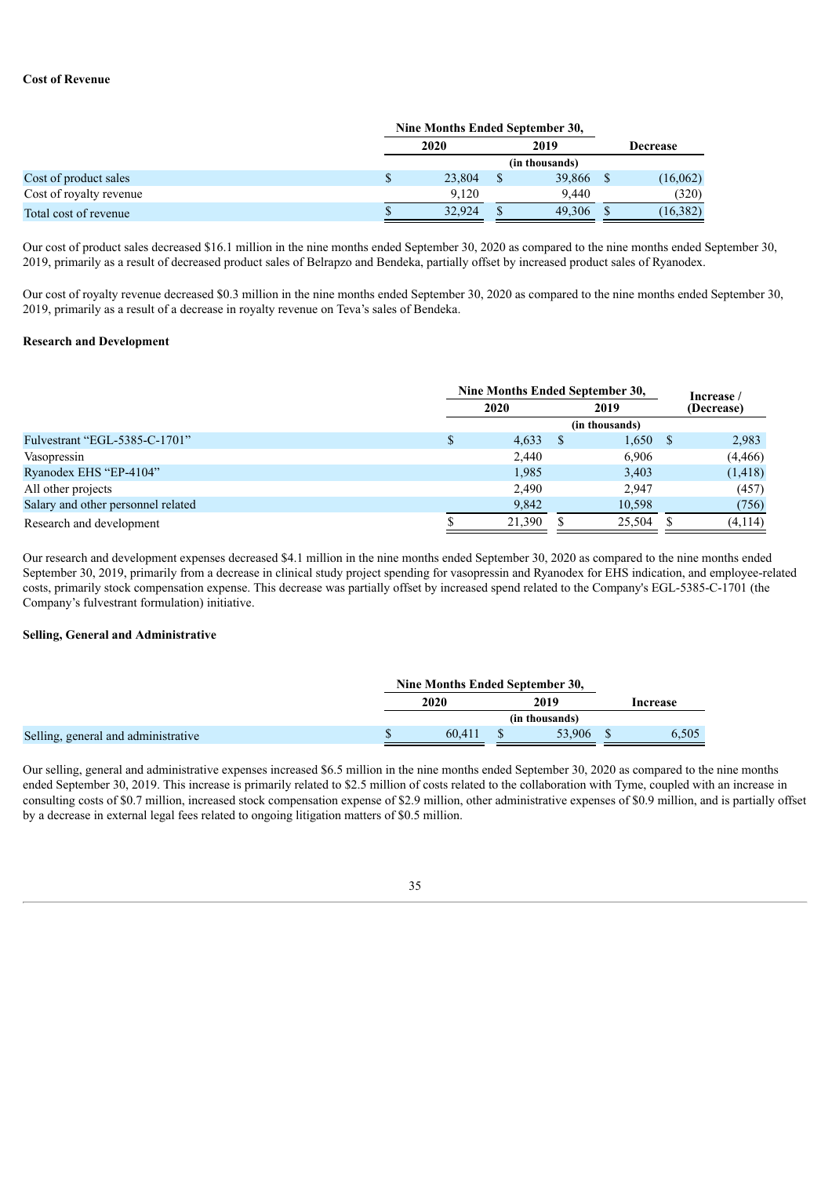#### **Cost of Revenue**

|                         | Nine Months Ended September 30, |  |                |  |                 |
|-------------------------|---------------------------------|--|----------------|--|-----------------|
|                         | 2020                            |  | 2019           |  | <b>Decrease</b> |
|                         |                                 |  | (in thousands) |  |                 |
| Cost of product sales   | 23,804                          |  | 39,866         |  | (16,062)        |
| Cost of royalty revenue | 9.120                           |  | 9.440          |  | (320)           |
| Total cost of revenue   | 32.924                          |  | 49,306         |  | (16, 382)       |

Our cost of product sales decreased \$16.1 million in the nine months ended September 30, 2020 as compared to the nine months ended September 30, 2019, primarily as a result of decreased product sales of Belrapzo and Bendeka, partially offset by increased product sales of Ryanodex.

Our cost of royalty revenue decreased \$0.3 million in the nine months ended September 30, 2020 as compared to the nine months ended September 30, 2019, primarily as a result of a decrease in royalty revenue on Teva's sales of Bendeka.

#### **Research and Development**

|                                    | Nine Months Ended September 30, |  |                |  |                          |  |
|------------------------------------|---------------------------------|--|----------------|--|--------------------------|--|
|                                    | 2020                            |  | 2019           |  | Increase /<br>(Decrease) |  |
|                                    |                                 |  | (in thousands) |  |                          |  |
| Fulvestrant "EGL-5385-C-1701"      | 4,633                           |  | 1,650          |  | 2,983                    |  |
| Vasopressin                        | 2,440                           |  | 6,906          |  | (4, 466)                 |  |
| Ryanodex EHS "EP-4104"             | 1,985                           |  | 3,403          |  | (1, 418)                 |  |
| All other projects                 | 2.490                           |  | 2.947          |  | (457)                    |  |
| Salary and other personnel related | 9,842                           |  | 10,598         |  | (756)                    |  |
| Research and development           | 21,390                          |  | 25,504         |  | (4, 114)                 |  |

Our research and development expenses decreased \$4.1 million in the nine months ended September 30, 2020 as compared to the nine months ended September 30, 2019, primarily from a decrease in clinical study project spending for vasopressin and Ryanodex for EHS indication, and employee-related costs, primarily stock compensation expense. This decrease was partially offset by increased spend related to the Company's EGL-5385-C-1701 (the Company's fulvestrant formulation) initiative.

#### **Selling, General and Administrative**

|                                     | Nine Months Ended September 30, |        |                |          |
|-------------------------------------|---------------------------------|--------|----------------|----------|
|                                     | 2020                            |        | 2019           | Increase |
|                                     |                                 |        | (in thousands) |          |
| Selling, general and administrative |                                 | 60.411 | 53.906         | 6.505    |

Our selling, general and administrative expenses increased \$6.5 million in the nine months ended September 30, 2020 as compared to the nine months ended September 30, 2019. This increase is primarily related to \$2.5 million of costs related to the collaboration with Tyme, coupled with an increase in consulting costs of \$0.7 million, increased stock compensation expense of \$2.9 million, other administrative expenses of \$0.9 million, and is partially offset by a decrease in external legal fees related to ongoing litigation matters of \$0.5 million.

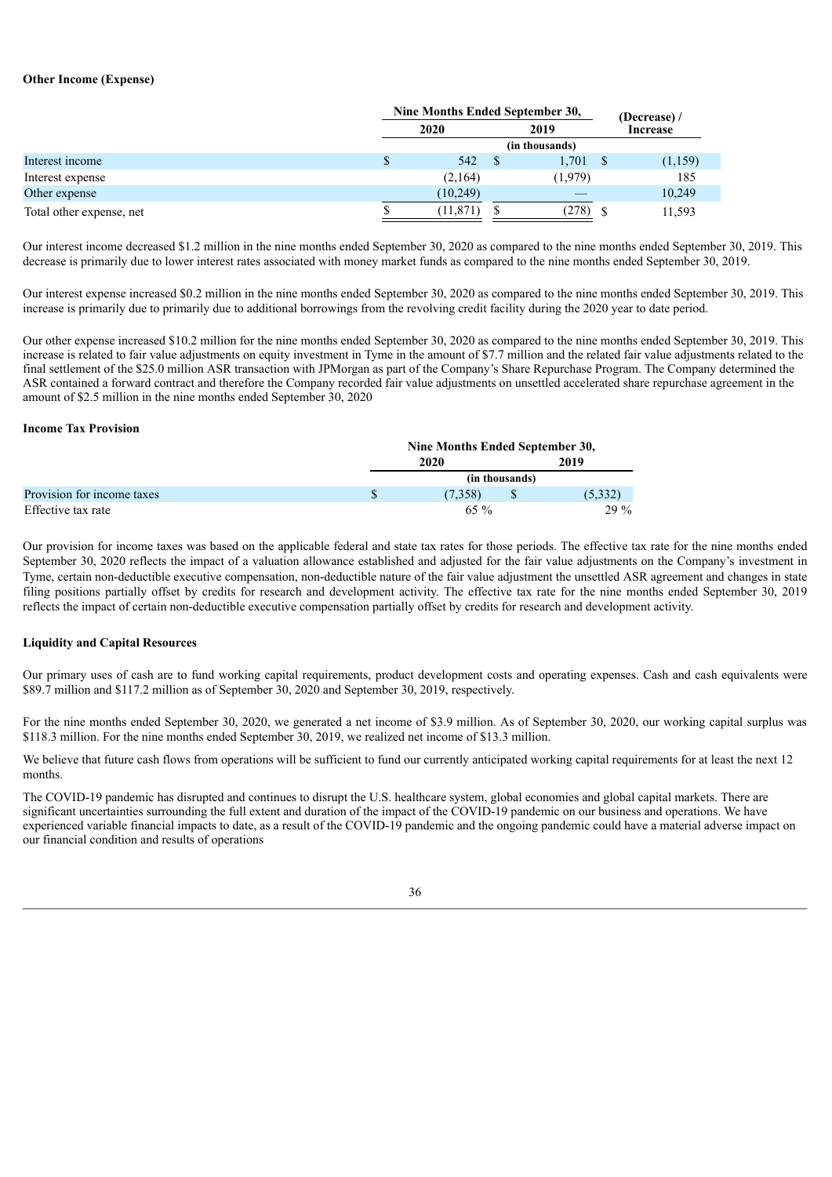#### **Other Income (Expense)**

|                          | Nine Months Ended September 30, | (Decrease) / |  |         |                 |
|--------------------------|---------------------------------|--------------|--|---------|-----------------|
|                          | 2020                            |              |  | 2019    | <b>Increase</b> |
|                          |                                 |              |  |         |                 |
| Interest income          | S                               | 542          |  | 1,701   | (1,159)         |
| Interest expense         |                                 | (2,164)      |  | (1,979) | 185             |
| Other expense            |                                 | (10,249)     |  |         | 10,249          |
| Total other expense, net |                                 | (11, 871)    |  | (278)   | 11,593          |

Our interest income decreased \$1.2 million in the nine months ended September 30, 2020 as compared to the nine months ended September 30, 2019. This decrease is primarily due to lower interest rates associated with money market funds as compared to the nine months ended September 30, 2019.

Our interest expense increased \$0.2 million in the nine months ended September 30, 2020 as compared to the nine months ended September 30, 2019. This increase is primarily due to primarily due to additional borrowings from the revolving credit facility during the 2020 year to date period.

Our other expense increased \$10.2 million for the nine months ended September 30, 2020 as compared to the nine months ended September 30, 2019. This increase is related to fair value adjustments on equity investment in Tyme in the amount of \$7.7 million and the related fair value adjustments related to the final settlement of the \$25.0 million ASR transaction with JPMorgan as part of the Company's Share Repurchase Program. The Company determined the ASR contained a forward contract and therefore the Company recorded fair value adjustments on unsettled accelerated share repurchase agreement in the amount of \$2.5 million in the nine months ended September 30, 2020

#### **Income Tax Provision**

|                            | Nine Months Ended September 30, |  |         |  |  |  |  |  |
|----------------------------|---------------------------------|--|---------|--|--|--|--|--|
|                            | 2020                            |  |         |  |  |  |  |  |
|                            | (in thousands)                  |  |         |  |  |  |  |  |
| Provision for income taxes | (7.358)                         |  | (5,332) |  |  |  |  |  |
| Effective tax rate         | 65 %                            |  | $29\%$  |  |  |  |  |  |

Our provision for income taxes was based on the applicable federal and state tax rates for those periods. The effective tax rate for the nine months ended September 30, 2020 reflects the impact of a valuation allowance established and adjusted for the fair value adjustments on the Company's investment in Tyme, certain non-deductible executive compensation, non-deductible nature of the fair value adjustment the unsettled ASR agreement and changes in state filing positions partially offset by credits for research and development activity. The effective tax rate for the nine months ended September 30, 2019 reflects the impact of certain non-deductible executive compensation partially offset by credits for research and development activity.

#### **Liquidity and Capital Resources**

Our primary uses of cash are to fund working capital requirements, product development costs and operating expenses. Cash and cash equivalents were \$89.7 million and \$117.2 million as of September 30, 2020 and September 30, 2019, respectively.

For the nine months ended September 30, 2020, we generated a net income of \$3.9 million. As of September 30, 2020, our working capital surplus was \$118.3 million. For the nine months ended September 30, 2019, we realized net income of \$13.3 million.

We believe that future cash flows from operations will be sufficient to fund our currently anticipated working capital requirements for at least the next 12 months.

The COVID-19 pandemic has disrupted and continues to disrupt the U.S. healthcare system, global economies and global capital markets. There are significant uncertainties surrounding the full extent and duration of the impact of the COVID-19 pandemic on our business and operations. We have experienced variable financial impacts to date, as a result of the COVID-19 pandemic and the ongoing pandemic could have a material adverse impact on our financial condition and results of operations

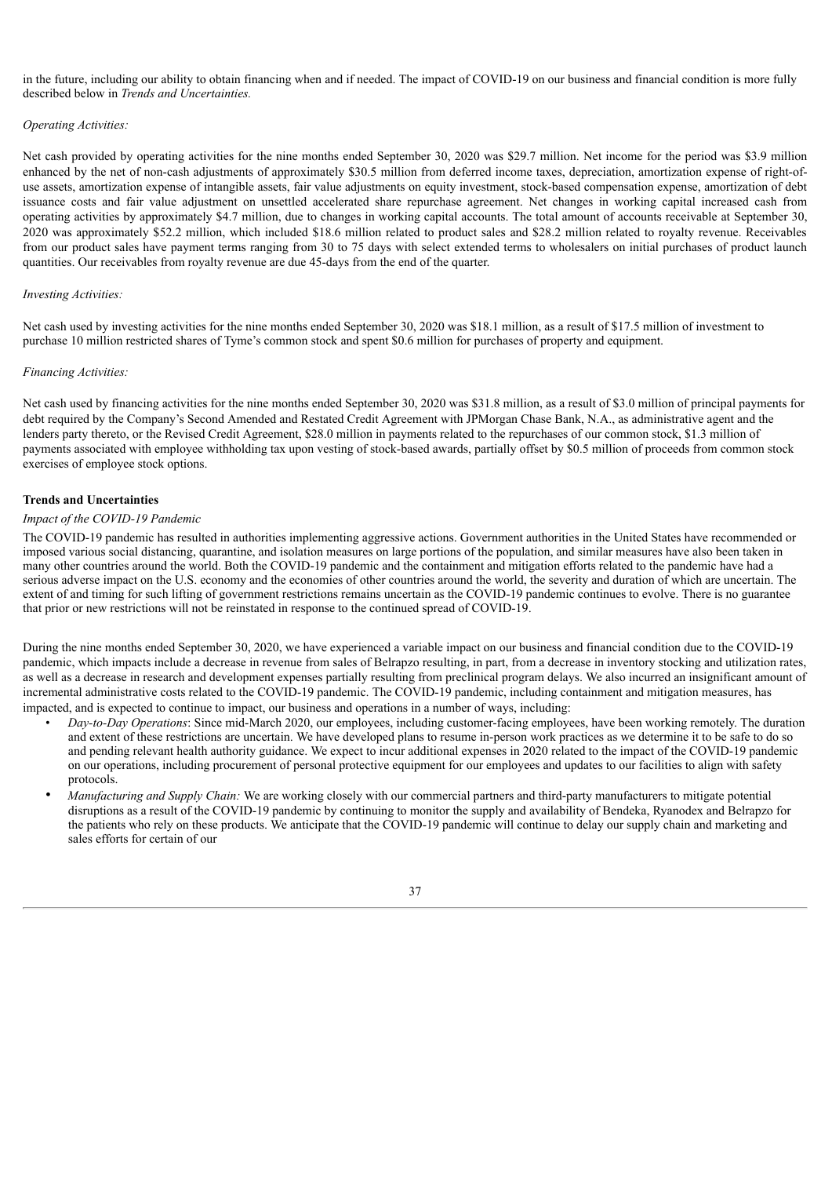in the future, including our ability to obtain financing when and if needed. The impact of COVID-19 on our business and financial condition is more fully described below in *Trends and Uncertainties.*

#### *Operating Activities:*

Net cash provided by operating activities for the nine months ended September 30, 2020 was \$29.7 million. Net income for the period was \$3.9 million enhanced by the net of non-cash adjustments of approximately \$30.5 million from deferred income taxes, depreciation, amortization expense of right-ofuse assets, amortization expense of intangible assets, fair value adjustments on equity investment, stock-based compensation expense, amortization of debt issuance costs and fair value adjustment on unsettled accelerated share repurchase agreement. Net changes in working capital increased cash from operating activities by approximately \$4.7 million, due to changes in working capital accounts. The total amount of accounts receivable at September 30, 2020 was approximately \$52.2 million, which included \$18.6 million related to product sales and \$28.2 million related to royalty revenue. Receivables from our product sales have payment terms ranging from 30 to 75 days with select extended terms to wholesalers on initial purchases of product launch quantities. Our receivables from royalty revenue are due 45-days from the end of the quarter.

#### *Investing Activities:*

Net cash used by investing activities for the nine months ended September 30, 2020 was \$18.1 million, as a result of \$17.5 million of investment to purchase 10 million restricted shares of Tyme's common stock and spent \$0.6 million for purchases of property and equipment.

#### *Financing Activities:*

Net cash used by financing activities for the nine months ended September 30, 2020 was \$31.8 million, as a result of \$3.0 million of principal payments for debt required by the Company's Second Amended and Restated Credit Agreement with JPMorgan Chase Bank, N.A., as administrative agent and the lenders party thereto, or the Revised Credit Agreement, \$28.0 million in payments related to the repurchases of our common stock, \$1.3 million of payments associated with employee withholding tax upon vesting of stock-based awards, partially offset by \$0.5 million of proceeds from common stock exercises of employee stock options.

#### **Trends and Uncertainties**

#### *Impact of the COVID-19 Pandemic*

The COVID-19 pandemic has resulted in authorities implementing aggressive actions. Government authorities in the United States have recommended or imposed various social distancing, quarantine, and isolation measures on large portions of the population, and similar measures have also been taken in many other countries around the world. Both the COVID-19 pandemic and the containment and mitigation efforts related to the pandemic have had a serious adverse impact on the U.S. economy and the economies of other countries around the world, the severity and duration of which are uncertain. The extent of and timing for such lifting of government restrictions remains uncertain as the COVID-19 pandemic continues to evolve. There is no guarantee that prior or new restrictions will not be reinstated in response to the continued spread of COVID-19.

During the nine months ended September 30, 2020, we have experienced a variable impact on our business and financial condition due to the COVID-19 pandemic, which impacts include a decrease in revenue from sales of Belrapzo resulting, in part, from a decrease in inventory stocking and utilization rates, as well as a decrease in research and development expenses partially resulting from preclinical program delays. We also incurred an insignificant amount of incremental administrative costs related to the COVID-19 pandemic. The COVID-19 pandemic, including containment and mitigation measures, has impacted, and is expected to continue to impact, our business and operations in a number of ways, including:

- *Day-to-Day Operations*: Since mid-March 2020, our employees, including customer-facing employees, have been working remotely. The duration and extent of these restrictions are uncertain. We have developed plans to resume in-person work practices as we determine it to be safe to do so and pending relevant health authority guidance. We expect to incur additional expenses in 2020 related to the impact of the COVID-19 pandemic on our operations, including procurement of personal protective equipment for our employees and updates to our facilities to align with safety protocols.
- *Manufacturing and Supply Chain:* We are working closely with our commercial partners and third-party manufacturers to mitigate potential disruptions as a result of the COVID-19 pandemic by continuing to monitor the supply and availability of Bendeka, Ryanodex and Belrapzo for the patients who rely on these products. We anticipate that the COVID-19 pandemic will continue to delay our supply chain and marketing and sales efforts for certain of our

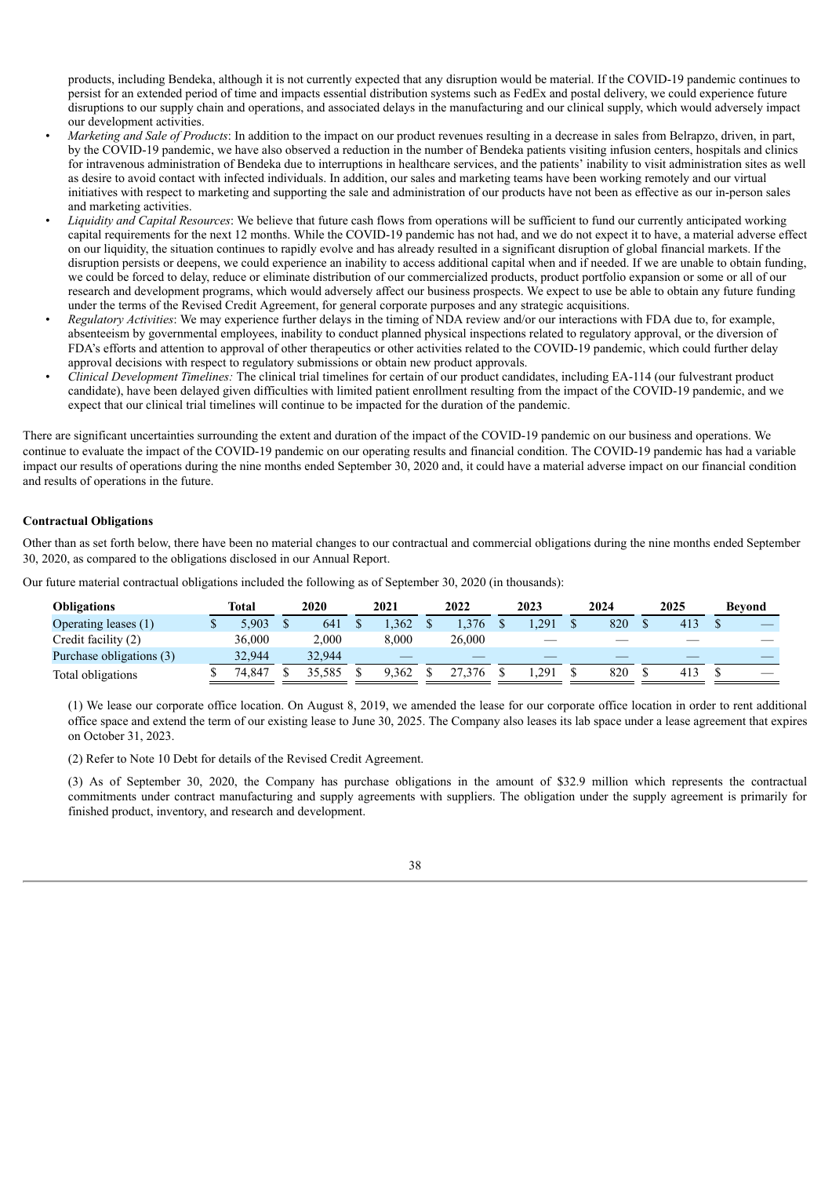products, including Bendeka, although it is not currently expected that any disruption would be material. If the COVID-19 pandemic continues to persist for an extended period of time and impacts essential distribution systems such as FedEx and postal delivery, we could experience future disruptions to our supply chain and operations, and associated delays in the manufacturing and our clinical supply, which would adversely impact our development activities.

- *Marketing and Sale of Products*: In addition to the impact on our product revenues resulting in a decrease in sales from Belrapzo, driven, in part, by the COVID-19 pandemic, we have also observed a reduction in the number of Bendeka patients visiting infusion centers, hospitals and clinics for intravenous administration of Bendeka due to interruptions in healthcare services, and the patients' inability to visit administration sites as well as desire to avoid contact with infected individuals. In addition, our sales and marketing teams have been working remotely and our virtual initiatives with respect to marketing and supporting the sale and administration of our products have not been as effective as our in-person sales and marketing activities.
- *Liquidity and Capital Resources*: We believe that future cash flows from operations will be sufficient to fund our currently anticipated working capital requirements for the next 12 months. While the COVID-19 pandemic has not had, and we do not expect it to have, a material adverse effect on our liquidity, the situation continues to rapidly evolve and has already resulted in a significant disruption of global financial markets. If the disruption persists or deepens, we could experience an inability to access additional capital when and if needed. If we are unable to obtain funding, we could be forced to delay, reduce or eliminate distribution of our commercialized products, product portfolio expansion or some or all of our research and development programs, which would adversely affect our business prospects. We expect to use be able to obtain any future funding under the terms of the Revised Credit Agreement, for general corporate purposes and any strategic acquisitions.
- *Regulatory Activities*: We may experience further delays in the timing of NDA review and/or our interactions with FDA due to, for example, absenteeism by governmental employees, inability to conduct planned physical inspections related to regulatory approval, or the diversion of FDA's efforts and attention to approval of other therapeutics or other activities related to the COVID-19 pandemic, which could further delay approval decisions with respect to regulatory submissions or obtain new product approvals.
- *Clinical Development Timelines:* The clinical trial timelines for certain of our product candidates, including EA-114 (our fulvestrant product candidate), have been delayed given difficulties with limited patient enrollment resulting from the impact of the COVID-19 pandemic, and we expect that our clinical trial timelines will continue to be impacted for the duration of the pandemic.

There are significant uncertainties surrounding the extent and duration of the impact of the COVID-19 pandemic on our business and operations. We continue to evaluate the impact of the COVID-19 pandemic on our operating results and financial condition. The COVID-19 pandemic has had a variable impact our results of operations during the nine months ended September 30, 2020 and, it could have a material adverse impact on our financial condition and results of operations in the future.

#### **Contractual Obligations**

Other than as set forth below, there have been no material changes to our contractual and commercial obligations during the nine months ended September 30, 2020, as compared to the obligations disclosed in our Annual Report.

| <b>Obligations</b>       | Total  | 2020   | 2021  | 2022   | 2023  | 2024 | 2025 | Bevond |
|--------------------------|--------|--------|-------|--------|-------|------|------|--------|
| Operating leases (1)     | 5,903  | 641    | .362  | .376   | .291  | 820  | 413  |        |
| Credit facility (2)      | 36,000 | 2.000  | 8.000 | 26.000 |       |      | _    |        |
| Purchase obligations (3) | 32.944 | 32.944 |       |        |       |      |      |        |
| Total obligations        | 74.847 | 35.585 | 9.362 | .376   | 1.291 | 820  | 413  |        |

Our future material contractual obligations included the following as of September 30, 2020 (in thousands):

(1) We lease our corporate office location. On August 8, 2019, we amended the lease for our corporate office location in order to rent additional office space and extend the term of our existing lease to June 30, 2025. The Company also leases its lab space under a lease agreement that expires on October 31, 2023.

(2) Refer to Note 10 Debt for details of the Revised Credit Agreement.

(3) As of September 30, 2020, the Company has purchase obligations in the amount of \$32.9 million which represents the contractual commitments under contract manufacturing and supply agreements with suppliers. The obligation under the supply agreement is primarily for finished product, inventory, and research and development.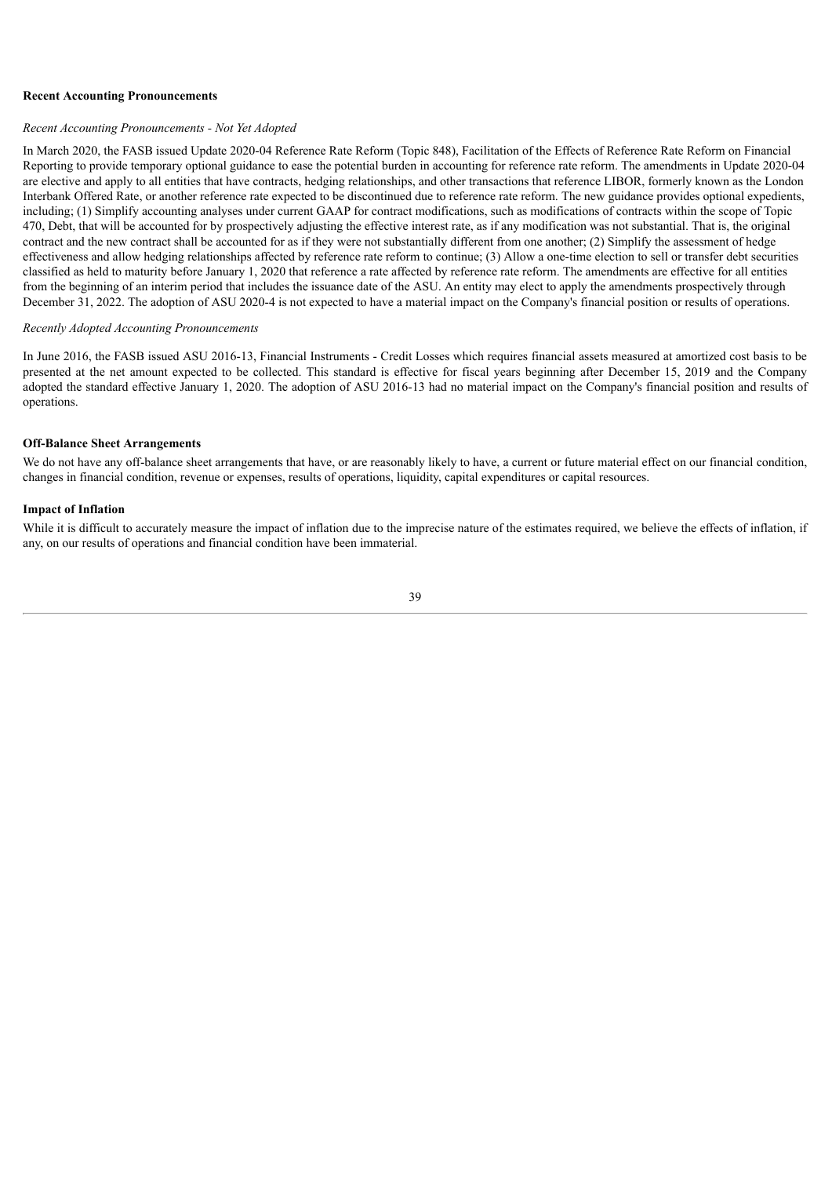#### **Recent Accounting Pronouncements**

#### *Recent Accounting Pronouncements - Not Yet Adopted*

In March 2020, the FASB issued Update 2020-04 Reference Rate Reform (Topic 848), Facilitation of the Effects of Reference Rate Reform on Financial Reporting to provide temporary optional guidance to ease the potential burden in accounting for reference rate reform. The amendments in Update 2020-04 are elective and apply to all entities that have contracts, hedging relationships, and other transactions that reference LIBOR, formerly known as the London Interbank Offered Rate, or another reference rate expected to be discontinued due to reference rate reform. The new guidance provides optional expedients, including; (1) Simplify accounting analyses under current GAAP for contract modifications, such as modifications of contracts within the scope of Topic 470, Debt, that will be accounted for by prospectively adjusting the effective interest rate, as if any modification was not substantial. That is, the original contract and the new contract shall be accounted for as if they were not substantially different from one another; (2) Simplify the assessment of hedge effectiveness and allow hedging relationships affected by reference rate reform to continue; (3) Allow a one-time election to sell or transfer debt securities classified as held to maturity before January 1, 2020 that reference a rate affected by reference rate reform. The amendments are effective for all entities from the beginning of an interim period that includes the issuance date of the ASU. An entity may elect to apply the amendments prospectively through December 31, 2022. The adoption of ASU 2020-4 is not expected to have a material impact on the Company's financial position or results of operations.

### *Recently Adopted Accounting Pronouncements*

In June 2016, the FASB issued ASU 2016-13, Financial Instruments - Credit Losses which requires financial assets measured at amortized cost basis to be presented at the net amount expected to be collected. This standard is effective for fiscal years beginning after December 15, 2019 and the Company adopted the standard effective January 1, 2020. The adoption of ASU 2016-13 had no material impact on the Company's financial position and results of operations.

#### **Off-Balance Sheet Arrangements**

We do not have any off-balance sheet arrangements that have, or are reasonably likely to have, a current or future material effect on our financial condition, changes in financial condition, revenue or expenses, results of operations, liquidity, capital expenditures or capital resources.

#### **Impact of Inflation**

<span id="page-42-0"></span>While it is difficult to accurately measure the impact of inflation due to the imprecise nature of the estimates required, we believe the effects of inflation, if any, on our results of operations and financial condition have been immaterial.

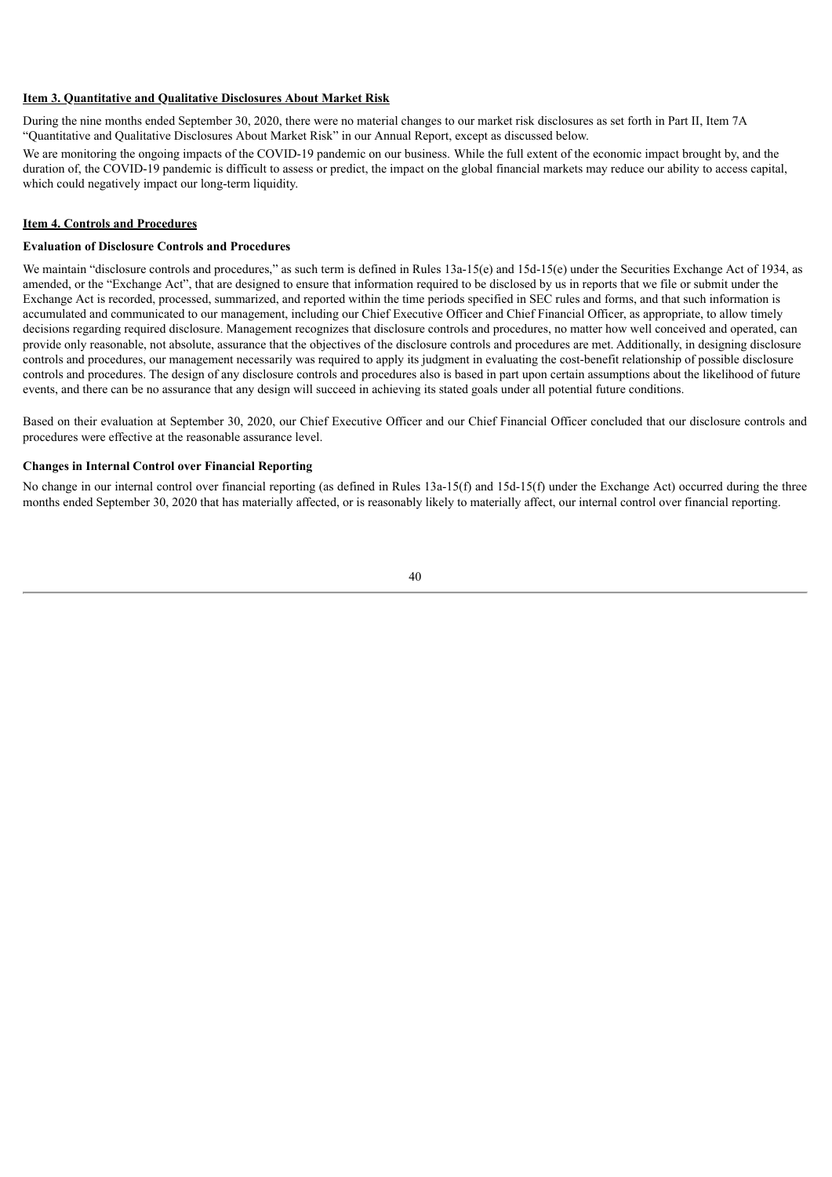#### **Item 3. Quantitative and Qualitative Disclosures About Market Risk**

During the nine months ended September 30, 2020, there were no material changes to our market risk disclosures as set forth in Part II, Item 7A "Quantitative and Qualitative Disclosures About Market Risk" in our Annual Report, except as discussed below.

We are monitoring the ongoing impacts of the COVID-19 pandemic on our business. While the full extent of the economic impact brought by, and the duration of, the COVID-19 pandemic is difficult to assess or predict, the impact on the global financial markets may reduce our ability to access capital, which could negatively impact our long-term liquidity.

#### <span id="page-43-0"></span>**Item 4. Controls and Procedures**

#### **Evaluation of Disclosure Controls and Procedures**

We maintain "disclosure controls and procedures," as such term is defined in Rules 13a-15(e) and 15d-15(e) under the Securities Exchange Act of 1934, as amended, or the "Exchange Act", that are designed to ensure that information required to be disclosed by us in reports that we file or submit under the Exchange Act is recorded, processed, summarized, and reported within the time periods specified in SEC rules and forms, and that such information is accumulated and communicated to our management, including our Chief Executive Officer and Chief Financial Officer, as appropriate, to allow timely decisions regarding required disclosure. Management recognizes that disclosure controls and procedures, no matter how well conceived and operated, can provide only reasonable, not absolute, assurance that the objectives of the disclosure controls and procedures are met. Additionally, in designing disclosure controls and procedures, our management necessarily was required to apply its judgment in evaluating the cost-benefit relationship of possible disclosure controls and procedures. The design of any disclosure controls and procedures also is based in part upon certain assumptions about the likelihood of future events, and there can be no assurance that any design will succeed in achieving its stated goals under all potential future conditions.

Based on their evaluation at September 30, 2020, our Chief Executive Officer and our Chief Financial Officer concluded that our disclosure controls and procedures were effective at the reasonable assurance level.

#### **Changes in Internal Control over Financial Reporting**

No change in our internal control over financial reporting (as defined in Rules 13a-15(f) and 15d-15(f) under the Exchange Act) occurred during the three months ended September 30, 2020 that has materially affected, or is reasonably likely to materially affect, our internal control over financial reporting.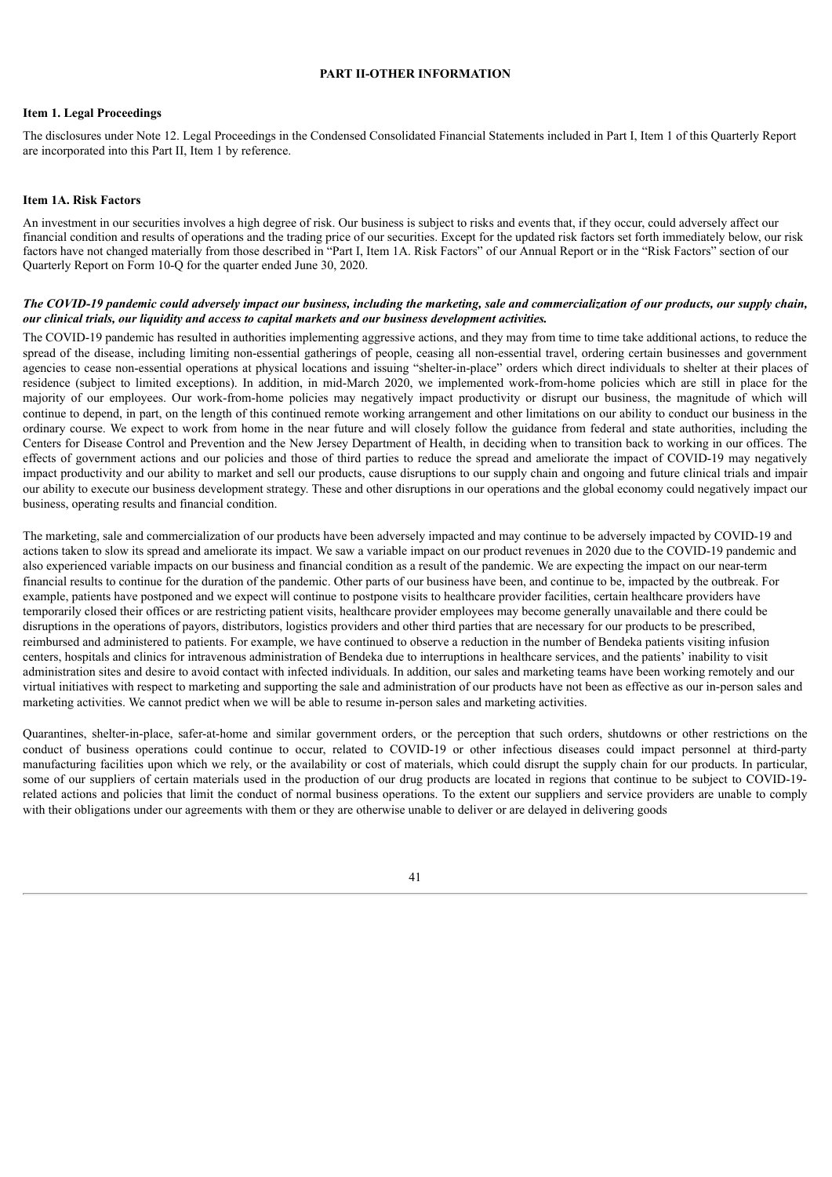#### **PART II-OTHER INFORMATION**

#### <span id="page-44-0"></span>**Item 1. Legal Proceedings**

The disclosures under Note 12. Legal Proceedings in the Condensed Consolidated Financial Statements included in Part I, Item 1 of this Quarterly Report are incorporated into this Part II, Item 1 by reference.

#### <span id="page-44-1"></span>**Item 1A. Risk Factors**

An investment in our securities involves a high degree of risk. Our business is subject to risks and events that, if they occur, could adversely affect our financial condition and results of operations and the trading price of our securities. Except for the updated risk factors set forth immediately below, our risk factors have not changed materially from those described in "Part I, Item 1A. Risk Factors" of our Annual Report or in the "Risk Factors" section of our Quarterly Report on Form 10-Q for the quarter ended June 30, 2020.

#### The COVID-19 pandemic could adversely impact our business, including the marketing, sale and commercialization of our products, our supply chain, *our clinical trials, our liquidity and access to capital markets and our business development activities.*

The COVID-19 pandemic has resulted in authorities implementing aggressive actions, and they may from time to time take additional actions, to reduce the spread of the disease, including limiting non-essential gatherings of people, ceasing all non-essential travel, ordering certain businesses and government agencies to cease non-essential operations at physical locations and issuing "shelter-in-place" orders which direct individuals to shelter at their places of residence (subject to limited exceptions). In addition, in mid-March 2020, we implemented work-from-home policies which are still in place for the majority of our employees. Our work-from-home policies may negatively impact productivity or disrupt our business, the magnitude of which will continue to depend, in part, on the length of this continued remote working arrangement and other limitations on our ability to conduct our business in the ordinary course. We expect to work from home in the near future and will closely follow the guidance from federal and state authorities, including the Centers for Disease Control and Prevention and the New Jersey Department of Health, in deciding when to transition back to working in our offices. The effects of government actions and our policies and those of third parties to reduce the spread and ameliorate the impact of COVID-19 may negatively impact productivity and our ability to market and sell our products, cause disruptions to our supply chain and ongoing and future clinical trials and impair our ability to execute our business development strategy. These and other disruptions in our operations and the global economy could negatively impact our business, operating results and financial condition.

The marketing, sale and commercialization of our products have been adversely impacted and may continue to be adversely impacted by COVID-19 and actions taken to slow its spread and ameliorate its impact. We saw a variable impact on our product revenues in 2020 due to the COVID-19 pandemic and also experienced variable impacts on our business and financial condition as a result of the pandemic. We are expecting the impact on our near-term financial results to continue for the duration of the pandemic. Other parts of our business have been, and continue to be, impacted by the outbreak. For example, patients have postponed and we expect will continue to postpone visits to healthcare provider facilities, certain healthcare providers have temporarily closed their offices or are restricting patient visits, healthcare provider employees may become generally unavailable and there could be disruptions in the operations of payors, distributors, logistics providers and other third parties that are necessary for our products to be prescribed, reimbursed and administered to patients. For example, we have continued to observe a reduction in the number of Bendeka patients visiting infusion centers, hospitals and clinics for intravenous administration of Bendeka due to interruptions in healthcare services, and the patients' inability to visit administration sites and desire to avoid contact with infected individuals. In addition, our sales and marketing teams have been working remotely and our virtual initiatives with respect to marketing and supporting the sale and administration of our products have not been as effective as our in-person sales and marketing activities. We cannot predict when we will be able to resume in-person sales and marketing activities.

Quarantines, shelter-in-place, safer-at-home and similar government orders, or the perception that such orders, shutdowns or other restrictions on the conduct of business operations could continue to occur, related to COVID-19 or other infectious diseases could impact personnel at third-party manufacturing facilities upon which we rely, or the availability or cost of materials, which could disrupt the supply chain for our products. In particular, some of our suppliers of certain materials used in the production of our drug products are located in regions that continue to be subject to COVID-19 related actions and policies that limit the conduct of normal business operations. To the extent our suppliers and service providers are unable to comply with their obligations under our agreements with them or they are otherwise unable to deliver or are delayed in delivering goods

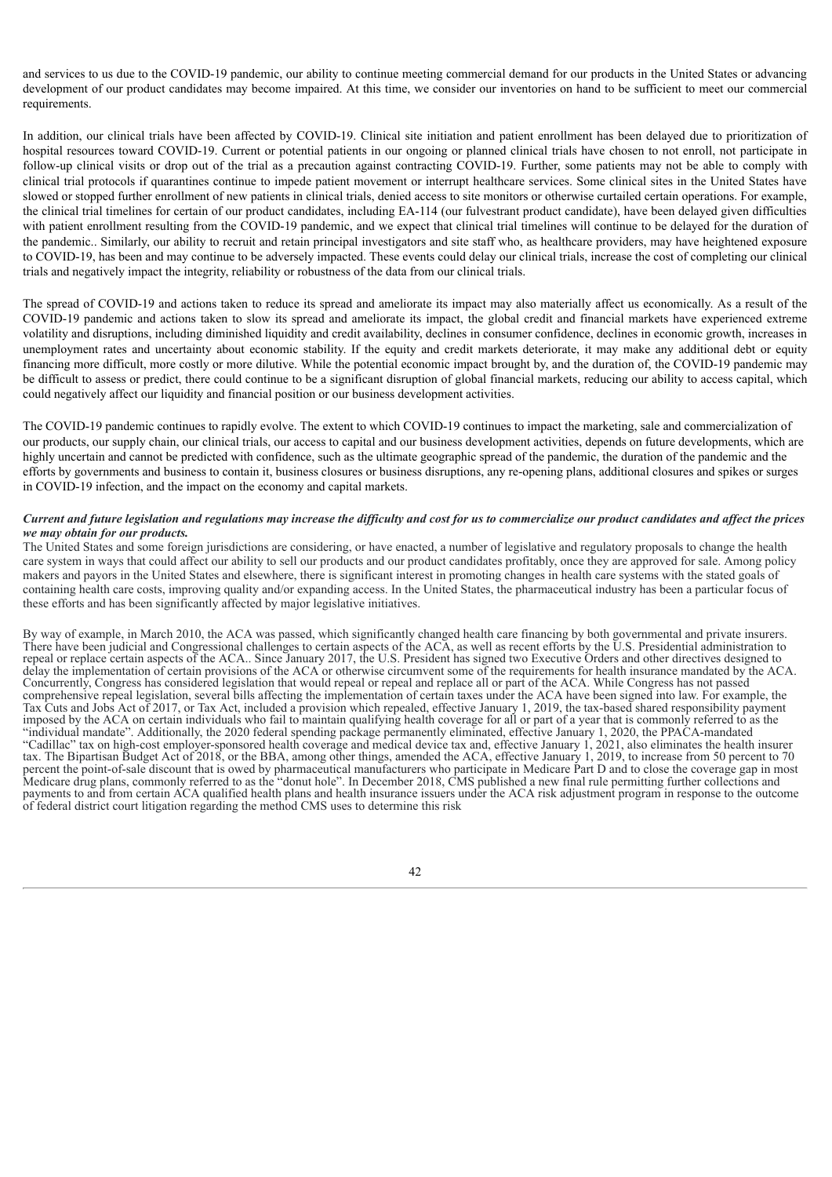and services to us due to the COVID-19 pandemic, our ability to continue meeting commercial demand for our products in the United States or advancing development of our product candidates may become impaired. At this time, we consider our inventories on hand to be sufficient to meet our commercial requirements.

In addition, our clinical trials have been affected by COVID-19. Clinical site initiation and patient enrollment has been delayed due to prioritization of hospital resources toward COVID-19. Current or potential patients in our ongoing or planned clinical trials have chosen to not enroll, not participate in follow-up clinical visits or drop out of the trial as a precaution against contracting COVID-19. Further, some patients may not be able to comply with clinical trial protocols if quarantines continue to impede patient movement or interrupt healthcare services. Some clinical sites in the United States have slowed or stopped further enrollment of new patients in clinical trials, denied access to site monitors or otherwise curtailed certain operations. For example, the clinical trial timelines for certain of our product candidates, including EA-114 (our fulvestrant product candidate), have been delayed given difficulties with patient enrollment resulting from the COVID-19 pandemic, and we expect that clinical trial timelines will continue to be delayed for the duration of the pandemic.. Similarly, our ability to recruit and retain principal investigators and site staff who, as healthcare providers, may have heightened exposure to COVID-19, has been and may continue to be adversely impacted. These events could delay our clinical trials, increase the cost of completing our clinical trials and negatively impact the integrity, reliability or robustness of the data from our clinical trials.

The spread of COVID-19 and actions taken to reduce its spread and ameliorate its impact may also materially affect us economically. As a result of the COVID-19 pandemic and actions taken to slow its spread and ameliorate its impact, the global credit and financial markets have experienced extreme volatility and disruptions, including diminished liquidity and credit availability, declines in consumer confidence, declines in economic growth, increases in unemployment rates and uncertainty about economic stability. If the equity and credit markets deteriorate, it may make any additional debt or equity financing more difficult, more costly or more dilutive. While the potential economic impact brought by, and the duration of, the COVID-19 pandemic may be difficult to assess or predict, there could continue to be a significant disruption of global financial markets, reducing our ability to access capital, which could negatively affect our liquidity and financial position or our business development activities.

The COVID-19 pandemic continues to rapidly evolve. The extent to which COVID-19 continues to impact the marketing, sale and commercialization of our products, our supply chain, our clinical trials, our access to capital and our business development activities, depends on future developments, which are highly uncertain and cannot be predicted with confidence, such as the ultimate geographic spread of the pandemic, the duration of the pandemic and the efforts by governments and business to contain it, business closures or business disruptions, any re-opening plans, additional closures and spikes or surges in COVID-19 infection, and the impact on the economy and capital markets.

#### Current and future legislation and regulations may increase the difficulty and cost for us to commercialize our product candidates and affect the prices *we may obtain for our products.*

The United States and some foreign jurisdictions are considering, or have enacted, a number of legislative and regulatory proposals to change the health care system in ways that could affect our ability to sell our products and our product candidates profitably, once they are approved for sale. Among policy makers and payors in the United States and elsewhere, there is significant interest in promoting changes in health care systems with the stated goals of containing health care costs, improving quality and/or expanding access. In the United States, the pharmaceutical industry has been a particular focus of these efforts and has been significantly affected by major legislative initiatives.

By way of example, in March 2010, the ACA was passed, which significantly changed health care financing by both governmental and private insurers. There have been judicial and Congressional challenges to certain aspects of the ACA, as well as recent efforts by the U.S. Presidential administration to repeal or replace certain aspects of the ACA.. Since January 2017, the U.S. President has signed two Executive Orders and other directives designed to delay the implementation of certain provisions of the ACA or otherwise circumvent some of the requirements for health insurance mandated by the ACA. Concurrently, Congress has considered legislation that would repeal or repeal and replace all or part of the ACA. While Congress has not passed comprehensive repeal legislation, several bills affecting the implementation of certain taxes under the ACA have been signed into law. For example, the Tax Cuts and Jobs Act of 2017, or Tax Act, included a provision which repealed, effective January 1, 2019, the tax-based shared responsibility payment imposed by the ACA on certain individuals who fail to maintain qualifying health coverage for all or part of a year that is commonly referred to as the "individual mandate". Additionally, the 2020 federal spending package permanently eliminated, effective January 1, 2020, the PPACA-mandated "Cadillac" tax on high-cost employer-sponsored health coverage and medical device tax and, effective January 1, 2021, also eliminates the health insurer tax. The Bipartisan Budget Act of 2018, or the BBA, among other things, amended the ACA, effective January 1, 2019, to increase from 50 percent to 70 percent the point-of-sale discount that is owed by pharmaceutical manufacturers who participate in Medicare Part D and to close the coverage gap in most Medicare drug plans, commonly referred to as the "donut hole". In December 2018, CMS published a new final rule permitting further collections and payments to and from certain ACA qualified health plans and health insurance issuers under the ACA risk adjustment program in response to the outcome of federal district court litigation regarding the method CMS uses to determine this risk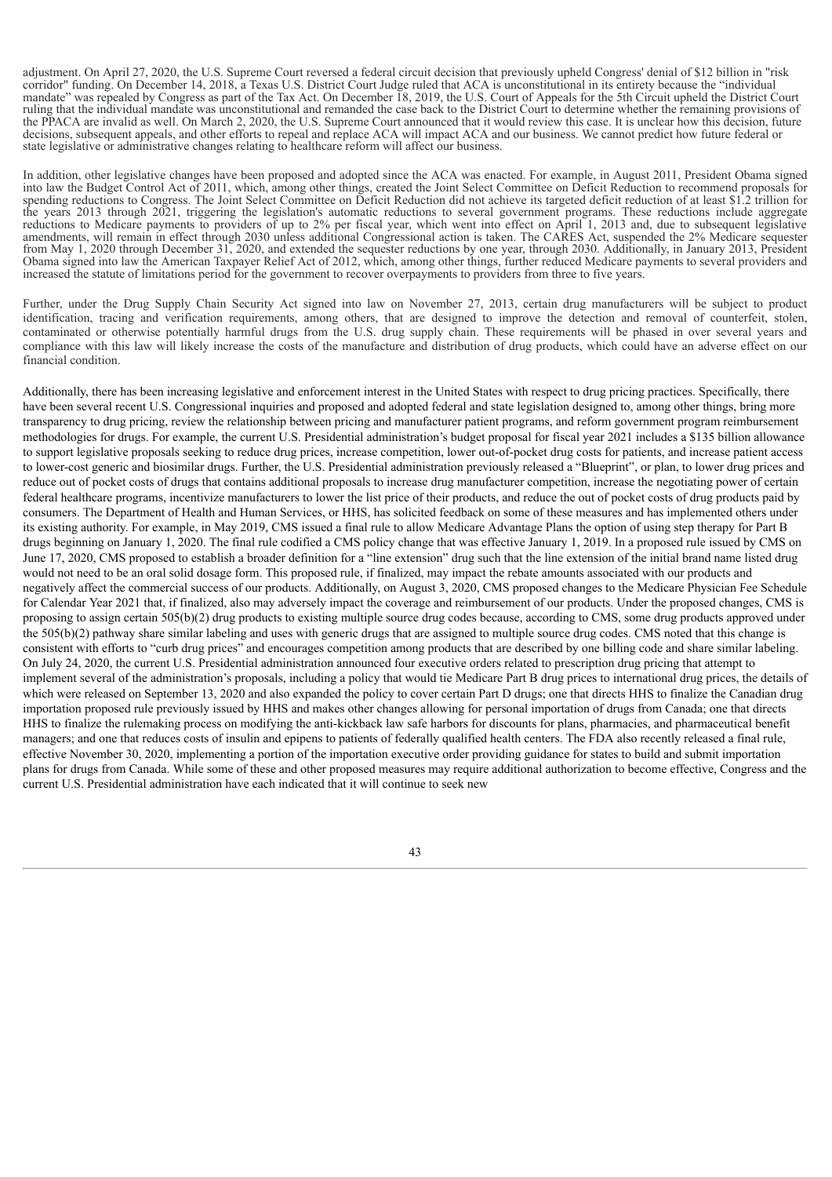adjustment. On April 27, 2020, the U.S. Supreme Court reversed a federal circuit decision that previously upheld Congress' denial of \$12 billion in "risk corridor" funding. On December 14, 2018, a Texas U.S. District Court Judge ruled that ACA is unconstitutional in its entirety because the "individual mandate" was repealed by Congress as part of the Tax Act. On December 18, 2019, the U.S. Court of Appeals for the 5th Circuit upheld the District Court ruling that the individual mandate was unconstitutional and remanded the case back to the District Court to determine whether the remaining provisions of the PPACA are invalid as well. On March 2, 2020, the U.S. Supreme Court announced that it would review this case. It is unclear how this decision, future decisions, subsequent appeals, and other efforts to repeal and replace ACA will impact ACA and our business. We cannot predict how future federal or state legislative or administrative changes relating to healthcare reform will affect our business.

In addition, other legislative changes have been proposed and adopted since the ACA was enacted. For example, in August 2011, President Obama signed into law the Budget Control Act of 2011, which, among other things, created the Joint Select Committee on Deficit Reduction to recommend proposals for spending reductions to Congress. The Joint Select Committee on Deficit Reduction did not achieve its targeted deficit reduction of at least \$1.2 trillion for the years 2013 through 2021, triggering the legislation's automatic reductions to several government programs. These reductions include aggregate reductions to Medicare payments to providers of up to 2% per fiscal year, which went into effect on April 1, 2013 and, due to subsequent legislative amendments, will remain in effect through 2030 unless additional Congressional action is taken. The CARES Act, suspended the 2% Medicare sequester from May 1, 2020 through December 31, 2020, and extended the sequester reductions by one year, through 2030. Additionally, in January 2013, President Obama signed into law the American Taxpayer Relief Act of 2012, which, among other things, further reduced Medicare payments to several providers and increased the statute of limitations period for the government to recover overpayments to providers from three to five years.

Further, under the Drug Supply Chain Security Act signed into law on November 27, 2013, certain drug manufacturers will be subject to product identification, tracing and verification requirements, among others, that are designed to improve the detection and removal of counterfeit, stolen, contaminated or otherwise potentially harmful drugs from the U.S. drug supply chain. These requirements will be phased in over several years and compliance with this law will likely increase the costs of the manufacture and distribution of drug products, which could have an adverse effect on our financial condition.

Additionally, there has been increasing legislative and enforcement interest in the United States with respect to drug pricing practices. Specifically, there have been several recent U.S. Congressional inquiries and proposed and adopted federal and state legislation designed to, among other things, bring more transparency to drug pricing, review the relationship between pricing and manufacturer patient programs, and reform government program reimbursement methodologies for drugs. For example, the current U.S. Presidential administration's budget proposal for fiscal year 2021 includes a \$135 billion allowance to support legislative proposals seeking to reduce drug prices, increase competition, lower out-of-pocket drug costs for patients, and increase patient access to lower-cost generic and biosimilar drugs. Further, the U.S. Presidential administration previously released a "Blueprint", or plan, to lower drug prices and reduce out of pocket costs of drugs that contains additional proposals to increase drug manufacturer competition, increase the negotiating power of certain federal healthcare programs, incentivize manufacturers to lower the list price of their products, and reduce the out of pocket costs of drug products paid by consumers. The Department of Health and Human Services, or HHS, has solicited feedback on some of these measures and has implemented others under its existing authority. For example, in May 2019, CMS issued a final rule to allow Medicare Advantage Plans the option of using step therapy for Part B drugs beginning on January 1, 2020. The final rule codified a CMS policy change that was effective January 1, 2019. In a proposed rule issued by CMS on June 17, 2020, CMS proposed to establish a broader definition for a "line extension" drug such that the line extension of the initial brand name listed drug would not need to be an oral solid dosage form. This proposed rule, if finalized, may impact the rebate amounts associated with our products and negatively affect the commercial success of our products. Additionally, on August 3, 2020, CMS proposed changes to the Medicare Physician Fee Schedule for Calendar Year 2021 that, if finalized, also may adversely impact the coverage and reimbursement of our products. Under the proposed changes, CMS is proposing to assign certain 505(b)(2) drug products to existing multiple source drug codes because, according to CMS, some drug products approved under the 505(b)(2) pathway share similar labeling and uses with generic drugs that are assigned to multiple source drug codes. CMS noted that this change is consistent with efforts to "curb drug prices" and encourages competition among products that are described by one billing code and share similar labeling. On July 24, 2020, the current U.S. Presidential administration announced four executive orders related to prescription drug pricing that attempt to implement several of the administration's proposals, including a policy that would tie Medicare Part B drug prices to international drug prices, the details of which were released on September 13, 2020 and also expanded the policy to cover certain Part D drugs; one that directs HHS to finalize the Canadian drug importation proposed rule previously issued by HHS and makes other changes allowing for personal importation of drugs from Canada; one that directs HHS to finalize the rulemaking process on modifying the anti-kickback law safe harbors for discounts for plans, pharmacies, and pharmaceutical benefit managers; and one that reduces costs of insulin and epipens to patients of federally qualified health centers. The FDA also recently released a final rule, effective November 30, 2020, implementing a portion of the importation executive order providing guidance for states to build and submit importation plans for drugs from Canada. While some of these and other proposed measures may require additional authorization to become effective, Congress and the current U.S. Presidential administration have each indicated that it will continue to seek new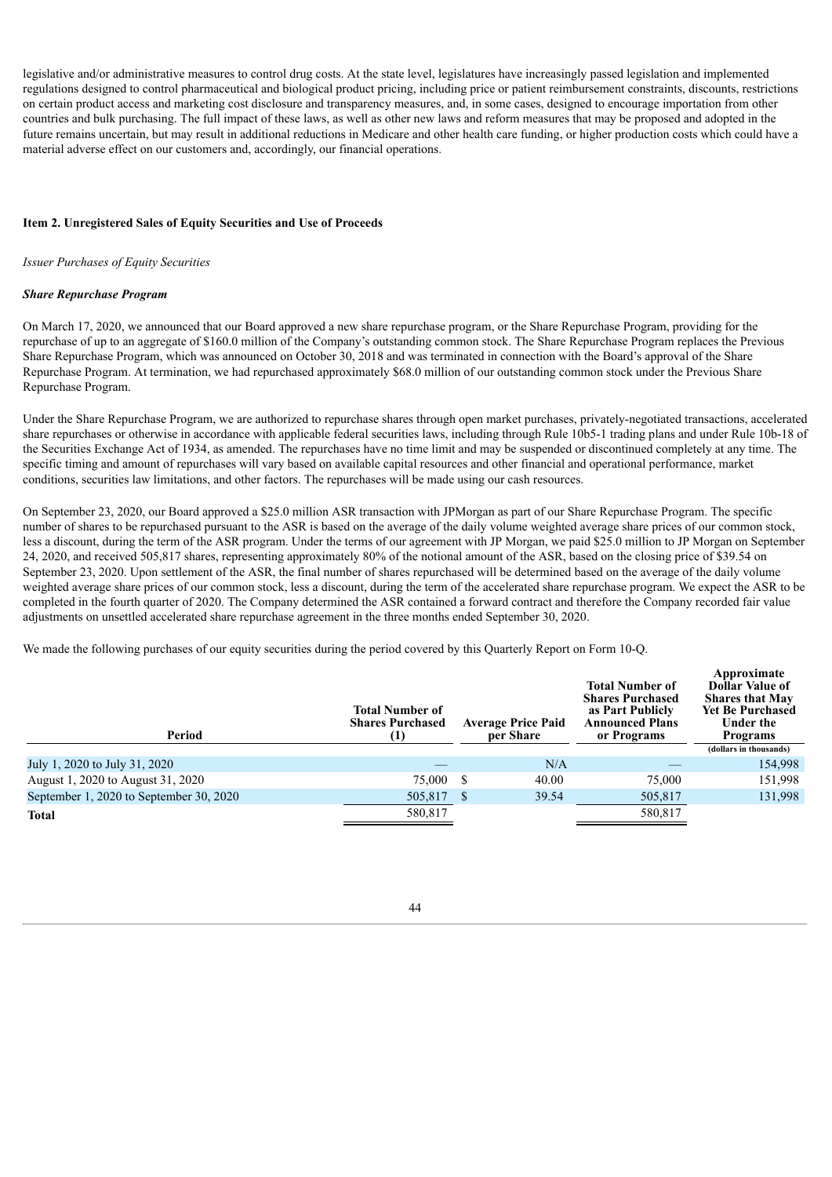legislative and/or administrative measures to control drug costs. At the state level, legislatures have increasingly passed legislation and implemented regulations designed to control pharmaceutical and biological product pricing, including price or patient reimbursement constraints, discounts, restrictions on certain product access and marketing cost disclosure and transparency measures, and, in some cases, designed to encourage importation from other countries and bulk purchasing. The full impact of these laws, as well as other new laws and reform measures that may be proposed and adopted in the future remains uncertain, but may result in additional reductions in Medicare and other health care funding, or higher production costs which could have a material adverse effect on our customers and, accordingly, our financial operations.

#### <span id="page-47-0"></span>**Item 2. Unregistered Sales of Equity Securities and Use of Proceeds**

#### *Issuer Purchases of Equity Securities*

#### *Share Repurchase Program*

On March 17, 2020, we announced that our Board approved a new share repurchase program, or the Share Repurchase Program, providing for the repurchase of up to an aggregate of \$160.0 million of the Company's outstanding common stock. The Share Repurchase Program replaces the Previous Share Repurchase Program, which was announced on October 30, 2018 and was terminated in connection with the Board's approval of the Share Repurchase Program. At termination, we had repurchased approximately \$68.0 million of our outstanding common stock under the Previous Share Repurchase Program.

Under the Share Repurchase Program, we are authorized to repurchase shares through open market purchases, privately-negotiated transactions, accelerated share repurchases or otherwise in accordance with applicable federal securities laws, including through Rule 10b5-1 trading plans and under Rule 10b-18 of the Securities Exchange Act of 1934, as amended. The repurchases have no time limit and may be suspended or discontinued completely at any time. The specific timing and amount of repurchases will vary based on available capital resources and other financial and operational performance, market conditions, securities law limitations, and other factors. The repurchases will be made using our cash resources.

On September 23, 2020, our Board approved a \$25.0 million ASR transaction with JPMorgan as part of our Share Repurchase Program. The specific number of shares to be repurchased pursuant to the ASR is based on the average of the daily volume weighted average share prices of our common stock. less a discount, during the term of the ASR program. Under the terms of our agreement with JP Morgan, we paid \$25.0 million to JP Morgan on September 24, 2020, and received 505,817 shares, representing approximately 80% of the notional amount of the ASR, based on the closing price of \$39.54 on September 23, 2020. Upon settlement of the ASR, the final number of shares repurchased will be determined based on the average of the daily volume weighted average share prices of our common stock, less a discount, during the term of the accelerated share repurchase program. We expect the ASR to be completed in the fourth quarter of 2020. The Company determined the ASR contained a forward contract and therefore the Company recorded fair value adjustments on unsettled accelerated share repurchase agreement in the three months ended September 30, 2020.

We made the following purchases of our equity securities during the period covered by this Quarterly Report on Form 10-Q.

| Period                                  | <b>Total Number of</b><br><b>Shares Purchased</b> | <b>Average Price Paid</b><br>per Share | <b>Total Number of</b><br><b>Shares Purchased</b><br>as Part Publicly<br><b>Announced Plans</b><br>or Programs | Approximate<br><b>Dollar Value of</b><br><b>Shares that May</b><br><b>Yet Be Purchased</b><br>Under the<br><b>Programs</b> |
|-----------------------------------------|---------------------------------------------------|----------------------------------------|----------------------------------------------------------------------------------------------------------------|----------------------------------------------------------------------------------------------------------------------------|
|                                         |                                                   |                                        |                                                                                                                | (dollars in thousands)                                                                                                     |
| July 1, 2020 to July 31, 2020           |                                                   | N/A                                    |                                                                                                                | 154,998                                                                                                                    |
| August 1, 2020 to August 31, 2020       | 75,000                                            | 40.00<br>-S                            | 75,000                                                                                                         | 151,998                                                                                                                    |
| September 1, 2020 to September 30, 2020 | 505,817                                           | 39.54                                  | 505,817                                                                                                        | 131,998                                                                                                                    |
| <b>Total</b>                            | 580,817                                           |                                        | 580,817                                                                                                        |                                                                                                                            |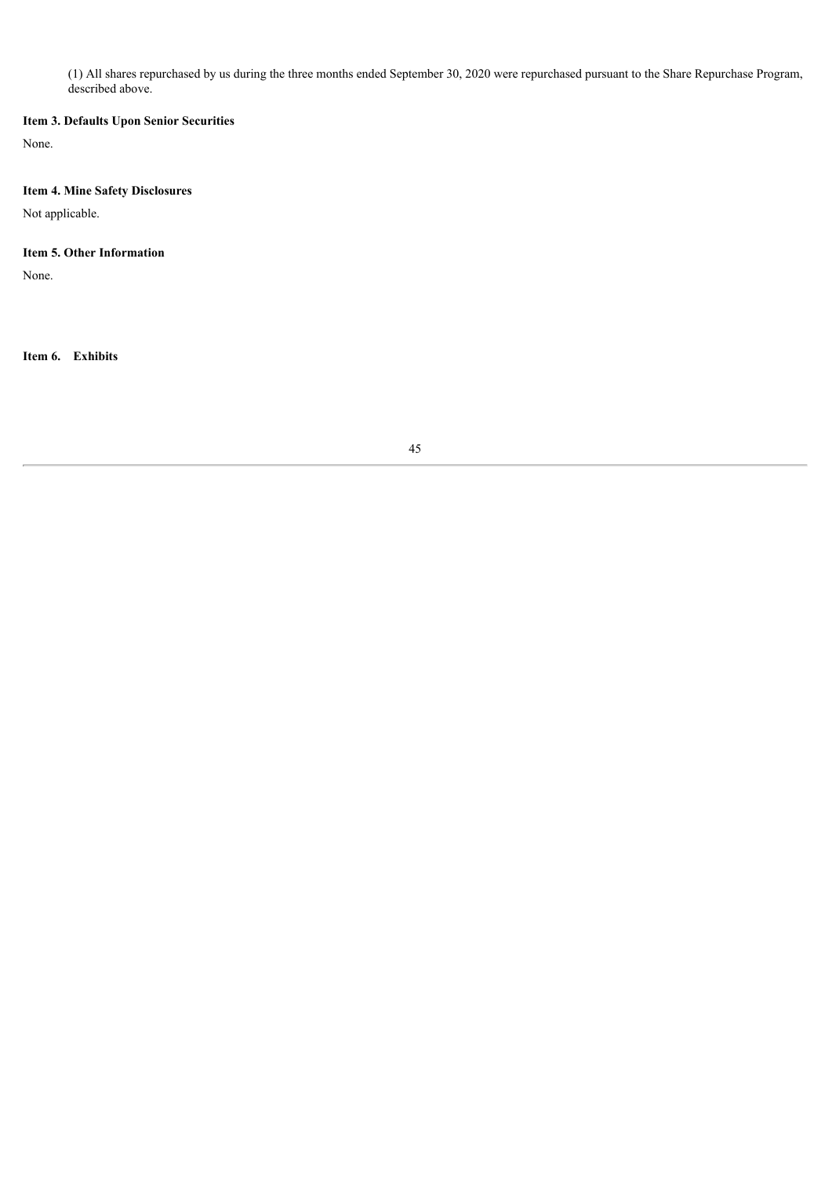(1) All shares repurchased by us during the three months ended September 30, 2020 were repurchased pursuant to the Share Repurchase Program, described above.

## <span id="page-48-0"></span>**Item 3. Defaults Upon Senior Securities**

None.

## <span id="page-48-1"></span>**Item 4. Mine Safety Disclosures**

Not applicable.

## <span id="page-48-2"></span>**Item 5. Other Information**

None.

<span id="page-48-3"></span>**Item 6. Exhibits**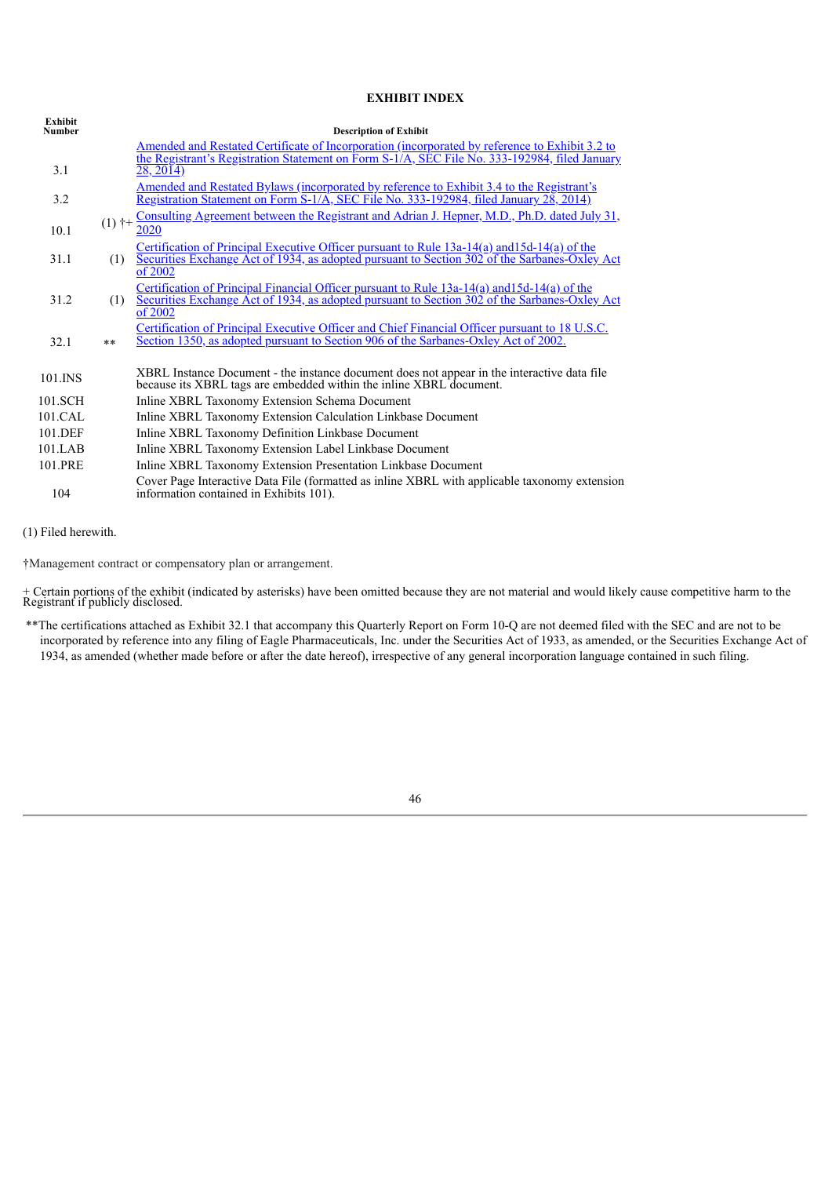## **EXHIBIT INDEX**

| <b>Exhibit</b><br><b>Number</b> |          | <b>Description of Exhibit</b>                                                                                                                                                                            |
|---------------------------------|----------|----------------------------------------------------------------------------------------------------------------------------------------------------------------------------------------------------------|
|                                 |          | Amended and Restated Certificate of Incorporation (incorporated by reference to Exhibit 3.2 to                                                                                                           |
| 3.1                             |          | the Registrant's Registration Statement on Form S-1/A, SEC File No. 333-192984, filed January<br>28, 2014)                                                                                               |
| 3.2                             |          | Amended and Restated Bylaws (incorporated by reference to Exhibit 3.4 to the Registrant's<br>Registration Statement on Form S-1/A, SEC File No. 333-192984, filed January 28, 2014)                      |
| 10.1                            | $(1)$ †+ | <u>Consulting Agreement between the Registrant and Adrian J. Hepner, M.D., Ph.D. dated July 31,</u><br>2020                                                                                              |
| 31.1                            | (1)      | Certification of Principal Executive Officer pursuant to Rule 13a-14(a) and 15d-14(a) of the<br>Securities Exchange Act of 1934, as adopted pursuant to Section 302 of the Sarbanes-Oxley Act<br>of 2002 |
| 31.2                            | (1)      | Certification of Principal Financial Officer pursuant to Rule 13a-14(a) and 15d-14(a) of the<br>Securities Exchange Act of 1934, as adopted pursuant to Section 302 of the Sarbanes-Oxley Act<br>of 2002 |
| 32.1                            | **       | Certification of Principal Executive Officer and Chief Financial Officer pursuant to 18 U.S.C.<br>Section 1350, as adopted pursuant to Section 906 of the Sarbanes-Oxley Act of 2002.                    |
| 101.INS                         |          | XBRL Instance Document - the instance document does not appear in the interactive data file<br>because its XBRL tags are embedded within the inline XBRL document.                                       |
| 101.SCH                         |          | Inline XBRL Taxonomy Extension Schema Document                                                                                                                                                           |
| $101$ CAL                       |          | Inline XBRL Taxonomy Extension Calculation Linkbase Document                                                                                                                                             |
| 101.DEF                         |          | Inline XBRL Taxonomy Definition Linkbase Document                                                                                                                                                        |
| 101.LAB                         |          | Inline XBRL Taxonomy Extension Label Linkbase Document                                                                                                                                                   |
| 101.PRE                         |          | Inline XBRL Taxonomy Extension Presentation Linkbase Document                                                                                                                                            |
| 104                             |          | Cover Page Interactive Data File (formatted as inline XBRL with applicable taxonomy extension<br>information contained in Exhibits 101).                                                                 |

(1) Filed herewith.

†Management contract or compensatory plan or arrangement.

+ Certain portions of the exhibit (indicated by asterisks) have been omitted because they are not material and would likely cause competitive harm to the Registrant if publicly disclosed.

<span id="page-49-0"></span>\*\*The certifications attached as Exhibit 32.1 that accompany this Quarterly Report on Form 10-Q are not deemed filed with the SEC and are not to be incorporated by reference into any filing of Eagle Pharmaceuticals, Inc. under the Securities Act of 1933, as amended, or the Securities Exchange Act of 1934, as amended (whether made before or after the date hereof), irrespective of any general incorporation language contained in such filing.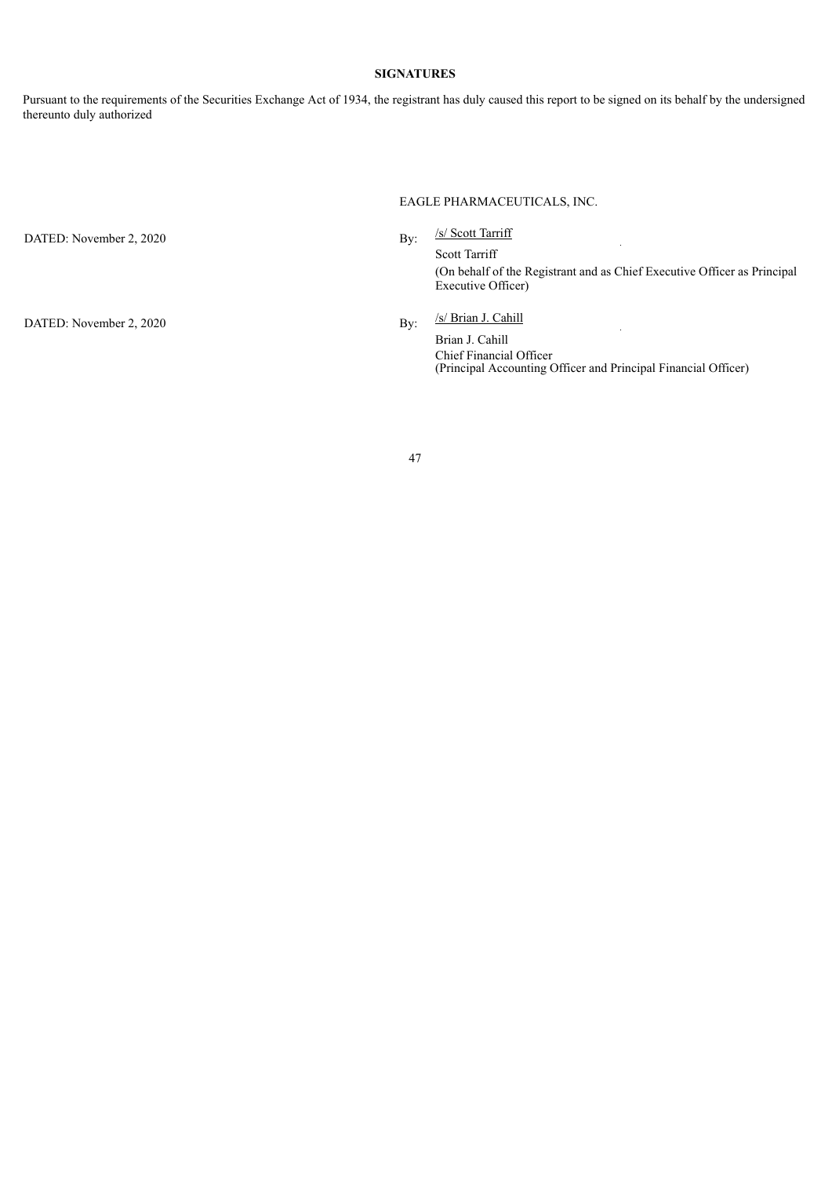## **SIGNATURES**

Pursuant to the requirements of the Securities Exchange Act of 1934, the registrant has duly caused this report to be signed on its behalf by the undersigned thereunto duly authorized

## EAGLE PHARMACEUTICALS, INC.

/s/ Scott Tarriff DATED: November 2, 2020 By: i. Scott Tarriff (On behalf of the Registrant and as Chief Executive Officer as Principal Executive Officer)

> /s/ Brian J. Cahill  $\frac{1}{2}$ Brian J. Cahill Chief Financial Officer (Principal Accounting Officer and Principal Financial Officer)

47

DATED: November 2, 2020 By: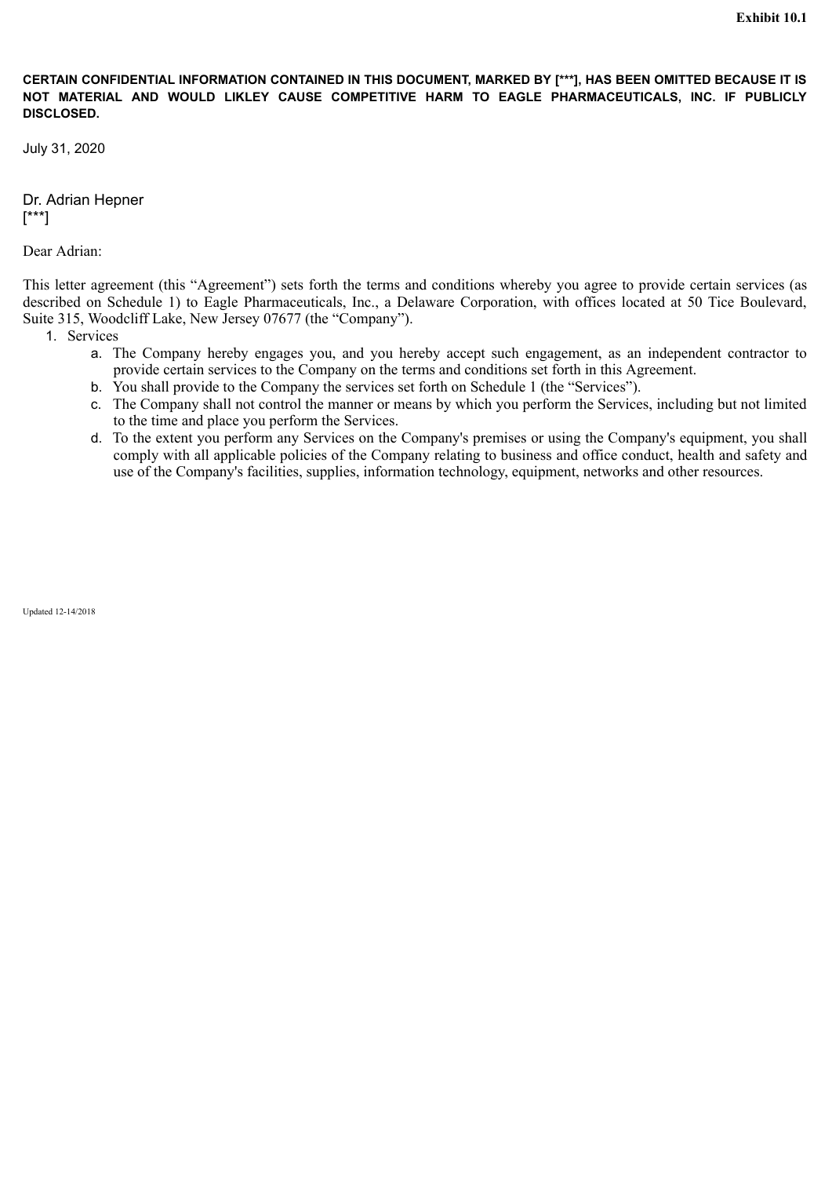<span id="page-51-0"></span>**CERTAIN CONFIDENTIAL INFORMATION CONTAINED IN THIS DOCUMENT, MARKED BY [\*\*\*], HAS BEEN OMITTED BECAUSE IT IS NOT MATERIAL AND WOULD LIKLEY CAUSE COMPETITIVE HARM TO EAGLE PHARMACEUTICALS, INC. IF PUBLICLY DISCLOSED.**

July 31, 2020

Dr. Adrian Hepner [\*\*\*]

## Dear Adrian:

This letter agreement (this "Agreement") sets forth the terms and conditions whereby you agree to provide certain services (as described on Schedule 1) to Eagle Pharmaceuticals, Inc., a Delaware Corporation, with offices located at 50 Tice Boulevard, Suite 315, Woodcliff Lake, New Jersey 07677 (the "Company").

1. Services

- a. The Company hereby engages you, and you hereby accept such engagement, as an independent contractor to provide certain services to the Company on the terms and conditions set forth in this Agreement.
- b. You shall provide to the Company the services set forth on Schedule 1 (the "Services").
- c. The Company shall not control the manner or means by which you perform the Services, including but not limited to the time and place you perform the Services.
- d. To the extent you perform any Services on the Company's premises or using the Company's equipment, you shall comply with all applicable policies of the Company relating to business and office conduct, health and safety and use of the Company's facilities, supplies, information technology, equipment, networks and other resources.

Updated 12-14/2018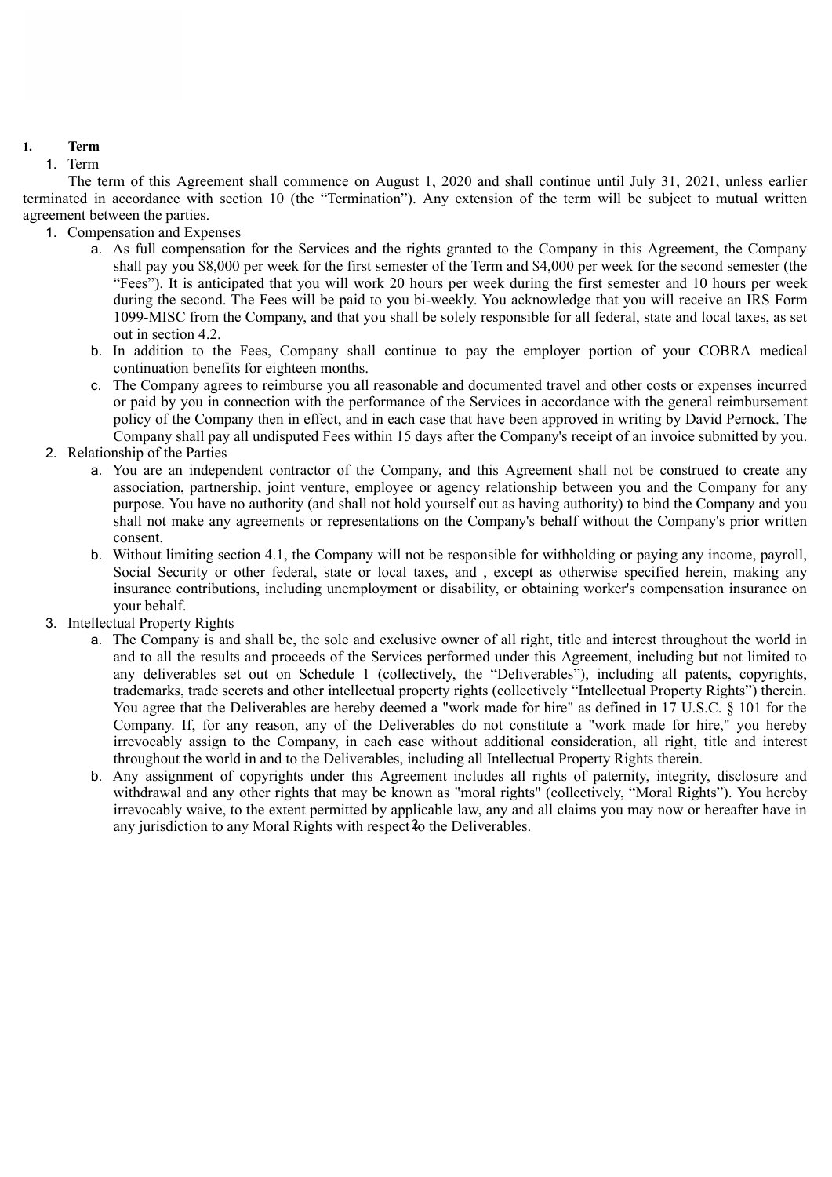## **1. Term**

## 1. Term

The term of this Agreement shall commence on August 1, 2020 and shall continue until July 31, 2021, unless earlier terminated in accordance with section 10 (the "Termination"). Any extension of the term will be subject to mutual written agreement between the parties.

- 1. Compensation and Expenses
	- a. As full compensation for the Services and the rights granted to the Company in this Agreement, the Company shall pay you \$8,000 per week for the first semester of the Term and \$4,000 per week for the second semester (the "Fees"). It is anticipated that you will work 20 hours per week during the first semester and 10 hours per week during the second. The Fees will be paid to you bi-weekly. You acknowledge that you will receive an IRS Form 1099-MISC from the Company, and that you shall be solely responsible for all federal, state and local taxes, as set out in section 4.2.
	- b. In addition to the Fees, Company shall continue to pay the employer portion of your COBRA medical continuation benefits for eighteen months.
	- c. The Company agrees to reimburse you all reasonable and documented travel and other costs or expenses incurred or paid by you in connection with the performance of the Services in accordance with the general reimbursement policy of the Company then in effect, and in each case that have been approved in writing by David Pernock. The Company shall pay all undisputed Fees within 15 days after the Company's receipt of an invoice submitted by you.
- 2. Relationship of the Parties
	- a. You are an independent contractor of the Company, and this Agreement shall not be construed to create any association, partnership, joint venture, employee or agency relationship between you and the Company for any purpose. You have no authority (and shall not hold yourself out as having authority) to bind the Company and you shall not make any agreements or representations on the Company's behalf without the Company's prior written consent.
	- b. Without limiting section 4.1, the Company will not be responsible for withholding or paying any income, payroll, Social Security or other federal, state or local taxes, and, except as otherwise specified herein, making any insurance contributions, including unemployment or disability, or obtaining worker's compensation insurance on your behalf.
- 3. Intellectual Property Rights
	- a. The Company is and shall be, the sole and exclusive owner of all right, title and interest throughout the world in and to all the results and proceeds of the Services performed under this Agreement, including but not limited to any deliverables set out on Schedule 1 (collectively, the "Deliverables"), including all patents, copyrights, trademarks, trade secrets and other intellectual property rights (collectively "Intellectual Property Rights") therein. You agree that the Deliverables are hereby deemed a "work made for hire" as defined in 17 U.S.C. § 101 for the Company. If, for any reason, any of the Deliverables do not constitute a "work made for hire," you hereby irrevocably assign to the Company, in each case without additional consideration, all right, title and interest throughout the world in and to the Deliverables, including all Intellectual Property Rights therein.
	- b. Any assignment of copyrights under this Agreement includes all rights of paternity, integrity, disclosure and withdrawal and any other rights that may be known as "moral rights" (collectively, "Moral Rights"). You hereby irrevocably waive, to the extent permitted by applicable law, any and all claims you may now or hereafter have in any jurisdiction to any Moral Rights with respect  $\hat{\imath}$  the Deliverables.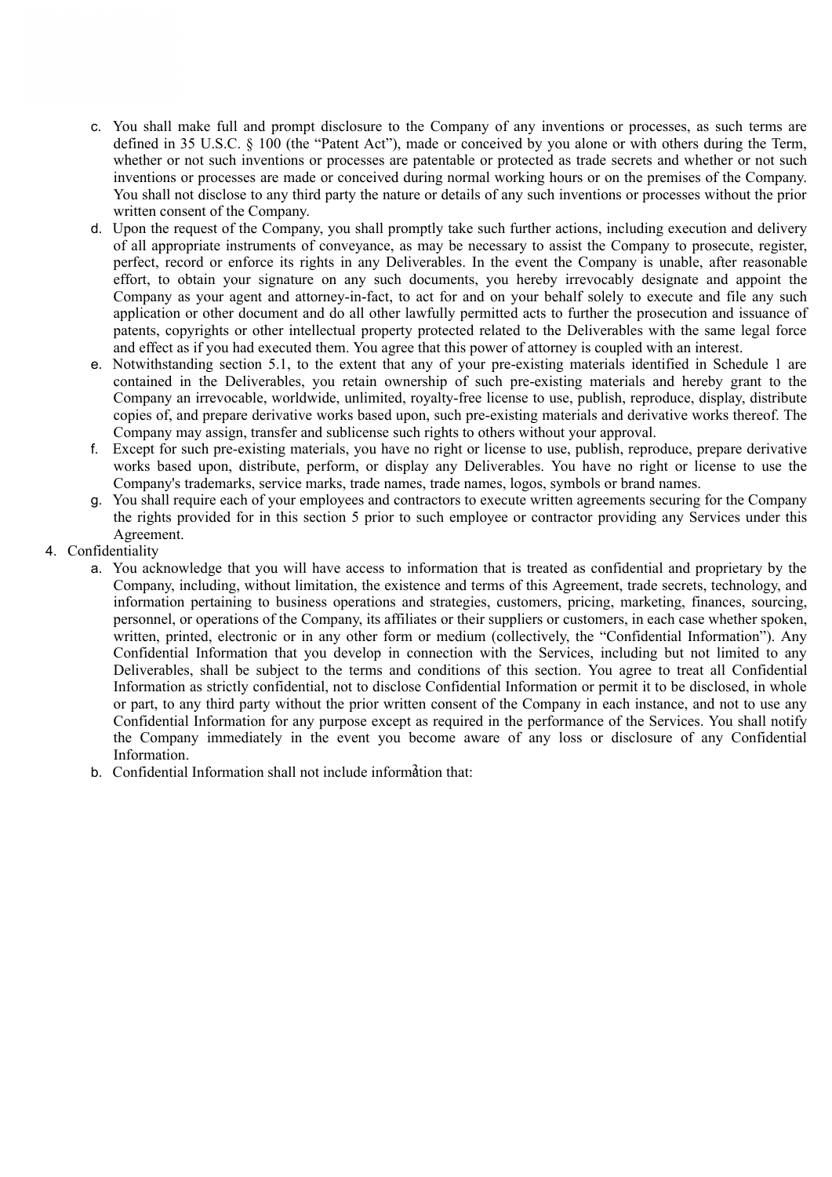- c. You shall make full and prompt disclosure to the Company of any inventions or processes, as such terms are defined in 35 U.S.C. § 100 (the "Patent Act"), made or conceived by you alone or with others during the Term, whether or not such inventions or processes are patentable or protected as trade secrets and whether or not such inventions or processes are made or conceived during normal working hours or on the premises of the Company. You shall not disclose to any third party the nature or details of any such inventions or processes without the prior written consent of the Company.
- d. Upon the request of the Company, you shall promptly take such further actions, including execution and delivery of all appropriate instruments of conveyance, as may be necessary to assist the Company to prosecute, register, perfect, record or enforce its rights in any Deliverables. In the event the Company is unable, after reasonable effort, to obtain your signature on any such documents, you hereby irrevocably designate and appoint the Company as your agent and attorney-in-fact, to act for and on your behalf solely to execute and file any such application or other document and do all other lawfully permitted acts to further the prosecution and issuance of patents, copyrights or other intellectual property protected related to the Deliverables with the same legal force and effect as if you had executed them. You agree that this power of attorney is coupled with an interest.
- e. Notwithstanding section 5.1, to the extent that any of your pre-existing materials identified in Schedule 1 are contained in the Deliverables, you retain ownership of such pre-existing materials and hereby grant to the Company an irrevocable, worldwide, unlimited, royalty-free license to use, publish, reproduce, display, distribute copies of, and prepare derivative works based upon, such pre-existing materials and derivative works thereof. The Company may assign, transfer and sublicense such rights to others without your approval.
- f. Except for such pre-existing materials, you have no right or license to use, publish, reproduce, prepare derivative works based upon, distribute, perform, or display any Deliverables. You have no right or license to use the Company's trademarks, service marks, trade names, trade names, logos, symbols or brand names.
- g. You shall require each of your employees and contractors to execute written agreements securing for the Company the rights provided for in this section 5 prior to such employee or contractor providing any Services under this Agreement.
- 4. Confidentiality
	- a. You acknowledge that you will have access to information that is treated as confidential and proprietary by the Company, including, without limitation, the existence and terms of this Agreement, trade secrets, technology, and information pertaining to business operations and strategies, customers, pricing, marketing, finances, sourcing, personnel, or operations of the Company, its affiliates or their suppliers or customers, in each case whether spoken, written, printed, electronic or in any other form or medium (collectively, the "Confidential Information"). Any Confidential Information that you develop in connection with the Services, including but not limited to any Deliverables, shall be subject to the terms and conditions of this section. You agree to treat all Confidential Information as strictly confidential, not to disclose Confidential Information or permit it to be disclosed, in whole or part, to any third party without the prior written consent of the Company in each instance, and not to use any Confidential Information for any purpose except as required in the performance of the Services. You shall notify the Company immediately in the event you become aware of any loss or disclosure of any Confidential Information.
	- b. Confidential Information shall not include information that: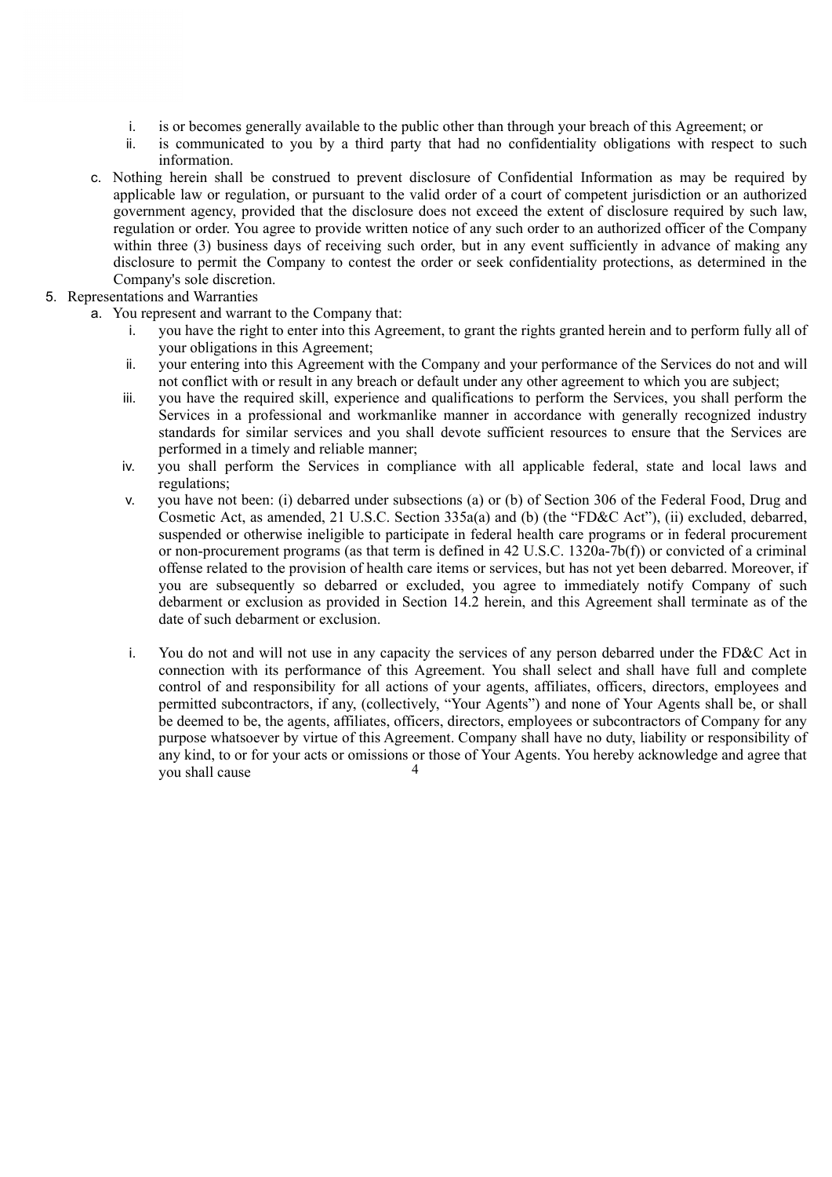- i. is or becomes generally available to the public other than through your breach of this Agreement; or
- ii. is communicated to you by a third party that had no confidentiality obligations with respect to such information.
- c. Nothing herein shall be construed to prevent disclosure of Confidential Information as may be required by applicable law or regulation, or pursuant to the valid order of a court of competent jurisdiction or an authorized government agency, provided that the disclosure does not exceed the extent of disclosure required by such law, regulation or order. You agree to provide written notice of any such order to an authorized officer of the Company within three (3) business days of receiving such order, but in any event sufficiently in advance of making any disclosure to permit the Company to contest the order or seek confidentiality protections, as determined in the Company's sole discretion.
- 5. Representations and Warranties
	- a. You represent and warrant to the Company that:
		- i. you have the right to enter into this Agreement, to grant the rights granted herein and to perform fully all of your obligations in this Agreement;
		- ii. your entering into this Agreement with the Company and your performance of the Services do not and will not conflict with or result in any breach or default under any other agreement to which you are subject;
		- iii. you have the required skill, experience and qualifications to perform the Services, you shall perform the Services in a professional and workmanlike manner in accordance with generally recognized industry standards for similar services and you shall devote sufficient resources to ensure that the Services are performed in a timely and reliable manner;
		- iv. you shall perform the Services in compliance with all applicable federal, state and local laws and regulations;
		- v. you have not been: (i) debarred under subsections (a) or (b) of Section 306 of the Federal Food, Drug and Cosmetic Act, as amended, 21 U.S.C. Section 335a(a) and (b) (the "FD&C Act"), (ii) excluded, debarred, suspended or otherwise ineligible to participate in federal health care programs or in federal procurement or non-procurement programs (as that term is defined in 42 U.S.C. 1320a-7b(f)) or convicted of a criminal offense related to the provision of health care items or services, but has not yet been debarred. Moreover, if you are subsequently so debarred or excluded, you agree to immediately notify Company of such debarment or exclusion as provided in Section 14.2 herein, and this Agreement shall terminate as of the date of such debarment or exclusion.
		- i. You do not and will not use in any capacity the services of any person debarred under the FD&C Act in connection with its performance of this Agreement. You shall select and shall have full and complete control of and responsibility for all actions of your agents, affiliates, officers, directors, employees and permitted subcontractors, if any, (collectively, "Your Agents") and none of Your Agents shall be, or shall be deemed to be, the agents, affiliates, officers, directors, employees or subcontractors of Company for any purpose whatsoever by virtue of this Agreement. Company shall have no duty, liability or responsibility of any kind, to or for your acts or omissions or those of Your Agents. You hereby acknowledge and agree that you shall cause 4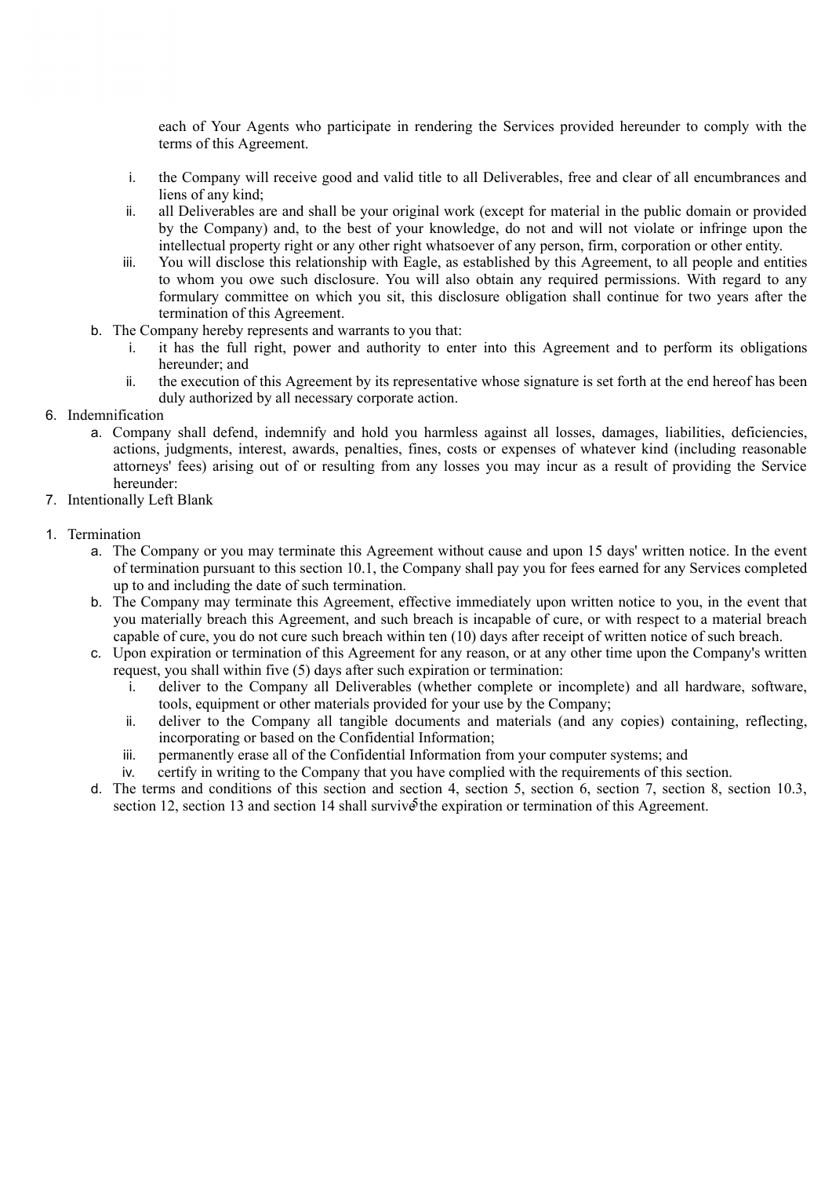each of Your Agents who participate in rendering the Services provided hereunder to comply with the terms of this Agreement.

- i. the Company will receive good and valid title to all Deliverables, free and clear of all encumbrances and liens of any kind;
- ii. all Deliverables are and shall be your original work (except for material in the public domain or provided by the Company) and, to the best of your knowledge, do not and will not violate or infringe upon the intellectual property right or any other right whatsoever of any person, firm, corporation or other entity.
- iii. You will disclose this relationship with Eagle, as established by this Agreement, to all people and entities to whom you owe such disclosure. You will also obtain any required permissions. With regard to any formulary committee on which you sit, this disclosure obligation shall continue for two years after the termination of this Agreement.
- b. The Company hereby represents and warrants to you that:
	- i. it has the full right, power and authority to enter into this Agreement and to perform its obligations hereunder: and
	- ii. the execution of this Agreement by its representative whose signature is set forth at the end hereof has been duly authorized by all necessary corporate action.
- 6. Indemnification
	- a. Company shall defend, indemnify and hold you harmless against all losses, damages, liabilities, deficiencies, actions, judgments, interest, awards, penalties, fines, costs or expenses of whatever kind (including reasonable attorneys' fees) arising out of or resulting from any losses you may incur as a result of providing the Service hereunder:
- 7. Intentionally Left Blank
- 1. Termination
	- a. The Company or you may terminate this Agreement without cause and upon 15 days' written notice. In the event of termination pursuant to this section 10.1, the Company shall pay you for fees earned for any Services completed up to and including the date of such termination.
	- b. The Company may terminate this Agreement, effective immediately upon written notice to you, in the event that you materially breach this Agreement, and such breach is incapable of cure, or with respect to a material breach capable of cure, you do not cure such breach within ten (10) days after receipt of written notice of such breach.
	- c. Upon expiration or termination of this Agreement for any reason, or at any other time upon the Company's written request, you shall within five (5) days after such expiration or termination:
		- i. deliver to the Company all Deliverables (whether complete or incomplete) and all hardware, software, tools, equipment or other materials provided for your use by the Company;
		- ii. deliver to the Company all tangible documents and materials (and any copies) containing, reflecting, incorporating or based on the Confidential Information;
		- iii. permanently erase all of the Confidential Information from your computer systems; and
		- iv. certify in writing to the Company that you have complied with the requirements of this section.
	- d. The terms and conditions of this section and section 4, section 5, section 6, section 7, section 8, section 10.3, section 12, section 13 and section 14 shall survive the expiration or termination of this Agreement.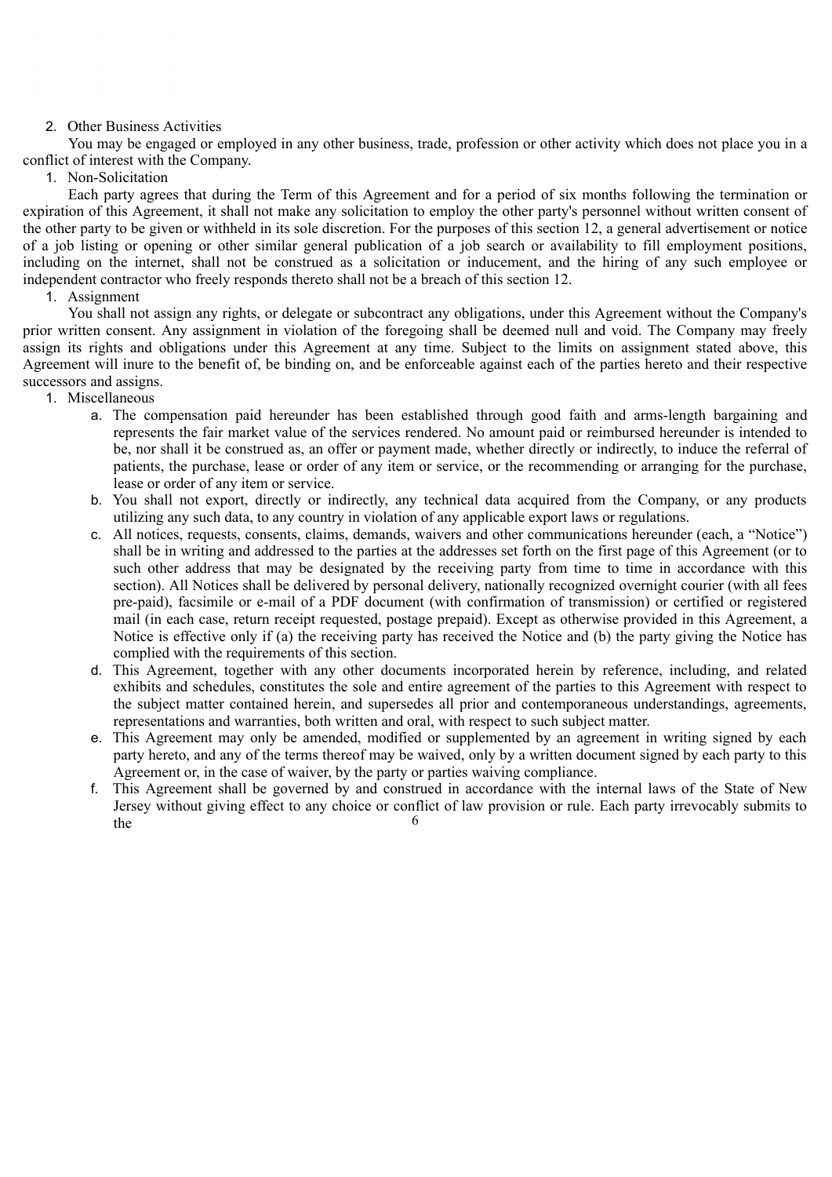## 2. Other Business Activities

You may be engaged or employed in any other business, trade, profession or other activity which does not place you in a conflict of interest with the Company.

1. Non-Solicitation

Each party agrees that during the Term of this Agreement and for a period of six months following the termination or expiration of this Agreement, it shall not make any solicitation to employ the other party's personnel without written consent of the other party to be given or withheld in its sole discretion. For the purposes of this section 12, a general advertisement or notice of a job listing or opening or other similar general publication of a job search or availability to fill employment positions, including on the internet, shall not be construed as a solicitation or inducement, and the hiring of any such employee or independent contractor who freely responds thereto shall not be a breach of this section 12.

## 1. Assignment

You shall not assign any rights, or delegate or subcontract any obligations, under this Agreement without the Company's prior written consent. Any assignment in violation of the foregoing shall be deemed null and void. The Company may freely assign its rights and obligations under this Agreement at any time. Subject to the limits on assignment stated above, this Agreement will inure to the benefit of, be binding on, and be enforceable against each of the parties hereto and their respective successors and assigns.

- 1. Miscellaneous
	- a. The compensation paid hereunder has been established through good faith and arms-length bargaining and represents the fair market value of the services rendered. No amount paid or reimbursed hereunder is intended to be, nor shall it be construed as, an offer or payment made, whether directly or indirectly, to induce the referral of patients, the purchase, lease or order of any item or service, or the recommending or arranging for the purchase, lease or order of any item or service.
	- b. You shall not export, directly or indirectly, any technical data acquired from the Company, or any products utilizing any such data, to any country in violation of any applicable export laws or regulations.
	- c. All notices, requests, consents, claims, demands, waivers and other communications hereunder (each, a "Notice") shall be in writing and addressed to the parties at the addresses set forth on the first page of this Agreement (or to such other address that may be designated by the receiving party from time to time in accordance with this section). All Notices shall be delivered by personal delivery, nationally recognized overnight courier (with all fees pre-paid), facsimile or e-mail of a PDF document (with confirmation of transmission) or certified or registered mail (in each case, return receipt requested, postage prepaid). Except as otherwise provided in this Agreement, a Notice is effective only if (a) the receiving party has received the Notice and (b) the party giving the Notice has complied with the requirements of this section.
	- d. This Agreement, together with any other documents incorporated herein by reference, including, and related exhibits and schedules, constitutes the sole and entire agreement of the parties to this Agreement with respect to the subject matter contained herein, and supersedes all prior and contemporaneous understandings, agreements, representations and warranties, both written and oral, with respect to such subject matter.
	- e. This Agreement may only be amended, modified or supplemented by an agreement in writing signed by each party hereto, and any of the terms thereof may be waived, only by a written document signed by each party to this Agreement or, in the case of waiver, by the party or parties waiving compliance.
	- f. This Agreement shall be governed by and construed in accordance with the internal laws of the State of New Jersey without giving effect to any choice or conflict of law provision or rule. Each party irrevocably submits to  $\frac{6}{5}$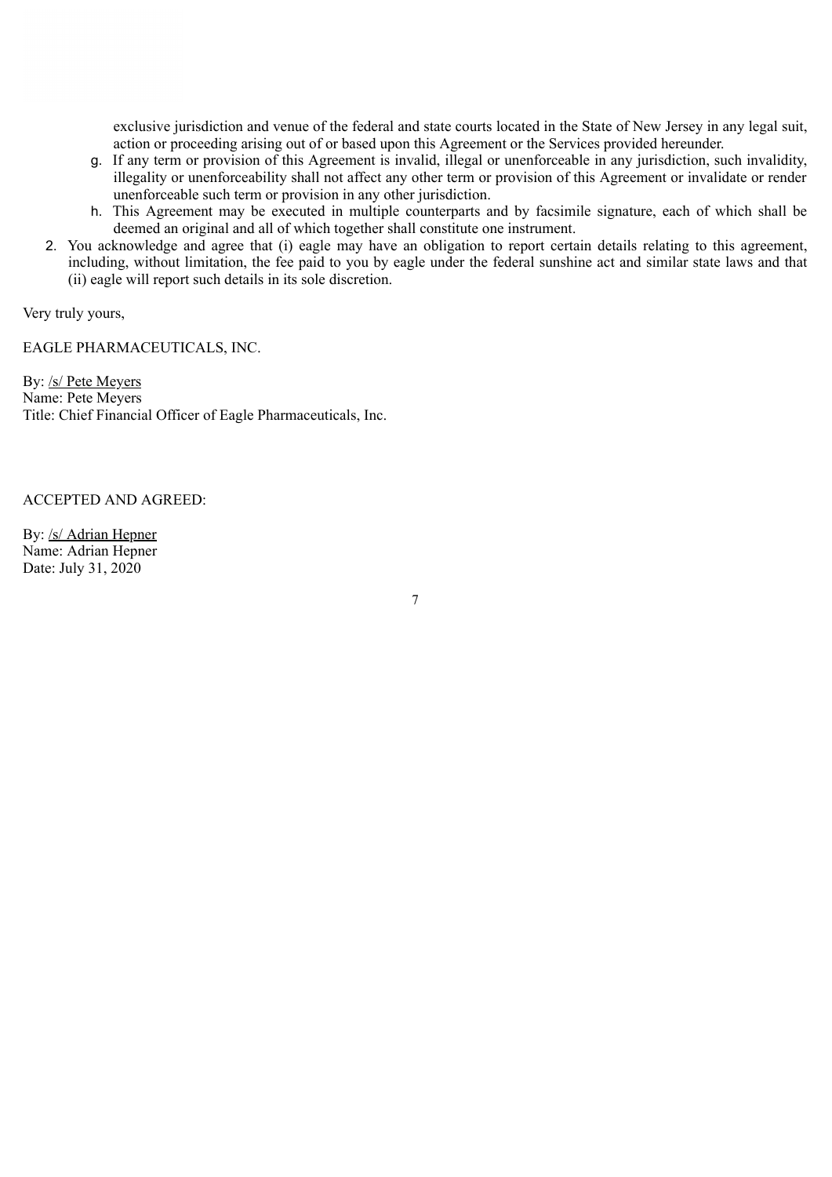exclusive jurisdiction and venue of the federal and state courts located in the State of New Jersey in any legal suit, action or proceeding arising out of or based upon this Agreement or the Services provided hereunder.

- g. If any term or provision of this Agreement is invalid, illegal or unenforceable in any jurisdiction, such invalidity, illegality or unenforceability shall not affect any other term or provision of this Agreement or invalidate or render unenforceable such term or provision in any other jurisdiction.
- h. This Agreement may be executed in multiple counterparts and by facsimile signature, each of which shall be deemed an original and all of which together shall constitute one instrument.
- 2. You acknowledge and agree that (i) eagle may have an obligation to report certain details relating to this agreement, including, without limitation, the fee paid to you by eagle under the federal sunshine act and similar state laws and that (ii) eagle will report such details in its sole discretion.

Very truly yours,

EAGLE PHARMACEUTICALS, INC.

By: /s/ Pete Meyers Name: Pete Meyers Title: Chief Financial Officer of Eagle Pharmaceuticals, Inc.

## ACCEPTED AND AGREED:

By: /s/ Adrian Hepner Name: Adrian Hepner Date: July 31, 2020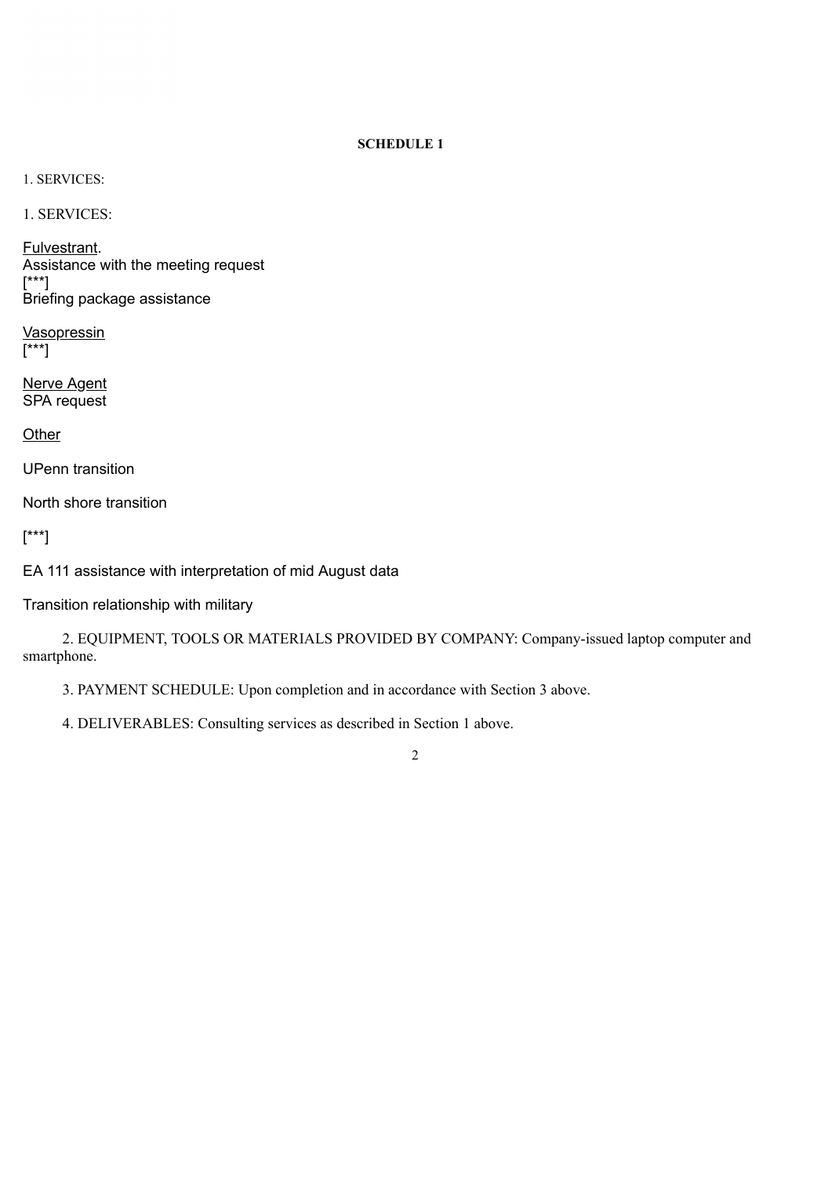## **SCHEDULE 1**

1. SERVICES:

1. SERVICES:

Fulvestrant. Assistance with the meeting request  $\left[\rule{0pt}{10pt}\right.^{***}\hspace{-0.15pt}\left.\rule{0pt}{10pt}\right]$ Briefing package assistance

**Vasopressin** [\*\*\*]

**Nerve Agent** SPA request

**Other** 

UPenn transition

North shore transition

[\*\*\*]

EA 111 assistance with interpretation of mid August data

Transition relationship with military

2. EQUIPMENT, TOOLS OR MATERIALS PROVIDED BY COMPANY: Company-issued laptop computer and smartphone.

3. PAYMENT SCHEDULE: Upon completion and in accordance with Section 3 above.

4. DELIVERABLES: Consulting services as described in Section 1 above.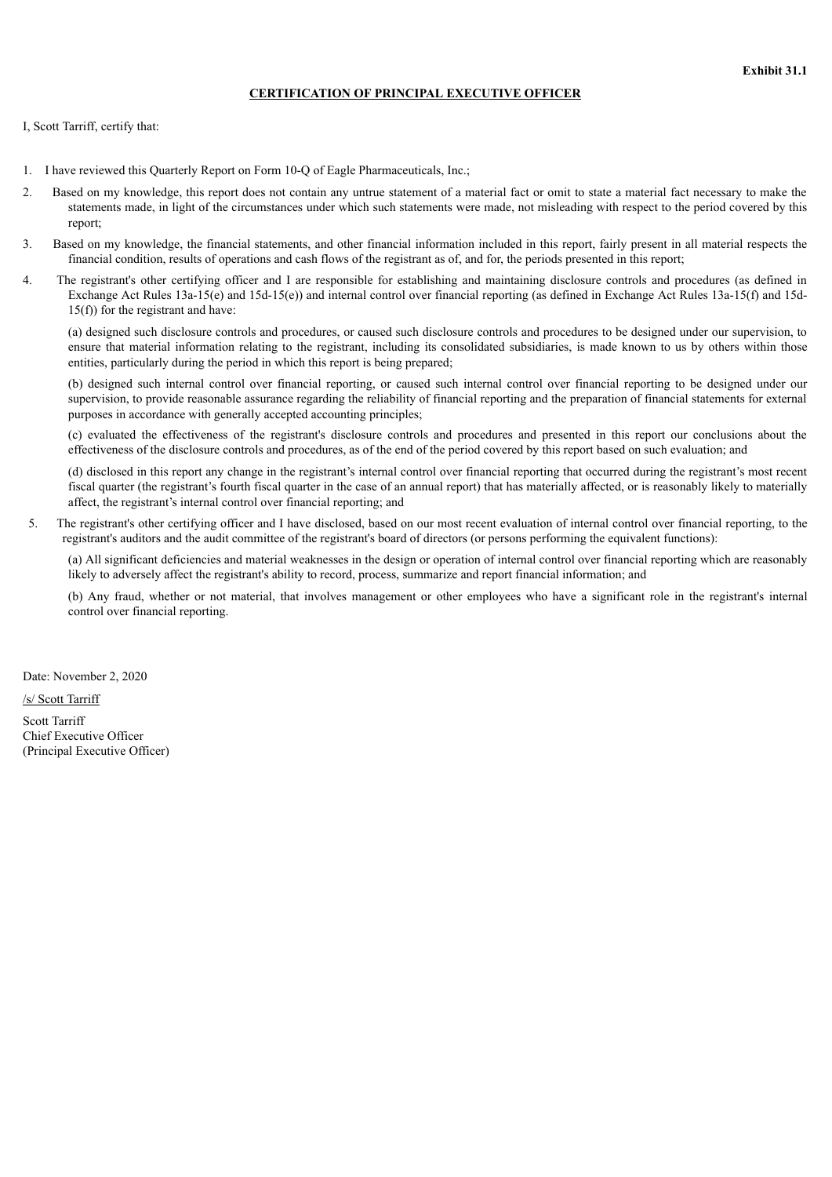### **CERTIFICATION OF PRINCIPAL EXECUTIVE OFFICER**

<span id="page-59-0"></span>I, Scott Tarriff, certify that:

- 1. I have reviewed this Quarterly Report on Form 10-Q of Eagle Pharmaceuticals, Inc.;
- 2. Based on my knowledge, this report does not contain any untrue statement of a material fact or omit to state a material fact necessary to make the statements made, in light of the circumstances under which such statements were made, not misleading with respect to the period covered by this report;
- 3. Based on my knowledge, the financial statements, and other financial information included in this report, fairly present in all material respects the financial condition, results of operations and cash flows of the registrant as of, and for, the periods presented in this report;
- 4. The registrant's other certifying officer and I are responsible for establishing and maintaining disclosure controls and procedures (as defined in Exchange Act Rules 13a-15(e) and 15d-15(e)) and internal control over financial reporting (as defined in Exchange Act Rules 13a-15(f) and 15d-15(f)) for the registrant and have:

(a) designed such disclosure controls and procedures, or caused such disclosure controls and procedures to be designed under our supervision, to ensure that material information relating to the registrant, including its consolidated subsidiaries, is made known to us by others within those entities, particularly during the period in which this report is being prepared;

(b) designed such internal control over financial reporting, or caused such internal control over financial reporting to be designed under our supervision, to provide reasonable assurance regarding the reliability of financial reporting and the preparation of financial statements for external purposes in accordance with generally accepted accounting principles;

(c) evaluated the effectiveness of the registrant's disclosure controls and procedures and presented in this report our conclusions about the effectiveness of the disclosure controls and procedures, as of the end of the period covered by this report based on such evaluation; and

(d) disclosed in this report any change in the registrant's internal control over financial reporting that occurred during the registrant's most recent fiscal quarter (the registrant's fourth fiscal quarter in the case of an annual report) that has materially affected, or is reasonably likely to materially affect, the registrant's internal control over financial reporting; and

5. The registrant's other certifying officer and I have disclosed, based on our most recent evaluation of internal control over financial reporting, to the registrant's auditors and the audit committee of the registrant's board of directors (or persons performing the equivalent functions):

(a) All significant deficiencies and material weaknesses in the design or operation of internal control over financial reporting which are reasonably likely to adversely affect the registrant's ability to record, process, summarize and report financial information; and

(b) Any fraud, whether or not material, that involves management or other employees who have a significant role in the registrant's internal control over financial reporting.

Date: November 2, 2020

/s/ Scott Tarriff

Scott Tarriff Chief Executive Officer (Principal Executive Officer)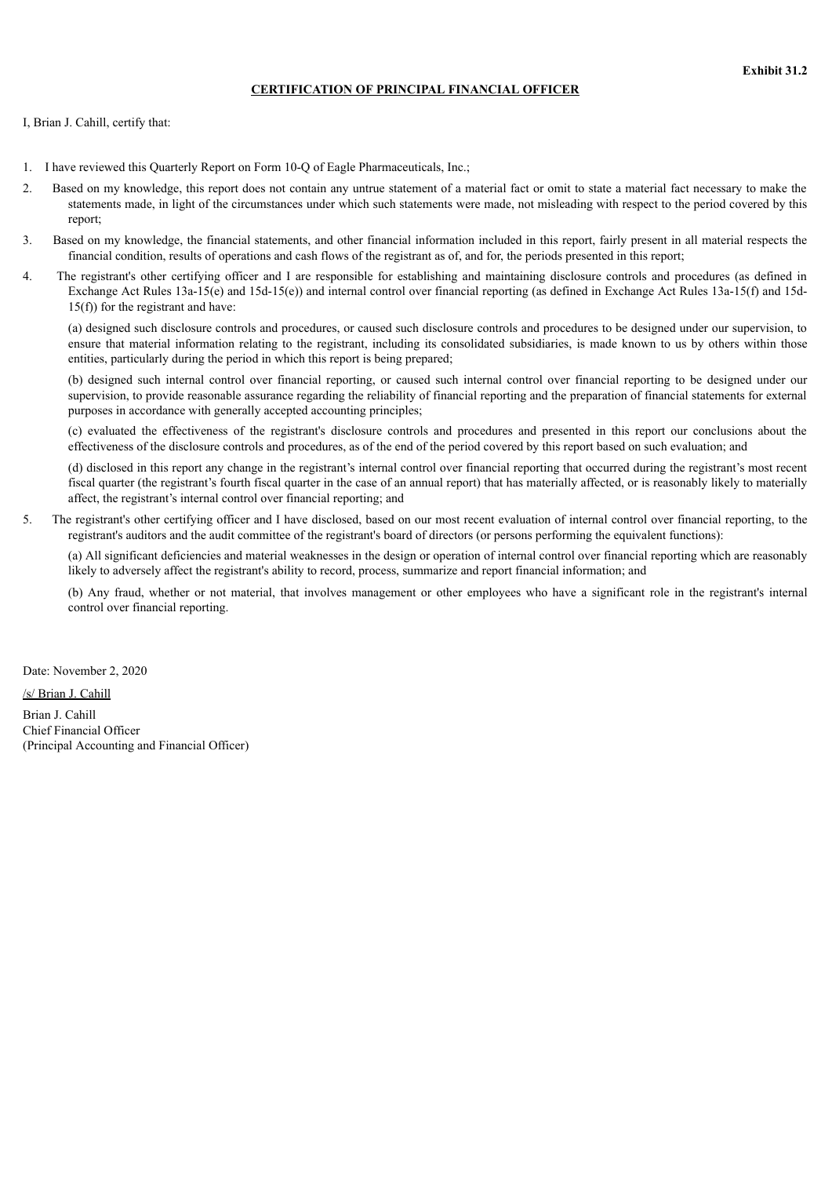## **CERTIFICATION OF PRINCIPAL FINANCIAL OFFICER**

<span id="page-60-0"></span>I, Brian J. Cahill, certify that:

- 1. I have reviewed this Quarterly Report on Form 10-Q of Eagle Pharmaceuticals, Inc.;
- 2. Based on my knowledge, this report does not contain any untrue statement of a material fact or omit to state a material fact necessary to make the statements made, in light of the circumstances under which such statements were made, not misleading with respect to the period covered by this report;
- 3. Based on my knowledge, the financial statements, and other financial information included in this report, fairly present in all material respects the financial condition, results of operations and cash flows of the registrant as of, and for, the periods presented in this report;
- 4. The registrant's other certifying officer and I are responsible for establishing and maintaining disclosure controls and procedures (as defined in Exchange Act Rules 13a-15(e) and 15d-15(e)) and internal control over financial reporting (as defined in Exchange Act Rules 13a-15(f) and 15d-15(f)) for the registrant and have:

(a) designed such disclosure controls and procedures, or caused such disclosure controls and procedures to be designed under our supervision, to ensure that material information relating to the registrant, including its consolidated subsidiaries, is made known to us by others within those entities, particularly during the period in which this report is being prepared;

(b) designed such internal control over financial reporting, or caused such internal control over financial reporting to be designed under our supervision, to provide reasonable assurance regarding the reliability of financial reporting and the preparation of financial statements for external purposes in accordance with generally accepted accounting principles;

(c) evaluated the effectiveness of the registrant's disclosure controls and procedures and presented in this report our conclusions about the effectiveness of the disclosure controls and procedures, as of the end of the period covered by this report based on such evaluation; and

(d) disclosed in this report any change in the registrant's internal control over financial reporting that occurred during the registrant's most recent fiscal quarter (the registrant's fourth fiscal quarter in the case of an annual report) that has materially affected, or is reasonably likely to materially affect, the registrant's internal control over financial reporting; and

5. The registrant's other certifying officer and I have disclosed, based on our most recent evaluation of internal control over financial reporting, to the registrant's auditors and the audit committee of the registrant's board of directors (or persons performing the equivalent functions):

(a) All significant deficiencies and material weaknesses in the design or operation of internal control over financial reporting which are reasonably likely to adversely affect the registrant's ability to record, process, summarize and report financial information; and

(b) Any fraud, whether or not material, that involves management or other employees who have a significant role in the registrant's internal control over financial reporting.

Date: November 2, 2020

/s/ Brian J. Cahill

Brian J. Cahill Chief Financial Officer (Principal Accounting and Financial Officer)